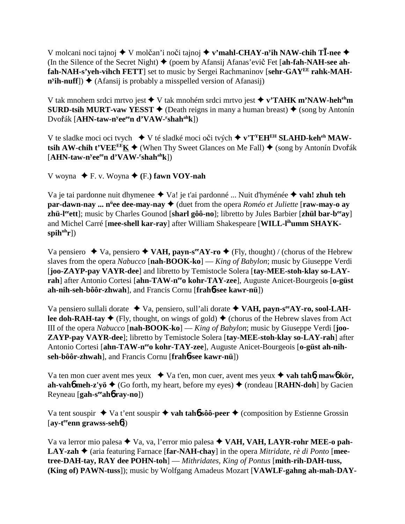V molcani noci tajnoj ◆ V molčan'i noči tajnoj ◆ v'mahl-CHAY-n<sup>y</sup>ih NAW-chih T**Ī-nee** ◆ (In the Silence of the Secret Night) ♦ (poem by Afansij Afanas'evi**č** Fet [ah-fah-NAH-see ah**fah-NAH-s'yeh-vihch FETT**] set to music by Sergei Rachmaninov [**sehr-GAYEE rahk-MAH-** $\mathbf{n}^{\text{y}}$ **ih-nuff**])  $\overset{\bullet}{\blacklozenge}$  (Afansij is probably a misspelled version of Afanasij)

V tak mnohem srdci mrtvo jest ◆ V tak mnohém srdci mrtvo jest ◆ v'TAHK m'NAW-heh<sup>eh</sup>m **SURD-tsih MURT-vaw YESST**  $\blacklozenge$  (Death reigns in many a human breast)  $\blacklozenge$  (song by Antonín  $\text{Dvořák [AHN-taw-n<sup>y</sup>ee<sup>ee</sup>n d<sup>3</sup>VAW-<sup>r</sup>shah<sup>ah</sup>k])}$ 

V te sladke moci oci tvych ◆ V té sladké moci oči tvých ◆ v'T<sup>Y</sup>EH<sup>EH</sup> SLAHD-keh<sup>eh</sup> MAW $t$ sih AW-chih  $t'VEE^{E^c}\underline{K}$   $\blacklozenge$  (When Thy Sweet Glances on Me Fall)  $\blacklozenge$  (song by Antonín Dvořák [**AHN-taw-ny eeeen d'VAW-r shahahk**])

 $V$  woyna  $\blacklozenge$  F. v. Woyna  $\blacklozenge$  (F.) fawn VOY-nah

Va je tai pardonne nuit dhymenee Va! je t'ai pardonné ... Nuit d'hyménée **vah! zhuh teh par-dawn-nay ... n<sup>ü</sup>ee dee-may-nay ♦** (duet from the opera *Roméo et Juliette* [**raw-may-o ay zhü-leeett**]; music by Charles Gounod [**sharl gôô-no**]; libretto by Jules Barbier [**zhül bar-beeay**] and Michel Carré [**mee-shell kar-ray**] after William Shakespeare [**WILL-lihumm SHAYK**spih<sup>uh</sup>r])

Va pensiero  $\triangleq$  Va, pensiero  $\triangleq$  VAH, payn-s<sup>ee</sup>AY-ro  $\triangleq$  (Fly, thought) / (chorus of the Hebrew slaves from the opera *Nabucco* [**nah-BOOK-ko**] — *King of Babylon*; music by Giuseppe Verdi [**joo-ZAYP-pay VAYR-dee**] and libretto by Temistocle Solera [**tay-MEE-stoh-klay so-LAY**rah] after Antonio Cortesi [ahn-TAW-n<sup>ee</sup>o kohr-TAY-zee], Auguste Anicet-Bourgeois [o-güst] **ah-nih-seh-bôôr-zhwah**], and Francis Cornu [**frah**6**-see kawr-nü**])

Va pensiero sullali dorate Va, pensiero, sull'ali dorate **VAH, payn-seeAY-ro, sool-LAHlee doh-RAH-tay**  $\blacklozenge$  (Fly, thought, on wings of gold)  $\blacklozenge$  (chorus of the Hebrew slaves from Act III of the opera *Nabucco* [**nah-BOOK-ko**] — *King of Babylon*; music by Giuseppe Verdi [**joo-ZAYP-pay VAYR-dee**]; libretto by Temistocle Solera [**tay-MEE-stoh-klay so-LAY-rah**] after Antonio Cortesi [ahn-TAW-n<sup>ee</sup>o kohr-TAY-zee], Auguste Anicet-Bourgeois [o-güst ah-nih**seh-bôôr-zhwah**], and Francis Cornu [**frah**6**-see kawr-nü**])

Va ten mon cuer avent mes yeux  $\rightarrow$  Va t'en, mon cuer, avent mes yeux  $\rightarrow$  vah tah**6**, mawb kör, **ah-vah<sup>6</sup> meh-z'yö**  $\blacklozenge$  (Go forth, my heart, before my eyes)  $\blacklozenge$  (rondeau [**RAHN-doh**] by Gacien Reyneau [**gah-seeah**6 **ray-no**])

Va tent souspir  $\triangle$  Va t'ent souspir  $\triangle$  vah tah**6** sôô-peer  $\triangle$  (composition by Estienne Grossin [**ay-teeenn grawss-seh**6])

Va va lerror mio palesa Va, va, l'error mio palesa **VAH, VAH, LAYR-rohr MEE-o pah-LAY-zah ♦** (aria featuring Farnace [far-NAH-chay] in the opera *Mitridate, rè di Ponto* [mee**tree-DAH-tay, RAY dee POHN-toh**] — *Mithridates, King of Pontus* [**mith-rih-DAH-tuss, (King of) PAWN-tuss**]); music by Wolfgang Amadeus Mozart [**VAWLF-gahng ah-mah-DAY-**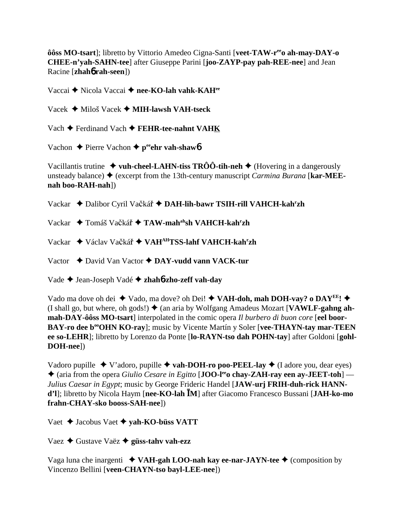ôôss MO-tsart]; libretto by Vittorio Amedeo Cigna-Santi [veet-TAW-r<sup>ee</sup>o ah-may-DAY-o **CHEE-n'yah-SAHN-tee**] after Giuseppe Parini [**joo-ZAYP-pay pah-REE-nee**] and Jean Racine [**zhah**6 **rah-seen**])

Vaccai **→** Nicola Vaccai → nee-KO-lah vahk-KAH<sup>ee</sup>

Vacek Miloš Vacek **MIH-lawsh VAH-tseck**

Vach **←** Ferdinand Vach ← FEHR-tee-nahnt VAHK

Vachon **←** Pierre Vachon ← peehr vah-shaw**6** 

Vacillantis trutine  $\rightarrow$  vuh-cheel-LAHN-tiss TRÔÔ-tih-neh  $\rightarrow$  (Hovering in a dangerously unsteady balance)  $\blacklozenge$  (excerpt from the 13th-century manuscript *Carmina Burana* [**kar-MEEnah boo-RAH-nah**])

Vackar ◆ Dalibor Cyril Vačkář ◆ DAH-lih-bawr TSIH-rill VAHCH-kah<sup>r</sup>zh

Vackar ◆ Tomáš Vačkář ◆ TAW-mah<sup>ah</sup>sh VAHCH-kah<sup>r</sup>zh

Vackar ◆ Václav Vačkář ◆ VAH<sup>AH</sup>TSS-lahf VAHCH-kah<sup>r</sup>zh

Vactor David Van Vactor **DAY-vudd vann VACK-tur**

Vade Jean-Joseph Vadé **zhah**6**-zho-zeff vah-day**

Vado ma dove oh dei  $\blacklozenge$  Vado, ma dove? oh Dei!  $\blacklozenge$  VAH-doh, mah DOH-vay? o DAY<sup>EE</sup>!  $\blacklozenge$ (I shall go, but where, oh gods!)  $\blacklozenge$  (an aria by Wolfgang Amadeus Mozart [**VAWLF-gahng ahmah-DAY-ôôss MO-tsart**] interpolated in the comic opera *Il burbero di buon core* [**eel boor-**BAY-ro dee b<sup>oo</sup>OHN KO-ray]; music by Vicente Martín y Soler [vee-THAYN-tay mar-TEEN **ee so-LEHR**]; libretto by Lorenzo da Ponte [**lo-RAYN-tso dah POHN-tay**] after Goldoni [**gohl-DOH-nee**])

Vadoro pupille  $\blacklozenge$  V'adoro, pupille  $\blacklozenge$  vah-DOH-ro poo-PEEL-lay  $\blacklozenge$  (I adore you, dear eyes) ◆ (aria from the opera *Giulio Cesare in Egitto* [**JOO-l<sup>ee</sup>o chay-ZAH-ray een ay-JEET-toh**] — *Julius Caesar in Egypt*; music by George Frideric Handel [**JAW-urj FRIH-duh-rick HANNd'l**]; libretto by Nicola Haym [**nee-KO-lah M**] after Giacomo Francesco Bussani [**JAH-ko-mo frahn-CHAY-sko booss-SAH-nee**])

Vaet Jacobus Vaet **yah-KO-büss VATT**

Vaez Gustave Vaëz **güss-tahv vah-ezz**

Vaga luna che inargenti **VAH-gah LOO-nah kay ee-nar-JAYN-tee** (composition by Vincenzo Bellini [**veen-CHAYN-tso bayl-LEE-nee**])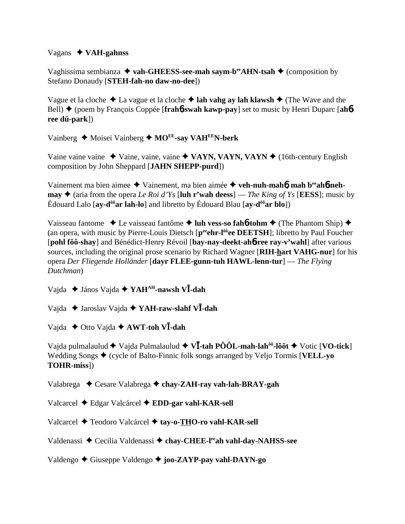### Vagans **VAH-gahnss**

Vaghissima sembianza ◆ vah-GHEESS-see-mah saym-b<sup>ee</sup>AHN-tsah ◆ (composition by Stefano Donaudy [**STEH-fah-no daw-no-dee**])

Vague et la cloche ◆ La vague et la cloche ◆ lah vahg ay lah klawsh ◆ (The Wave and the Bell) (poem by François Coppée [**frah**6**-swah kawp-pay**] set to music by Henri Duparc [**ah**6 **ree dü-park**])

Vainberg ◆ Moisei Vainberg ◆ MO<sup>EE</sup>-say VAH<sup>EE</sup>N-berk

Vaine vaine  $\triangle$  Vaine, vaine, vaine  $\triangle$  VAYN, VAYN, VAYN  $\triangle$  (16th-century English composition by John Sheppard [**JAHN SHEPP-purd**])

Vainement ma bien aimee ◆ Vainement, ma bien aimée ◆ veh-nuh-mah**ó**, mah b<sup>ee</sup>ahó-neh**may**  $\triangle$  (aria from the opera *Le Roi d'Ys* [luh r'wah deess] — *The King of Ys* [**EESS**]; music by Édouard Lalo [**ay-dôôar lah-lo**] and libretto by Édouard Blau [**ay-dôôar blo**])

Vaisseau fantome **↓** Le vaisseau fantôme **→ luh vess-so fah6-tohm →** (The Phantom Ship) ◆ (an opera, with music by Pierre-Louis Dietsch [peenr-l<sup>ôô</sup>ee DEETSH]; libretto by Paul Foucher [**pohl fôô-shay**] and Bénédict-Henry Révoil [**bay-nay-deekt-ah**6**-ree ray-v'wahl**] after various sources, including the original prose scenario by Richard Wagner [**RIH-hart VAHG-nur**] for his opera *Der Fliegende Holländer* [**dayr FLEE-gunn-tuh HAWL-lenn-tur**] — *The Flying Dutchman*)

Vajda ◆ János Vajda ◆ YAH<sup>AH</sup>-nawsh V**Ī-dah** 

Vajda Jaroslav Vajda **YAH-raw-slahf V-dah**

Vajda **→** Otto Vajda **→ AWT-toh VI-dah** 

Vajda pulmalaulud  $\blacklozenge$  Vajda Pulmalaulud  $\blacklozenge$  **V***V***T**-tah **PÔÔL-mah-lah<sup>ôô</sup>-lôôt**  $\blacklozenge$  Votic [**VO-tick**] Wedding Songs  $\triangle$  (cycle of Balto-Finnic folk songs arranged by Veljo Tormis [**VELL-yo**] **TOHR-miss**])

Valabrega Cesare Valabrega **chay-ZAH-ray vah-lah-BRAY-gah**

Valcarcel Edgar Valcárcel **EDD-gar vahl-KAR-sell**

Valcarcel Teodoro Valcárcel **tay-o-THO-ro vahl-KAR-sell**

Valdenassi ◆ Cecilia Valdenassi ◆ chay-CHEE-l<sup>ee</sup>ah vahl-day-NAHSS-see

Valdengo Giuseppe Valdengo **joo-ZAYP-pay vahl-DAYN-go**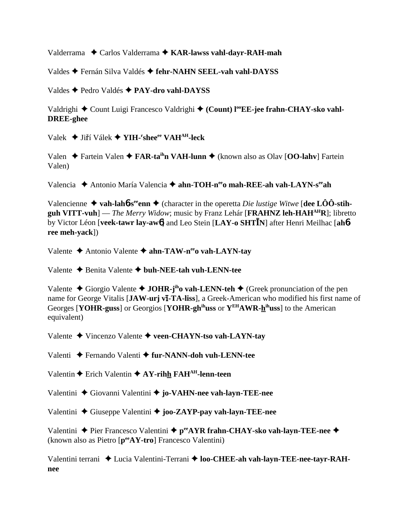Valderrama  $\triangle$  Carlos Valderrama  $\triangle$  KAR-lawss vahl-davr-RAH-mah

Valdes → Fernán Silva Valdés → fehr-NAHN SEEL-vah vahl-DAYSS

Valdes ← Pedro Valdés ← PAY-dro vahl-DAYSS

Valdrighi ♦ Count Luigi Francesco Valdrighi ♦ (Count) l<sup>oo</sup>EE-jee frahn-CHAY-sko vahl-**DREE-ghee** 

Valek ◆ Jiří Válek ◆ YIH-'shee<sup>ee</sup> VAH<sup>AH</sup>-leck

Valen → Fartein Valen → FAR-ta<sup>ih</sup>n VAH-lunn → (known also as Olav [OO-lahv] Fartein Valen)

Valencia → Antonio María Valencia → ahn-TOH-n<sup>ee</sup>o mah-REE-ah vah-LAYN-s<sup>ee</sup>ah

Valencienne ◆ vah-lahb-s<sup>ee</sup>enn ◆ (character in the operetta *Die lustige Witwe* [dee LOO-stihguh VITT-vuh] — The Merry Widow; music by Franz Lehár [FRAHNZ leh-HAH $^{AH}R$ ]; libretto by Victor Léon [veek-tawr lay-awo] and Leo Stein [LAY-o SHTIN] after Henri Meilhac [ahoree meh-yack])

Valente ◆ Antonio Valente ◆ ahn-TAW-n<sup>ee</sup>o vah-LAYN-tay

Valente  $\triangle$  Benita Valente  $\triangle$  buh-NEE-tah vuh-LENN-tee

Valente ◆ Giorgio Valente ◆ JOHR-j<sup>ih</sup>o vah-LENN-teh ◆ (Greek pronunciation of the pen name for George Vitalis [JAW-urj vi-TA-liss], a Greek-American who modified his first name of Georges [YOHR-guss] or Georgios [YOHR-gh<sup>ih</sup>uss or Y<sup>EH</sup>AWR-h<sup>ih</sup>uss] to the American equivalent)

Valente ◆ Vincenzo Valente ◆ veen-CHAYN-tso vah-LAYN-tay

Valenti ◆ Fernando Valenti ◆ fur-NANN-doh vuh-LENN-tee

Valentin  $\triangle$  Erich Valentin  $\triangle$  AY-rihh FAH<sup>AH</sup>-lenn-teen

Valentini ◆ Giovanni Valentini ◆ jo-VAHN-nee vah-layn-TEE-nee

Valentini  $\triangle$  Giuseppe Valentini  $\triangle$  joo-ZAYP-pay vah-layn-TEE-nee

Valentini  $\triangle$  Pier Francesco Valentini  $\triangle$  p<sup>ee</sup>AYR frahn-CHAY-sko vah-layn-TEE-nee  $\triangle$ (known also as Pietro [pee AY-tro] Francesco Valentini)

Valentini terrani ◆ Lucia Valentini-Terrani ◆ loo-CHEE-ah vah-layn-TEE-nee-tayr-RAHnee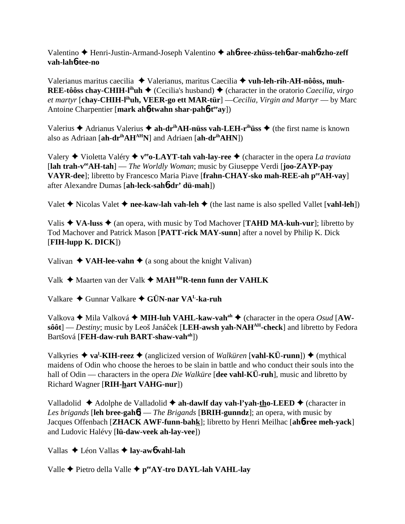Valentino Henri-Justin-Armand-Joseph Valentino **ah**6**-ree-zhüss-teh**6**-ar-mah**6**-zho-zeff vah-lah**6**-tee-no**

Valerianus maritus caecilia Valerianus, maritus Caecilia **vuh-leh-rih-AH-nôôss, muh-REE-tôôss chay-CHIH-l<sup>ih</sup>uh**  $\triangle$  (Cecilia's husband)  $\triangle$  (character in the oratorio *Caecilia, virgo et martyr* [**chay-CHIH-lihuh, VEER-go ett MAR-tür**] —*Cecilia, Virgin and Martyr* — by Marc Antoine Charpentier [**mark ah**6**-twahn shar-pah**6**-teeay**])

Valerius  $\triangle$  Adrianus Valerius  $\triangle$  ah-dr<sup>ih</sup>AH-nüss vah-LEH-r<sup>ih</sup>üss  $\triangle$  (the first name is known also as Adriaan [**ah-drihAHAHN**] and Adriaen [**ah-drihAHN**])

Valery  $\blacklozenge$  Violetta Valéry  $\blacklozenge$  v<sup>ee</sup> o-LAYT-tah vah-lay-ree  $\blacklozenge$  (character in the opera *La traviata* [**lah trah-veeAH-tah**] — *The Worldly Woman*; music by Giuseppe Verdi [**joo-ZAYP-pay VAYR-dee**]; libretto by Francesco Maria Piave [**frahn-CHAY-sko mah-REE-ah peeAH-vay**] after Alexandre Dumas [**ah-leck-sah**6**-dr' dü-mah**])

Valet  $\triangle$  Nicolas Valet  $\triangle$  nee-kaw-lah vah-leh  $\triangle$  (the last name is also spelled Vallet [vahl-leh])

Valis  $\triangle$  VA-luss  $\triangle$  (an opera, with music by Tod Machover [**TAHD MA-kuh-vur**]; libretto by Tod Machover and Patrick Mason [**PATT-rick MAY-sunn**] after a novel by Philip K. Dick [**FIH-lupp K. DICK**])

Valivan  $\triangleleft$  VAH-lee-vahn  $\triangleleft$  (a song about the knight Valivan)

Valk **→** Maarten van der Valk → MAH<sup>AH</sup>R-tenn funn der VAHLK

Valkare Gunnar Valkare **GÜN-nar VAL-ka-ruh**

Valkova **→** Mila Valková ◆ **MIH-luh VAHL-kaw-vah**<sup>ah</sup> ◆ (character in the opera *Osud* [AW**sôôt**] — *Destiny*; music by Leoš Janáček [LEH-awsh yah-NAH<sup>AH</sup>-check] and libretto by Fedora Bartšová [**FEH-daw-ruh BART-shaw-vahah**])

Valkyries ◆ va<sup>l</sup>-KIH-reez ◆ (anglicized version of *Walküren* [vahl-KÜ-runn]) ◆ (mythical maidens of Odin who choose the heroes to be slain in battle and who conduct their souls into the hall of Odin — characters in the opera *Die Walküre* [**dee vahl-KÜ-ruh**], music and libretto by Richard Wagner [**RIH-hart VAHG-nur**])

Valladolid  $\triangle$  Adolphe de Valladolid  $\triangle$  ah-dawlf day vah-l'yah-tho-LEED  $\triangle$  (character in *Les brigands* [**leh bree-gah**6] — *The Brigands* [**BRIH-gunndz**]; an opera, with music by Jacques Offenbach [**ZHACK AWF-funn-bahk**]; libretto by Henri Meilhac [**ah**6**-ree meh-yack**] and Ludovic Halévy [**lü-daw-veek ah-lay-vee**])

Vallas Léon Vallas **lay-aw**6 **vahl-lah**

Valle Pietro della Valle **peeAY-tro DAYL-lah VAHL-lay**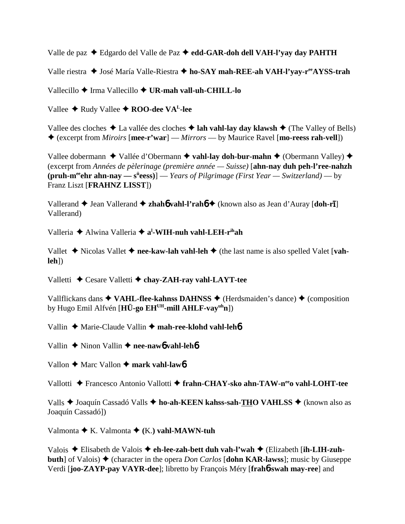Valle de paz Edgardo del Valle de Paz **edd-GAR-doh dell VAH-l'yay day PAHTH**

Valle riestra ◆ José María Valle-Riestra ◆ ho-SAY mah-REE-ah VAH-l'yay-r<sup>ee</sup>AYSS-trah

Vallecillo Irma Vallecillo **UR-mah vall-uh-CHILL-lo**

Vallee **← Rudy Vallee ← ROO-dee VA<sup>L</sup>-lee** 

Vallee des cloches  $\triangle$  La vallée des cloches  $\triangle$  lah vahl-lay day klawsh  $\triangle$  (The Valley of Bells) (excerpt from *Miroirs* [**mee-r'war**] — *Mirrors* — by Maurice Ravel [**mo-reess rah-vell**])

Vallee dobermann  $\triangle$  Vallée d'Obermann  $\triangle$  vahl-lay doh-bur-mahn  $\triangle$  (Obermann Valley)  $\triangle$ (excerpt from *Années de pèlerinage (première année — Suisse)* [**ahn-nay duh peh-l'ree-nahzh (pruh-m<sup>ee</sup>chr ahn-nay — s<sup>ü</sup>eess)**] — *Years of Pilgrimage (First Year — Switzerland)* — by Franz Liszt [**FRAHNZ LISST**])

Vallerand  $\blacklozenge$  Jean Vallerand  $\blacklozenge$  **zhahó vahl-l'rahó**  $\blacklozenge$  (known also as Jean d'Auray [**doh-rī**] Vallerand)

Valleria  $\triangle$  Alwina Valleria  $\triangle$  a<sup>1</sup>-WIH-nuh vahl-LEH-r<sup>ih</sup>ah

Vallet  $\triangle$  Nicolas Vallet  $\triangle$  nee-kaw-lah vahl-leh  $\triangle$  (the last name is also spelled Valet [vah**leh**])

Valletti Cesare Valletti **chay-ZAH-ray vahl-LAYT-tee**

Vallflickans dans  $\triangle$  VAHL-flee-kahnss DAHNSS  $\triangle$  (Herdsmaiden's dance)  $\triangle$  (composition by Hugo Emil Alfvén [**HÜ-go EHUH-mill AHLF-vayuhn**])

Vallin ◆ Marie-Claude Vallin ◆ mah-ree-klohd vahl-leh**6** 

Vallin **→** Ninon Vallin → nee-naw6 vahl-leh6

Vallon **←** Marc Vallon ← mark vahl-lawb

Vallotti Francesco Antonio Vallotti **frahn-CHAY-sko ahn-TAW-neeo vahl-LOHT-tee**

Valls ◆ Joaquín Cassadó Valls ◆ ho-ah-KEEN kahss-sah-THO VAHLSS ◆ (known also as Joaquín Cassadó])

Valmonta  $\blacklozenge$  K. Valmonta  $\blacklozenge$  (K.) vahl-MAWN-tuh

Valois Elisabeth de Valois **eh-lee-zah-bett duh vah-l'wah** (Elizabeth [**ih-LIH-zuhbuth**] of Valois)  $\triangle$  (character in the opera *Don Carlos* [**dohn KAR-lawss**]; music by Giuseppe Verdi [**joo-ZAYP-pay VAYR-dee**]; libretto by François Méry [**frah**6**-swah may-ree**] and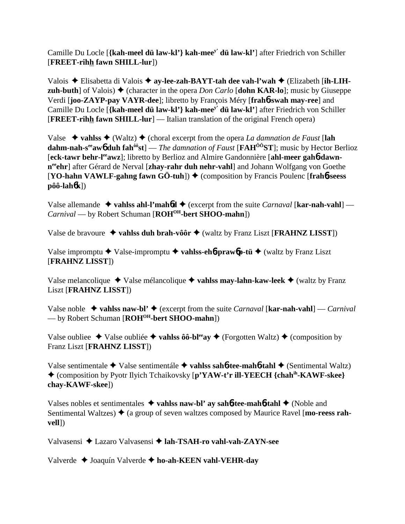Camille Du Locle [**{kah-meel dü law-kl'} kah-meey' dü law-kl'**] after Friedrich von Schiller [**FREET-rihh fawn SHILL-lur**])

Valois Elisabetta di Valois **ay-lee-zah-BAYT-tah dee vah-l'wah** (Elizabeth [**ih-LIHzuh-buth**] of Valois)  $\blacklozenge$  (character in the opera *Don Carlo* [**dohn KAR-lo**]; music by Giuseppe Verdi [**joo-ZAYP-pay VAYR-dee**]; libretto by François Méry [**frah**6**-swah may-ree**] and Camille Du Locle [**{kah-meel dü law-kl'} kah-meey' dü law-kl'**] after Friedrich von Schiller [**FREET-rihh fawn SHILL-lur**] — Italian translation of the original French opera)

Valse ◆ vahlss ◆ (Waltz) ◆ (choral excerpt from the opera *La damnation de Faust* [lah **dahm-nah-s<sup>ee</sup>aw<sub>0</sub> duh fah<sup>ôô</sup>st**] — *The damnation of Faust* [**FAH<sup>ôô</sup>ST**]; music by Hector Berlioz **[eck-tawr behr-l<sup>ee</sup>awz]**; libretto by Berlioz and Almire Gandonnière [ahl-meer gah6-dawnneehr] after Gérard de Nerval [zhay-rahr duh nehr-vahl] and Johann Wolfgang von Goethe  $[YO\text{-}hahn VAWLF\text{-}gahng fawn GÖ\text{-}tuh]$   $\blacklozenge$  (composition by Francis Poulenc [frah**6**-seess] **pôô-lah**6**k**])

Valse allemande  $\triangle$  vahlss ahl-l'mahod  $\triangle$  (excerpt from the suite *Carnaval* [kar-nah-vahl] — *Carnival* — by Robert Schuman [**ROH<sup>OH</sup>-bert SHOO-mahn**])

Valse de bravoure  $\triangleleft$  vahlss duh brah-vôôr  $\triangleleft$  (waltz by Franz Liszt [**FRAHNZ LISST**])

Valse impromptu Valse-impromptu **vahlss-eh**6**-praw**6**p-tü** (waltz by Franz Liszt [**FRAHNZ LISST**])

Valse melancolique  $\triangle$  Valse mélancolique  $\triangle$  vahlss may-lahn-kaw-leek  $\triangle$  (waltz by Franz Liszt [**FRAHNZ LISST**])

Valse noble **vahlss naw-bl'** (excerpt from the suite *Carnaval* [**kar-nah-vahl**] — *Carnival* — by Robert Schuman [**ROHOH-bert SHOO-mahn**])

Valse oubliee  $\triangle$  Valse oubliée  $\triangle$  **vahlss ôô-bl<sup>ee</sup>ay**  $\triangle$  (Forgotten Waltz)  $\triangle$  (composition by Franz Liszt [**FRAHNZ LISST**])

Valse sentimentale ◆ Valse sentimentále ◆ vahlss sah**6-tee-mah6-tahl** ◆ (Sentimental Waltz) (composition by Pyotr Ilyich Tchaikovsky [**p'YAW-t'r ill-YEECH {chahih-KAWF-skee} chay-KAWF-skee**])

Valses nobles et sentimentales **vahlss naw-bl' ay sah**6**-tee-mah**6**-tahl** (Noble and Sentimental Waltzes)  $\triangle$  (a group of seven waltzes composed by Maurice Ravel [**mo-reess rahvell**])

Valvasensi Lazaro Valvasensi **lah-TSAH-ro vahl-vah-ZAYN-see**

Valverde Joaquín Valverde **ho-ah-KEEN vahl-VEHR-day**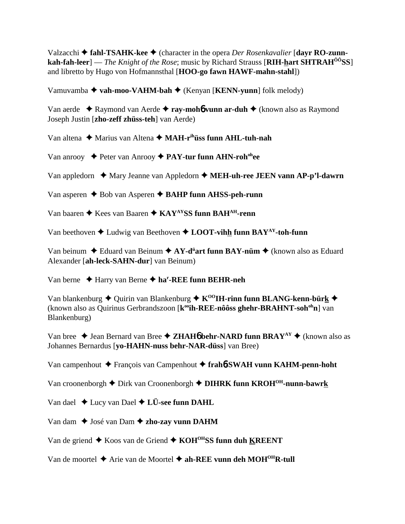Valzacchi **→ fahl-TSAHK-kee →** (character in the opera *Der Rosenkavalier* [**dayr RO-zunnkah-fah-leer**] — *The Knight of the Rose*; music by Richard Strauss [**RIH-hart SHTRAHÔÔSS**] and libretto by Hugo von Hofmannsthal [**HOO-go fawn HAWF-mahn-stahl**])

Vamuvamba **vah-moo-VAHM-bah** (Kenyan [**KENN-yunn**] folk melody)

Van aerde Raymond van Aerde **ray-moh**6 **vunn ar-duh** (known also as Raymond Joseph Justin [**zho-zeff zhüss-teh**] van Aerde)

Van altena **→** Marius van Altena → **MAH-r<sup>ih</sup>üss funn AHL-tuh-nah** 

Van anrooy ◆ Peter van Anrooy ◆ PAY-tur funn AHN-roh<sup>oh</sup>ee

Van appledorn ◆ Mary Jeanne van Appledorn ◆ MEH-uh-ree JEEN vann AP-p'l-dawrn

Van asperen **→** Bob van Asperen **→ BAHP funn AHSS-peh-runn** 

Van baaren ◆ Kees van Baaren ◆ KAY<sup>AY</sup>SS funn BAH<sup>AH</sup>-renn

Van beethoven  $\triangle$  Ludwig van Beethoven  $\triangle$  **LOOT-vihh funn BAY**<sup>AY</sup>-toh-funn

Van beinum ◆ Eduard van Beinum ◆ AY-d<sup>ü</sup>art funn BAY-nüm ◆ (known also as Eduard Alexander [**ah-leck-SAHN-dur**] van Beinum)

Van berne Harry van Berne **har -REE funn BEHR-neh**

Van blankenburg  $\triangleq$  Quirin van Blankenburg  $\triangleq$  K<sup>00</sup>IH-rinn funn BLANG-kenn-bürk  $\triangleq$ (known also as Quirinus Gerbrandszoon [k<sup>oo</sup>ih-REE-nôôss ghehr-BRAHNT-soh<sup>oh</sup>n] van Blankenburg)

Van bree  $\triangle$  Jean Bernard van Bree  $\triangle$  **ZHAH6** behr-NARD funn BRAY<sup>AY</sup>  $\triangle$  (known also as Johannes Bernardus [**yo-HAHN-nuss behr-NAR-düss**] van Bree)

Van campenhout François van Campenhout **frah**6**-SWAH vunn KAHM-penn-hoht**

Van croonenborgh **→** Dirk van Croonenborgh **→ DIHRK funn KROH<sup>OH</sup>-nunn-bawrk** 

Van dael  $\triangle$  Lucy van Dael  $\triangle$  L**Ü**-see funn DAHL

Van dam ◆ José van Dam **◆ zho-zay vunn DAHM** 

Van de griend  $\triangle$  Koos van de Griend  $\triangle$  KOH<sup>OH</sup>SS funn duh KREENT

Van de moortel  $\triangle$  Arie van de Moortel  $\triangle$  ah-REE vunn deh MOH<sup>OH</sup>R-tull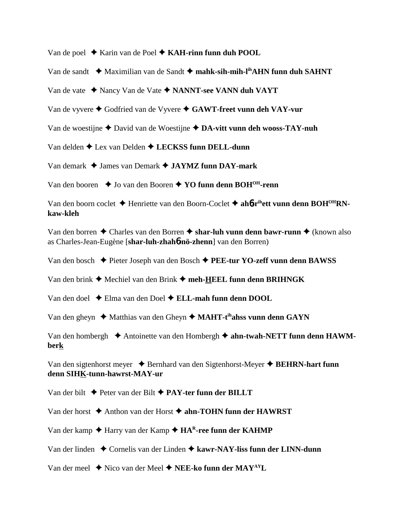Van de poel ◆ Karin van de Poel ◆ KAH-rinn funn duh POOL

Van de sandt ◆ Maximilian van de Sandt ◆ mahk-sih-mih-l<sup>ih</sup>AHN funn duh SAHNT

Van de vate Nancy Van de Vate **NANNT-see VANN duh VAYT**

Van de vyvere ◆ Godfried van de Vyvere ◆ GAWT-freet vunn deh VAY-vur

Van de woestijne **→** David van de Woestijne **→ DA-vitt vunn deh wooss-TAY-nuh** 

Van delden  $\triangle$  Lex van Delden  $\triangle$  LECKSS funn DELL-dunn

Van demark James van Demark **JAYMZ funn DAY-mark**

Van den booren **↓** Jo van den Booren **↓ YO funn denn BOH<sup>OH</sup>-renn** 

Van den boorn coclet ◆ Henriette van den Boorn-Coclet ◆ ah**6-r<sup>ih</sup>ett vunn denn BOH<sup>OH</sup>RNkaw-kleh**

Van den borren ◆ Charles van den Borren ◆ shar-luh vunn denn bawr-runn ◆ (known also as Charles-Jean-Eugène [**shar-luh-zhah**6**-nö-zhenn**] van den Borren)

Van den bosch Pieter Joseph van den Bosch **PEE-tur YO-zeff vunn denn BAWSS**

Van den brink ◆ Mechiel van den Brink ◆ meh-HEEL funn denn BRIHNGK

Van den doel Elma van den Doel **ELL-mah funn denn DOOL**

Van den gheyn ◆ Matthias van den Gheyn ◆ MAHT-t<sup>ih</sup>ahss vunn denn GAYN

Van den hombergh ◆ Antoinette van den Hombergh ◆ ahn-twah-NETT funn denn HAWM**berk**

Van den sigtenhorst meyer ◆ Bernhard van den Sigtenhorst-Meyer ◆ BEHRN-hart funn **denn SIHK-tunn-hawrst-MAY-ur**

Van der bilt Peter van der Bilt **PAY-ter funn der BILLT**

Van der horst **→** Anthon van der Horst **→ ahn-TOHN funn der HAWRST** 

Van der kamp ◆ Harry van der Kamp ◆ HA<sup>R</sup>-ree funn der KAHMP

Van der linden ◆ Cornelis van der Linden ◆ kawr-NAY-liss funn der LINN-dunn

Van der meel  $\blacklozenge$  Nico van der Meel  $\blacklozenge$  **NEE-ko funn der MAY**<sup>AY</sup>**L**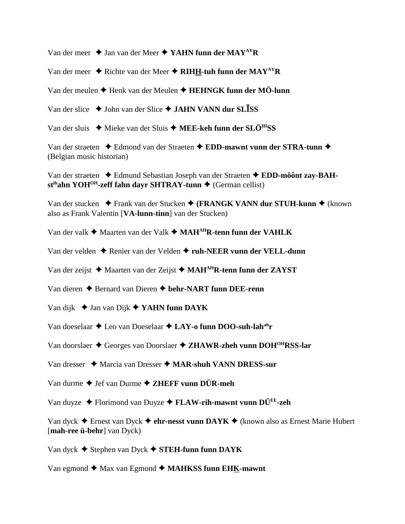Van der meer ◆ Jan van der Meer ◆ YAHN funn der MAY<sup>AY</sup>R

Van der meer  $\triangle$  Richte van der Meer  $\triangle$  RIHH-tuh funn der MAY<sup>AY</sup>R

Van der meulen **→** Henk van der Meulen **→ HEHNGK funn der MÖ-lunn** 

Van der slice ◆ John van der Slice ◆ **JAHN VANN dur SLISS** 

Van der sluis ◆ Mieke van der Sluis ◆ MEE-keh funn der SLÖ<sup>IH</sup>SS

Van der straeten  $\triangle$  Edmond van der Straeten  $\triangle$  EDD-mawnt vunn der STRA-tunn  $\triangle$ (Belgian music historian)

Van der straeten Edmund Sebastian Joseph van der Straeten **EDD-môônt zay-BAH**st<sup>ih</sup>ahn YOH<sup>OH</sup>-zeff fahn dayr SHTRAY-tunn ♦ (German cellist)

Van der stucken ◆ Frank van der Stucken ◆ (**FRANGK VANN dur STUH-kunn** ◆ (known also as Frank Valentin [**VA-lunn-tinn**] van der Stucken)

Van der valk ◆ Maarten van der Valk ◆ MAH<sup>AH</sup>R-tenn funn der VAHLK

Van der velden ◆ Renier van der Velden ◆ ruh-NEER vunn der VELL-dunn

Van der zeijst **→** Maarten van der Zeijst ◆ MAH<sup>AH</sup>R-tenn funn der ZAYST

Van dieren Bernard van Dieren **behr-NART funn DEE-renn**

Van dijk Jan van Dijk **YAHN funn DAYK**

Van doeselaar  $\triangle$  Leo van Doeselaar  $\triangle$  LAY-o funn DOO-suh-lah<sup>ah</sup>r

Van doorslaer  $\triangle$  Georges van Doorslaer  $\triangle$  **ZHAWR-zheh vunn DOH<sup>OH</sup>RSS-lar** 

Van dresser ◆ Marcia van Dresser ◆ MAR-shuh VANN DRESS-sur

Van durme ◆ Jef van Durme ◆ **ZHEFF vunn DÜR-meh** 

Van duyze Florimond van Duyze **FLAW-rih-mawnt vunn DÜEE-zeh**

Van dyck Ernest van Dyck **ehr-nesst vunn DAYK** (known also as Ernest Marie Hubert [**mah-ree ü-behr**] van Dyck)

Van dyck Stephen van Dyck **STEH-funn funn DAYK**

Van egmond  $\triangle$  Max van Egmond  $\triangle$  **MAHKSS funn EHK-mawnt**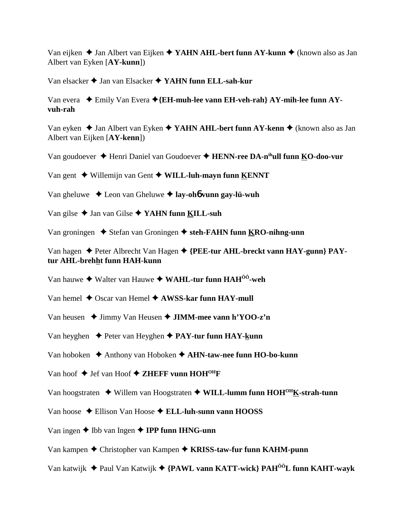Van eijken ◆ Jan Albert van Eijken ◆ **YAHN AHL-bert funn AY-kunn ◆** (known also as Jan Albert van Eyken [**AY-kunn**])

Van elsacker Jan van Elsacker **YAHN funn ELL-sah-kur**

Van evera Emily Van Evera **{EH-muh-lee vann EH-veh-rah} AY-mih-lee funn AYvuh-rah**

Van eyken ◆ Jan Albert van Eyken ◆ YAHN AHL-bert funn AY-kenn ◆ (known also as Jan Albert van Eijken [**AY-kenn**])

Van goudoever Henri Daniel van Goudoever **HENN-ree DA-nihull funn KO-doo-vur**

Van gent Willemijn van Gent **WILL-luh-mayn funn KENNT**

Van gheluwe Leon van Gheluwe **lay-oh**6 **vunn gay-lü-wuh**

Van gilse Jan van Gilse **YAHN funn KILL-suh**

Van groningen ◆ Stefan van Groningen ◆ steh-FAHN funn KRO-nihng-unn

Van hagen ◆ Peter Albrecht Van Hagen ◆ {PEE-tur AHL-breckt vann HAY-gunn} PAY**tur AHL-brehht funn HAH-kunn**

Van hauwe ◆ Walter van Hauwe ◆ WAHL-tur funn HAH<sup>ôô</sup>-weh

- Van hemel  $\triangle$  Oscar van Hemel  $\triangle$  **AWSS-kar funn HAY-mull**
- Van heusen **→** Jimmy Van Heusen → **JIMM-mee vann h'YOO-z'n**
- Van heyghen **→** Peter van Heyghen **→ PAY-tur funn HAY-kunn**
- Van hoboken ◆ Anthony van Hoboken ◆ **AHN-taw-nee funn HO-bo-kunn**
- Van hoof  $\blacklozenge$  Jef van Hoof  $\blacklozenge$  **ZHEFF vunn HOH<sup>OH</sup>F**
- Van hoogstraten  $\triangle$  Willem van Hoogstraten  $\triangle$  WILL-lumm funn HOH<sup>OH</sup>K-strah-tunn
- Van hoose Ellison Van Hoose **ELL-luh-sunn vann HOOSS**
- Van ingen **→** Ibb van Ingen **→ IPP funn IHNG-unn**
- Van kampen Christopher van Kampen **KRISS-taw-fur funn KAHM-punn**
- Van katwijk Paul Van Katwijk **{PAWL vann KATT-wick} PAHÔÔL funn KAHT-wayk**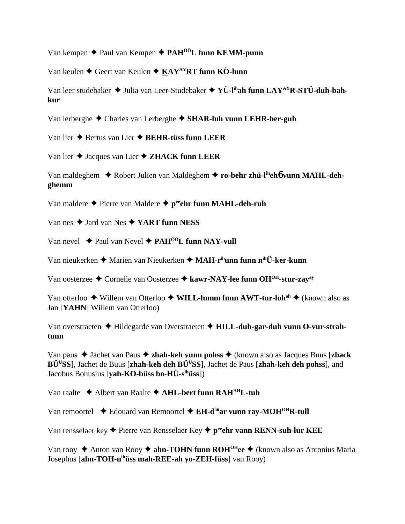Van kempen ◆ Paul van Kempen ◆ PAH<sup>ôô</sup>L funn KEMM-punn

Van keulen ◆ Geert van Keulen ◆ KAY<sup>AY</sup>RT funn KÖ-lunn

Van leer studebaker  $\triangleq$  Julia van Leer-Studebaker  $\triangleq$  YÜ-l<sup>ih</sup>ah funn LAY<sup>AY</sup>R-STÜ-duh-bah**kur**

Van lerberghe Charles van Lerberghe **SHAR-luh vunn LEHR-ber-guh** 

Van lier Bertus van Lier **BEHR-tüss funn LEER**

Van lier Jacques van Lier **ZHACK funn LEER**

Van maldeghem ◆ Robert Julien van Maldeghem ◆ ro-behr zhü-l<sup>ih</sup>eh**6** vunn MAHL-deh**ghemm**

Van maldere ◆ Pierre van Maldere ◆ p<sup>ee</sup>ehr funn MAHL-deh-ruh

Van nes  $\triangle$  Jard van Nes  $\triangle$  YART funn NESS

Van nevel  $\rightarrow$  Paul van Nevel  $\rightarrow$  PAH<sup>ôô</sup>L funn NAY-vull

Van nieukerken ◆ Marien van Nieukerken ◆ **MAH-r<sup>ih</sup>unn funn n<sup>ih</sup>Ü-ker-kunn** 

Van oosterzee **→** Cornelie van Oosterzee → kawr-NAY-lee funn OH<sup>OH</sup>-stur-zay<sup>ay</sup>

Van otterloo ◆ Willem van Otterloo ◆ W**ILL-lumm funn AWT-tur-loh<sup>oh</sup> ◆** (known also as Jan [**YAHN**] Willem van Otterloo)

Van overstraeten Hildegarde van Overstraeten **HILL-duh-gar-duh vunn O-vur-strahtunn**

Van paus Jachet van Paus **zhah-keh vunn pohss** (known also as Jacques Buus [**zhack BÜÜSS**], Jachet de Buus [**zhah-keh deh BÜÜSS**], Jachet de Paus [**zhah-keh deh pohss**], and Jacobus Bohusius [**yah-KO-büss bo-HÜ-sihüss**])

Van raalte Albert van Raalte **AHL-bert funn RAHAHL-tuh**

Van remoortel ◆ Edouard van Remoortel ◆ EH-d<sup>ôô</sup>ar vunn ray-MOH<sup>OH</sup>R-tull

Van rensselaer key  $\triangle$  Pierre van Rensselaer Key  $\triangle$  p<sup>ee</sup>ehr vann RENN-suh-lur KEE

Van rooy ◆ Anton van Rooy ◆ **ahn-TOHN funn ROH<sup>OH</sup>ee** ◆ (known also as Antonius Maria Josephus [**ahn-TOH-nihüss mah-REE-ah yo-ZEH-füss**] van Rooy)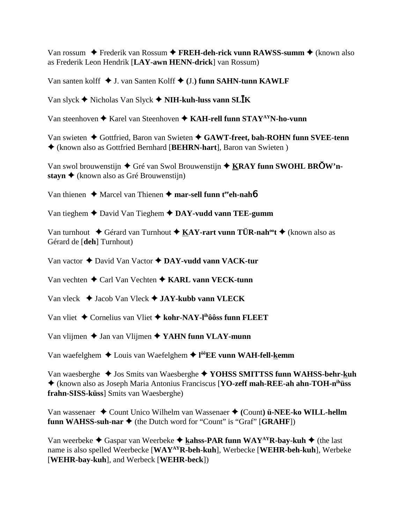Van rossum ◆ Frederik van Rossum ◆ FREH-deh-rick vunn RAWSS-summ ◆ (known also as Frederik Leon Hendrik [**LAY-awn HENN-drick**] van Rossum)

Van santen kolff J. van Santen Kolff **(**J.**) funn SAHN-tunn KAWLF**

Van slyck Nicholas Van Slyck **NIH-kuh-luss vann SLK**

Van steenhoven **→** Karel van Steenhoven **→ KAH-rell funn STAY<sup>AY</sup>N-ho-vunn** 

Van swieten ◆ Gottfried, Baron van Swieten ◆ GAWT-freet, bah-ROHN funn SVEE-tenn (known also as Gottfried Bernhard [**BEHRN-hart**], Baron van Swieten )

Van swol brouwenstijn ◆ Gré van Swol Brouwenstijn ◆ KRAY funn SWOHL BROW'n**stayn ♦** (known also as Gré Brouwenstijn)

Van thienen **→** Marcel van Thienen → mar-sell funn t<sup>ee</sup>ch-nah**6** 

Van tieghem David Van Tieghem **DAY-vudd vann TEE-gumm**

Van turnhout ◆ Gérard van Turnhout ◆ KAY-rart vunn TÜR-nah<sup>oo</sup>t ◆ (known also as Gérard de [**deh**] Turnhout)

Van vactor David Van Vactor **DAY-vudd vann VACK-tur**

Van vechten **→** Carl Van Vechten **→ KARL vann VECK-tunn** 

Van vleck Jacob Van Vleck **JAY-kubb vann VLECK**

Van vliet Cornelius van Vliet **kohr-NAY-lihôôss funn FLEET**

Van vlijmen **→** Jan van Vlijmen **→ YAHN funn VLAY-munn** 

Van waefelghem ◆ Louis van Waefelghem ◆ l<sup>ôô</sup>EE vunn WAH-fell-kemm

Van waesberghe  $\triangleq$  Jos Smits van Waesberghe  $\triangleq$  YOHSS SMITTSS funn WAHSS-behr-kuh (known also as Joseph Maria Antonius Franciscus [**YO-zeff mah-REE-ah ahn-TOH-nihüss frahn-SISS-küss**] Smits van Waesberghe)

Van wassenaer ◆ Count Unico Wilhelm van Wassenaer ◆ (Count) **ü-NEE-ko WILL-hellm funn WAHSS-suh-nar**  $\blacklozenge$  (the Dutch word for "Count" is "Graf" [GRAHF])

Van weerbeke  $\triangleleft$  Gaspar van Weerbeke  $\triangleleft$  kahss-PAR funn WAY<sup>AY</sup>R-bay-kuh  $\triangleleft$  (the last name is also spelled Weerbecke [**WAYAYR-beh-kuh**], Werbecke [**WEHR-beh-kuh**], Werbeke [**WEHR-bay-kuh**], and Werbeck [**WEHR-beck**])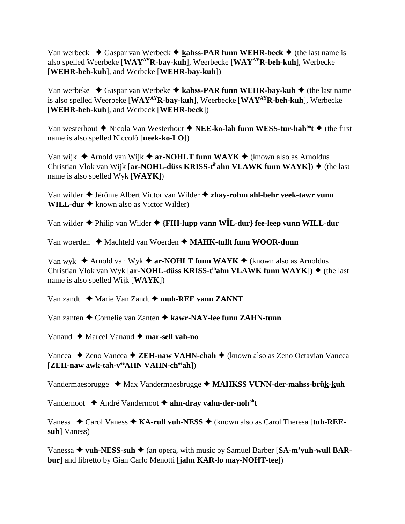Van werbeck  $\blacklozenge$  Gaspar van Werbeck  $\blacklozenge$  kahss-PAR funn WEHR-beck  $\blacklozenge$  (the last name is also spelled Weerbeke [**WAYAYR-bay-kuh**], Weerbecke [**WAYAYR-beh-kuh**], Werbecke [**WEHR-beh-kuh**], and Werbeke [**WEHR-bay-kuh**])

Van werbeke ◆ Gaspar van Werbeke ◆ kahss-PAR funn WEHR-bay-kuh ◆ (the last name is also spelled Weerbeke [**WAYAYR-bay-kuh**], Weerbecke [**WAYAYR-beh-kuh**], Werbecke [**WEHR-beh-kuh**], and Werbeck [**WEHR-beck**])

Van westerhout **◆** Nicola Van Westerhout ◆ NEE-ko-lah funn WESS-tur-hah<sup>oo</sup>t ◆ (the first name is also spelled Niccolò [**neek-ko-LO**])

Van wijk  $\triangle$  Arnold van Wijk  $\triangle$  ar-NOHLT funn WAYK  $\triangle$  (known also as Arnoldus Christian Vlok van Wijk [**ar-NOHL-düss KRISS-t<sup>ih</sup>ahn VLAWK funn WAYK**])  $\blacklozenge$  (the last name is also spelled Wyk [**WAYK**])

Van wilder Jérôme Albert Victor van Wilder **zhay-rohm ahl-behr veek-tawr vunn WILL-dur**  $\triangle$  known also as Victor Wilder)

Van wilder Philip van Wilder **{FIH-lupp vann WL-dur} fee-leep vunn WILL-dur**

Van woerden ◆ Machteld van Woerden ◆ MAHK-tullt funn WOOR-dunn

Van wyk  $\triangle$  Arnold van Wyk  $\triangle$  ar-NOHLT funn WAYK  $\triangle$  (known also as Arnoldus Christian Vlok van Wyk [**ar-NOHL-düss KRISS-t<sup>ih</sup>ahn VLAWK funn WAYK**])  $\blacklozenge$  (the last name is also spelled Wijk [**WAYK**])

Van zandt **→** Marie Van Zandt **→ muh-REE vann ZANNT** 

Van zanten Cornelie van Zanten **kawr-NAY-lee funn ZAHN-tunn**

Vanaud **→** Marcel Vanaud **→ mar-sell vah-no** 

Vancea ◆ Zeno Vancea ◆ ZEH-naw VAHN-chah ◆ (known also as Zeno Octavian Vancea [**ZEH-naw awk-tah-veeAHN VAHN-cheeah**])

Vandermaesbrugge ◆ Max Vandermaesbrugge ◆ MAHKSS VUNN-der-mahss-brük-kuh

Vandernoot  $\triangle$  André Vandernoot  $\triangle$  ahn-dray vahn-der-noh<sup>oh</sup>t

Vaness ◆ Carol Vaness ◆ KA-rull vuh-NESS ◆ (known also as Carol Theresa [tuh-REE**suh**] Vaness)

Vanessa ◆ vuh-NESS-suh ◆ (an opera, with music by Samuel Barber [SA-m'yuh-wull BAR**bur**] and libretto by Gian Carlo Menotti [**jahn KAR-lo may-NOHT-tee**])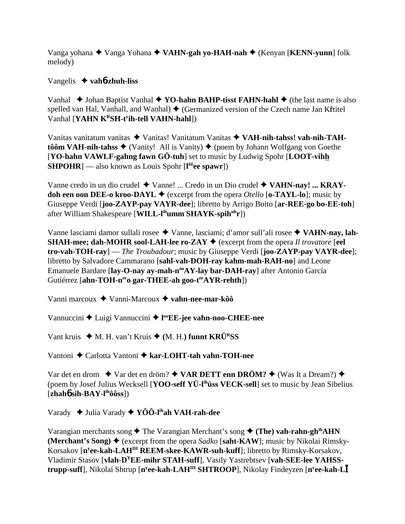Vanga yohana ◆ Vanga Yohana ◆ VAHN-gah yo-HAH-nah ◆ (Kenyan [KENN-yunn] folk melody)

Vangelis **vah**6**-zhuh-liss**

Vanhal  $\blacklozenge$  Johan Baptist Vanhal  $\blacklozenge$  **YO-hahn BAHP-tisst FAHN-hahl**  $\blacklozenge$  (the last name is also spelled van Hal, Vanhall, and Wanhal)  $\blacklozenge$  (Germanized version of the Czech name Jan Křtitel Vanhal [**YAHN KRSH-ty ih-tell VAHN-hahl**])

Vanitas vanitatum vanitas Vanitas! Vanitatum Vanitas **VAH-nih-tahss! vah-nih-TAHtôôm VAH-nih-tahss**  $\blacklozenge$  (Vanity! All is Vanity)  $\blacklozenge$  (poem by Johann Wolfgang von Goethe [**YO-hahn VAWLF-gahng fawn GÖ-tuh**] set to music by Ludwig Spohr [**LOOT-vihh SHPOHR**] — also known as Louis Spohr [**l ôôee spawr**])

Vanne credo in un dio crudel ◆ Vanne! ... Credo in un Dio crudel ◆ VA**HN-nay! ... KRAYdoh een oon DEE-o kroo-DAYL**  $\blacklozenge$  (excerpt from the opera *Otello* [**o-TAYL-lo**]; music by Giuseppe Verdi [**joo-ZAYP-pay VAYR-dee**]; libretto by Arrigo Boito [**ar-REE-go bo-EE-toh**] after William Shakespeare [**WILL-lihumm SHAYK-spihuhr**])

Vanne lasciami damor sullali rosee ◆ Vanne, lasciami; d'amor sull'ali rosee ◆ VA**HN-nay**, lah-**SHAH-mee; dah-MOHR sool-LAH-lee ro-ZAY**  $\blacklozenge$  (excerpt from the opera *Il trovatore* [eel] **tro-vah-TOH-ray**] — *The Troubadour*; music by Giuseppe Verdi [**joo-ZAYP-pay VAYR-dee**]; libretto by Salvadore Cammarano [**sahl-vah-DOH-ray kahm-mah-RAH-no**] and Leone Emanuele Bardare [lay-O-nay ay-mah-n<sup>oo</sup>AY-lay bar-DAH-ray] after Antonio García Gutiérrez [ahn-TOH-n<sup>ee</sup>o gar-THEE-ah goo-t<sup>ee</sup>AYR-rehth])

Vanni marcoux Vanni-Marcoux **vahn-nee-mar-kôô**

Vannuccini ◆ Luigi Vannuccini ◆ l<sup>oo</sup>EE-jee vahn-noo-CHEE-nee

Vant kruis  $\blacklozenge$  M. H. van't Kruis  $\blacklozenge$  (M. H.) funnt KRÜ<sup>R</sup>SS

Vantoni Carlotta Vantoni **kar-LOHT-tah vahn-TOH-nee**

Var det en drom **↓** Var det en dröm? ◆ **VAR DETT enn DRÖM? ◆** (Was It a Dream?) ◆ (poem by Josef Julius Wecksell [**YOO-seff YÜ-lihüss VECK-sell**] set to music by Jean Sibelius  $[\mathbf{zhah6\,sih\text{-}BAY\text{-}l\text{th}\hat{o}\hat{o}s\text{s}}]$ 

Varady Julia Varady **YÔÔ-lihah VAH-rah-dee**

Varangian merchants song ◆ The Varangian Merchant's song ◆ (The) vah-rahn-gh<sup>ih</sup>AHN **(Merchant's Song)**  $\blacklozenge$  (excerpt from the opera *Sadko* [saht-KAW]; music by Nikolai Rimsky-Korsakov [**ny ee-kah-LAHIH REEM-skee-KAWR-suh-kuff**]; libretto by Rimsky-Korsakov, Vladimir Stasov [**vlah-DYEE-mihr STAH-suff**], Vasily Yastrebtsev [**vah-SEE-lee YAHSStrupp-suff**], Nikolai Shtrup [**ny ee-kah-LAHIH SHTROOP**], Nikolay Findeyzen [**ny ee-kah-L**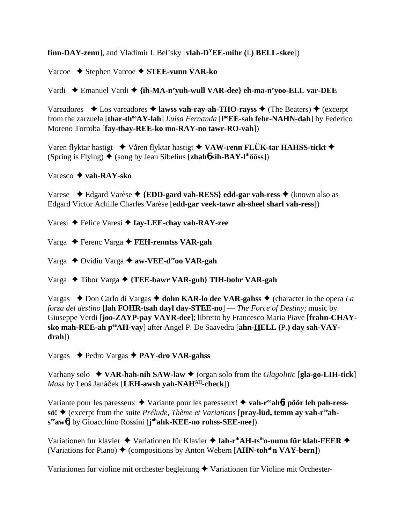**finn-DAY-zenn**], and Vladimir I. Bel'sky [**vlah-DYEE-mihr (**I.**) BELL-skee**])

Varcoe Stephen Varcoe **STEE-vunn VAR-ko**

Vardi Emanuel Vardi **{ih-MA-n'yuh-wull VAR-dee} eh-ma-n'yoo-ELL var-DEE**

Vareadores  $\triangle$  Los vareadores  $\triangle$  **lawss vah-ray-ah-THO-rayss**  $\triangle$  (The Beaters)  $\triangle$  (excerpt from the zarzuela [thar-th<sup>oo</sup>AY-lah] *Luisa Fernanda* [l<sup>oo</sup>EE-sah fehr-NAHN-dah] by Federico Moreno Torroba [**fay-thay-REE-ko mo-RAY-no tawr-RO-vah**])

Varen flyktar hastigt **→** Våren flyktar hastigt **→ VAW-renn FLÜK-tar HAHSS-tickt →** (Spring is Flying)  $\triangle$  (song by Jean Sibelius [**zhah<sup>6</sup> sih-BAY-l<sup>ih</sup>ôôss**])

Varesco **vah-RAY-sko**

Varese Edgard Varèse **{EDD-gard vah-RESS} edd-gar vah-ress** (known also as Edgard Victor Achille Charles Varèse [**edd-gar veek-tawr ah-sheel sharl vah-ress**])

Varesi Felice Varesi **fay-LEE-chay vah-RAY-zee**

Varga Ferenc Varga **FEH-renntss VAR-gah**

Varga ◆ Ovidiu Varga ◆ aw-VEE-d<sup>ee</sup>oo VAR-gah

Varga Tibor Varga **{TEE-bawr VAR-guh} TIH-bohr VAR-gah**

Vargas  $\rightarrow$  Don Carlo di Vargas  $\rightarrow$  dohn KAR-lo dee VAR-gahss  $\rightarrow$  (character in the opera *La forza del destino* [**lah FOHR-tsah dayl day-STEE-no**] — *The Force of Destiny*; music by Giuseppe Verdi [**joo-ZAYP-pay VAYR-dee**]; libretto by Francesco Maria Piave [**frahn-CHAYsko mah-REE-ah peeAH-vay**] after Angel P. De Saavedra [**ahn-HELL (**P.**) day sah-VAYdrah**])

Vargas Pedro Vargas **PAY-dro VAR-gahss**

Varhany solo  $\blacklozenge$  **VAR-hah-nih SAW-law**  $\blacklozenge$  (organ solo from the *Glagolitic* [**gla-go-LIH-tick**] *Mass* by Leoš Janáček [LEH-awsh yah-NAH<sup>AH</sup>-check])

Variante pour les paresseux ◆ Variante pour les paresseux! ◆ vah-r<sup>ee</sup>ah**6t pôôr leh pah-ress**sö! ♦ (excerpt from the suite *Prélude, Thème et Variations* [pray-lüd, temm ay vah-r<sup>ee</sup>ah**seeaw**6] by Gioacchino Rossini [**j ohahk-KEE-no rohss-SEE-nee**])

Variationen fur klavier ◆ Variationen für Klavier ◆ fah-r<sup>ih</sup>AH-ts<sup>ih</sup>o-nunn für klah-FEER ◆ (Variations for Piano)  $\blacklozenge$  (compositions by Anton Webern [A**HN-toh<sup>oh</sup>n VAY-bern**])

Variationen fur violine mit orchester begleitung  $\blacklozenge$  Variationen für Violine mit Orchester-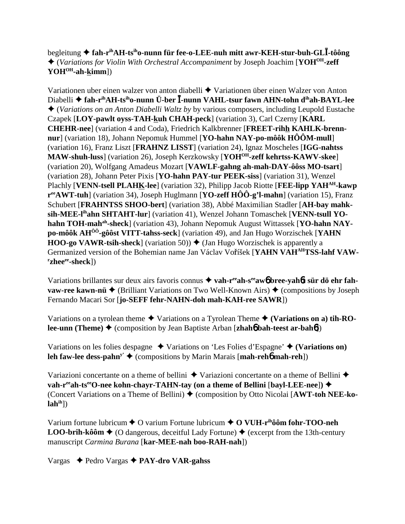begleitung  **fah-rihAH-tsiho-nunn für fee-o-LEE-nuh mitt awr-KEH-stur-buh-GL-tôông** (*Variations for Violin With Orchestral Accompaniment* by Joseph Joachim [**YOHOH-zeff** YOH<sup>OH</sup>-ah-kimm])

Variationen uber einen walzer von anton diabelli  $\blacklozenge$  Variationen über einen Walzer von Anton Diabelli  **fah-rihAH-tsiho-nunn Ü-ber -nunn VAHL-tsur fawn AHN-tohn dihah-BAYL-lee** (*Variations on an Anton Diabelli Waltz by* by various composers, including Leupold Eustache Czapek [**LOY-pawlt oyss-TAH-kuh CHAH-peck**] (variation 3), Carl Czerny [**KARL CHEHR-nee**] (variation 4 and Coda), Friedrich Kalkbrenner [**FREET-rihh KAHLK-brennnur**] (variation 18), Johann Nepomuk Hummel [**YO-hahn NAY-po-môôk HÔÔM-mull**] (variation 16), Franz Liszt [**FRAHNZ LISST**] (variation 24), Ignaz Moscheles [**IGG-nahtss MAW-shuh-luss**] (variation 26), Joseph Kerzkowsky [**YOHOH-zeff kehrtss-KAWV-skee**] (variation 20), Wolfgang Amadeus Mozart [**VAWLF-gahng ah-mah-DAY-ôôss MO-tsart**] (variation 28), Johann Peter Pixis [**YO-hahn PAY-tur PEEK-siss**] (variation 31), Wenzel Plachly [**VENN-tsell PLAHK-lee**] (variation 32), Philipp Jacob Riotte [**FEE-lipp YAHAH-kawp reeAWT-tuh**] (variation 34), Joseph Huglmann [**YO-zeff HÔÔ-g'l-mahn**] (variation 15), Franz Schubert [**FRAHNTSS SHOO-bert**] (variation 38), Abbé Maximilian Stadler [**AH-bay mahksih-MEE-lihahn SHTAHT-lur**] (variation 41), Wenzel Johann Tomaschek [**VENN-tsull YO**hahn TOH-mah<sup>ah</sup>-sheck] (variation 43), Johann Nepomuk August Wittassek [YO-hahn NAY**po-môôk AHÔÔ-gôôst VITT-tahss-seck**] (variation 49), and Jan Hugo Worzischek [**YAHN HOO-go VAWR-tsih-sheck**] (variation 50))  $\blacklozenge$  (Jan Hugo Worzischek is apparently a Germanized version of the Bohemian name Jan Václav Voříšek [YAHN VAH<sup>AH</sup>TSS-lahf VAW $r$ **zhee<sup>ee</sup>-sheck**])

Variations brillantes sur deux airs favoris connus **→ vah-r<sup>ee</sup>ah-s<sup>ee</sup>aw6 bree-vah6t sür dö ehr fahvaw-ree kawn-nü ♦** (Brilliant Variations on Two Well-Known Airs) ♦ (compositions by Joseph Fernando Macari Sor [**jo-SEFF fehr-NAHN-doh mah-KAH-ree SAWR**])

Variations on a tyrolean theme  $\blacklozenge$  Variations on a Tyrolean Theme  $\blacklozenge$  (Variations on a) tih-RO**lee-unn (Theme) ♦ (composition by Jean Baptiste Arban [zhah6 bah-teest ar-bah6])** 

Variations on les folies despagne  $\triangle$  Variations on 'Les Folies d'Espagne'  $\triangle$  (Variations on) **leh faw-lee dess-pahn<sup>y'</sup>**  $\blacklozenge$  **(compositions by Marin Marais [mah-reh<sup>6</sup> mah-reh])** 

Variazioni concertante on a theme of bellini  $\triangle$  Variazioni concertante on a theme of Bellini  $\triangle$ **vah-r<sup>ee</sup>ah-ts<sup>ee</sup>O-nee kohn-chayr-TAHN-tay (on a theme of Bellini [bayl-LEE-nee]) ◆** (Concert Variations on a Theme of Bellini) (composition by Otto Nicolai [**AWT-toh NEE-kolahih**])

Varium fortune lubricum **←** O varium Fortune lubricum **← O VUH-r<sup>ih</sup>ôôm fohr-TOO-neh LOO-brih-kôôm**  $\triangle$  (O dangerous, deceitful Lady Fortune)  $\triangle$  (excerpt from the 13th-century manuscript *Carmina Burana* [**kar-MEE-nah boo-RAH-nah**])

Vargas Pedro Vargas **PAY-dro VAR-gahss**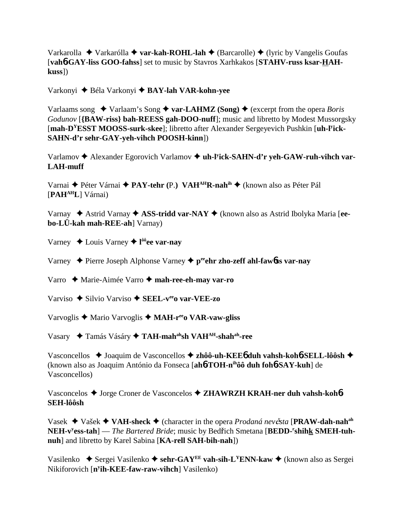Varkarolla ◆ Varkarólla ◆ **var-kah-ROHL-lah** ◆ (Barcarolle) ◆ (lyric by Vangelis Goufas [**vah**6**-GAY-liss GOO-fahss**] set to music by Stavros Xarhkakos [**STAHV-russ ksar-HAHkuss**])

Varkonyi Béla Varkonyi **BAY-lah VAR-kohn-yee**

Varlaams song  $\triangle$  Varlaam's Song  $\triangle$  var-LAHMZ (Song)  $\triangle$  (excerpt from the opera *Boris Godunov* [**{BAW-riss} bah-REESS gah-DOO-nuff**]; music and libretto by Modest Mussorgsky [mah-D<sup>Y</sup>ESST MOOSS-surk-skee]; libretto after Alexander Sergeyevich Pushkin [uh-l<sup>y</sup>ick-**SAHN-d'r sehr-GAY-yeh-vihch POOSH-kinn**])

Varlamov  $\triangle$  Alexander Egorovich Varlamov  $\triangle$  uh-l<sup>y</sup>ick-SAHN-d'r yeh-GAW-ruh-vihch var-**LAH-muff**

Varnai ◆ Péter Várnai ◆ PAY-tehr (P.) VAH<sup>AH</sup>R-nah<sup>ih</sup> ◆ (known also as Péter Pál [**PAHAHL**] Várnai)

Varnay Astrid Varnay  **ASS-tridd var-NAY** (known also as Astrid Ibolyka Maria [**eebo-LÜ-kah mah-REE-ah**] Varnay)

Varney Louis Varney **l ôôee var-nay**

Varney Pierre Joseph Alphonse Varney **peeehr zho-zeff ahl-faw**6**ss var-nay**

Varro Marie-Aimée Varro **mah-ree-eh-may var-ro**

Varviso Silvio Varviso **SEEL-veeo var-VEE-zo**

Varvoglis Mario Varvoglis **MAH-reeo VAR-vaw-gliss**

Vasary Tamás Vásáry **TAH-mahahsh VAHAH-shahah-ree**

Vasconcellos ◆ Joaquim de Vasconcellos ◆ zhôô-uh-KEE6 duh vahsh-koh6-SELL-lôôsh ◆ (known also as Joaquim António da Fonseca [**ah**6**-TOH-nihôô duh foh**6**-SAY-kuh**] de Vasconcellos)

Vasconcelos ◆ Jorge Croner de Vasconcelos ◆ ZHAWRZH KRAH-ner duh vahsh-koh**6 SEH-lôôsh**

Vasek Vašek **VAH-sheck** (character in the opera *Prodaná nevsta* [**PRAW-dah-nahah** NEH-v<sup>y</sup>ess-tah] — *The Bartered Bride*; music by Bedřich Smetana [BEDD-<sup>r</sup>shihk SMEH-tuh**nuh**] and libretto by Karel Sabina [**KA-rell SAH-bih-nah**])

Vasilenko  $\blacklozenge$  Sergei Vasilenko  $\blacklozenge$  sehr-GAY<sup>EE</sup> vah-sih-L<sup>Y</sup>ENN-kaw  $\blacklozenge$  (known also as Sergei Nikiforovich [**ny ih-KEE-faw-raw-vihch**] Vasilenko)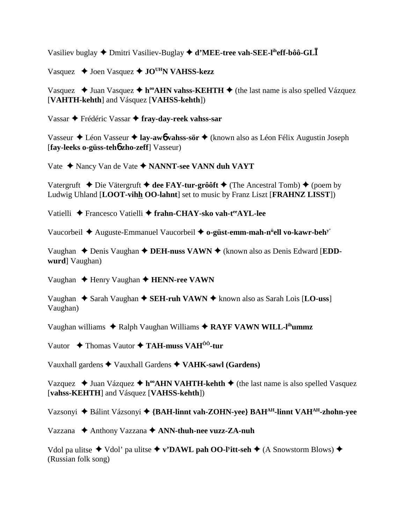Vasiliev buglay  $\triangle$  Dmitri Vasiliev-Buglay  $\triangle$  d'MEE-tree vah-SEE-l<sup>ih</sup>eff-bôô-GL

Vasquez  $\triangle$  Joen Vasquez  $\triangle$  JO<sup>UH</sup>N VAHSS-kezz

Vasquez ← Juan Vasquez ← h<sup>oo</sup>AHN vahss-KEHTH ← (the last name is also spelled Vázquez [VAHTH-kehth] and Vásquez [VAHSS-kehth])

Vassar ← Frédéric Vassar ← fray-day-reek vahss-sar

Vasseur ◆ Léon Vasseur ◆ lay-awb vahss-sör ◆ (known also as Léon Félix Augustin Joseph [fay-leeks o-güss-teho zho-zeff] Vasseur)

Vate ◆ Nancy Van de Vate ◆ NANNT-see VANN duh VAYT

Vatergruft  $\triangle$  Die Vätergruft  $\triangle$  dee FAY-tur-grôôft  $\triangle$  (The Ancestral Tomb)  $\triangle$  (poem by Ludwig Uhland [LOOT-vihh OO-lahnt] set to music by Franz Liszt [FRAHNZ LISST])

Vatielli ◆ Francesco Vatielli ◆ frahn-CHAY-sko vah-t<sup>ee</sup>AYL-lee

Vaucorbeil ◆ Auguste-Emmanuel Vaucorbeil ◆ o-güst-emm-mah-n<sup>u</sup>ell vo-kawr-beh<sup>y'</sup>

Vaughan  $\triangle$  Denis Vaughan  $\triangle$  DEH-nuss VAWN  $\triangle$  (known also as Denis Edward [EDDwurd] Vaughan)

Vaughan  $\triangle$  Henry Vaughan  $\triangle$  HENN-ree VAWN

Vaughan  $\triangle$  Sarah Vaughan  $\triangle$  SEH-ruh VAWN  $\triangle$  known also as Sarah Lois [LO-uss] Vaughan)

Vaughan williams  $\triangle$  Ralph Vaughan Williams  $\triangle$  RAYF VAWN WILL-l<sup>ih</sup>ummz

Vautor  $\triangle$  Thomas Vautor  $\triangle$  TAH-muss VAH<sup> $\hat{0}$ 0-tur</sup>

Vauxhall gardens  $\blacklozenge$  Vauxhall Gardens  $\blacklozenge$  VAHK-sawl (Gardens)

Vazquez → Juan Vázquez → h<sup>oo</sup>AHN VAHTH-kehth → (the last name is also spelled Vasquez [vahss-KEHTH] and Vásquez [VAHSS-kehth])

Vazsonyi ◆ Bálint Vázsonyi ◆ {BAH-linnt vah-ZOHN-yee} BAH<sup>AH</sup>-linnt VAH<sup>AH</sup>-zhohn-yee

Vazzana ◆ Anthony Vazzana ◆ ANN-thuh-nee vuzz-ZA-nuh

Vdol pa ulitse  $\blacklozenge$  Vdol' pa ulitse  $\blacklozenge$  v'DAWL pah OO-l'itt-seh  $\blacklozenge$  (A Snowstorm Blows)  $\blacklozenge$ (Russian folk song)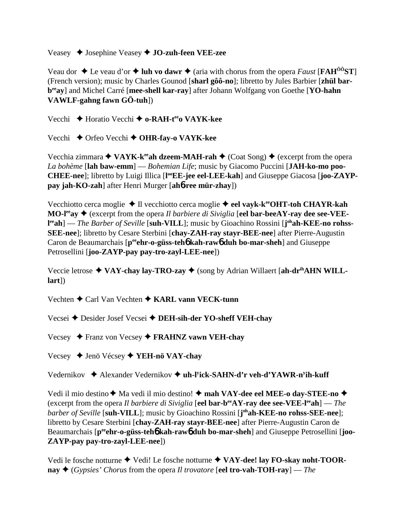Veasey Josephine Veasey **JO-zuh-feen VEE-zee**

Veau dor  $\triangle$  Le veau d'or  $\triangle$  luh vo dawr  $\triangle$  (aria with chorus from the opera *Faust* [**FAH**<sup>ôô</sup>**ST**] (French version); music by Charles Gounod [**sharl gôô-no**]; libretto by Jules Barbier [**zhül barbeeay**] and Michel Carré [**mee-shell kar-ray**] after Johann Wolfgang von Goethe [**YO-hahn VAWLF-gahng fawn GÖ-tuh**])

Vecchi **→** Horatio Vecchi **→ o-RAH-t<sup>ee</sup>o VAYK-kee** 

Vecchi **←** Orfeo Vecchi ← **OHR-fay-o VAYK-kee** 

Vecchia zimmara  $\triangleleft$  VAYK-k<sup>ee</sup>ah dzeem-MAH-rah  $\triangleq$  (Coat Song)  $\triangleq$  (excerpt from the opera *La bohème* [**lah baw-emm**] — *Bohemian Life*; music by Giacomo Puccini [**JAH-ko-mo poo-**CHEE-nee]; libretto by Luigi Illica [l<sup>oo</sup>EE-jee eel-LEE-kah] and Giuseppe Giacosa [joo-ZAYP**pay jah-KO-zah**] after Henri Murger [**ah**6**-ree mür-zhay**])

Vecchiotto cerca moglie **→** Il vecchiotto cerca moglie **→ eel vayk-k<sup>ee</sup>OHT-toh CHAYR-kah MO-l<sup>ee</sup>ay ♦** (excerpt from the opera *Il barbiere di Siviglia* [eel bar-beeAY-ray dee see-VEEl<sup>ee</sup>ah] — *The Barber of Seville* [suh-VILL]; music by Gioachino Rossini [j<sup>oh</sup>ah-KEE-no rohss-**SEE-nee**]; libretto by Cesare Sterbini [**chay-ZAH-ray stayr-BEE-nee**] after Pierre-Augustin Caron de Beaumarchais [p<sup>ee</sup>ehr-o-güss-teh**6** kah-raw**6** duh bo-mar-sheh] and Giuseppe Petrosellini [**joo-ZAYP-pay pay-tro-zayl-LEE-nee**])

Veccie letrose **→ VAY-chay lay-TRO-zay →** (song by Adrian Willaert [ah-dr<sup>ih</sup>AHN WILL**lart**])

Vechten **→** Carl Van Vechten **→ KARL vann VECK-tunn** 

Vecsei **→** Desider Josef Vecsei → DEH-sih-der YO-sheff VEH-chav

Vecsey Franz von Vecsey **FRAHNZ vawn VEH-chay**

Vecsey Jenö Vécsey **YEH-nö VAY-chay**

Vedernikov ◆ Alexander Vedernikov ◆ uh-l<sup>y</sup>ick-SAHN-d'r veh-d'YAWR-n<sup>y</sup>ih-kuff

Vedi il mio destino ◆ Ma vedi il mio destino! ◆ **mah VAY-dee eel MEE-o day-STEE-no ◆** (excerpt from the opera *Il barbiere di Siviglia* [**eel bar-beeAY-ray dee see-VEE-leeah**] — *The barber of Seville* [**suh-VILL**]; music by Gioachino Rossini [**j ohah-KEE-no rohss-SEE-nee**]; libretto by Cesare Sterbini [**chay-ZAH-ray stayr-BEE-nee**] after Pierre-Augustin Caron de Beaumarchais [peent-o-güss-teh bkah-raw bduh bo-mar-sheh] and Giuseppe Petrosellini [joo-**ZAYP-pay pay-tro-zayl-LEE-nee**])

Vedi le fosche notturne ◆ Vedi! Le fosche notturne ◆ VAY-dee! lay FO-skay noht-TOOR- $\mathbf{nav} \triangleleft (Gy \text{ is } Gy \text{ is } Gy \text{ is } Gy \text{ is } Gy \text{ is } Gy \text{ is } Gy \text{ is } Gy \text{ is } Gy \text{ is } Gy \text{ is } Gy \text{ is } Gy \text{ is } Gy \text{ is } Gy \text{ is } Gy \text{ is } Gy \text{ is } Gy \text{ is } Gy \text{ is } Gy \text{ is } Gy \text{ is } Gy \text{ is } Gy \text{ is } Gy \text{ is } Gy \text{ is } Gy \text{ is } Gy \text{ is } Gy \text{ is } Gy \text{ is } Gy \text{ is } Gy \text{ is }$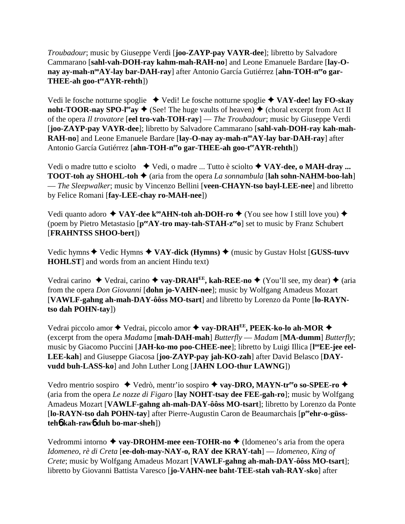*Troubadour*; music by Giuseppe Verdi [**joo-ZAYP-pay VAYR-dee**]; libretto by Salvadore Cammarano [**sahl-vah-DOH-ray kahm-mah-RAH-no**] and Leone Emanuele Bardare [**lay-O**nay ay-mah-n<sup>oo</sup>AY-lay bar-DAH-ray] after Antonio García Gutiérrez [ahn-TOH-n<sup>ee</sup>o gar-**THEE-ah goo-teeAYR-rehth**])

Vedi le fosche notturne spoglie ◆ Vedi! Le fosche notturne spoglie ◆ VAY-dee! lay FO-skay **noht-TOOR-nay SPO-l<sup>ee</sup>ay**  $\blacklozenge$  (See! The huge vaults of heaven)  $\blacklozenge$  (choral excerpt from Act II of the opera *Il trovatore* [**eel tro-vah-TOH-ray**] — *The Troubadour*; music by Giuseppe Verdi [**joo-ZAYP-pay VAYR-dee**]; libretto by Salvadore Cammarano [**sahl-vah-DOH-ray kah-mah-RAH-no**] and Leone Emanuele Bardare [lay-O-nay ay-mah-n<sup>oo</sup>AY-lay bar-DAH-ray] after Antonio García Gutiérrez [ahn-TOH-neeo gar-THEE-ah goo-teeAYR-rehth])

Vedi o madre tutto e sciolto  $\blacklozenge$  Vedi, o madre ... Tutto è sciolto  $\blacklozenge$  VAY-dee, o MAH-dray ... **TOOT-toh ay SHOHL-toh**  $\blacklozenge$  (aria from the opera *La sonnambula* [lah sohn-NAHM-boo-lah] — *The Sleepwalker*; music by Vincenzo Bellini [**veen-CHAYN-tso bayl-LEE-nee**] and libretto by Felice Romani [**fay-LEE-chay ro-MAH-nee**])

Vedi quanto adoro  $\triangleleft$  VAY-dee k<sup>oo</sup>AHN-toh ah-DOH-ro  $\triangleq$  (You see how I still love you)  $\triangleq$ (poem by Pietro Metastasio [ $p^{ee}AY$ -tro may-tah-STAH-z<sup>ee</sup>o] set to music by Franz Schubert [**FRAHNTSS SHOO-bert**])

Vedic hymns ◆ Vedic Hymns ◆ VAY-dick (Hymns) ◆ (music by Gustav Holst [GUSS-tuvv **HOHLST**] and words from an ancient Hindu text)

Vedrai carino  $\rightarrow$  Vedrai, carino  $\rightarrow$  vay-DRAH<sup>EE</sup>, kah-REE-no  $\rightarrow$  (You'll see, my dear)  $\rightarrow$  (aria from the opera *Don Giovanni* [**dohn jo-VAHN-nee**]; music by Wolfgang Amadeus Mozart [**VAWLF-gahng ah-mah-DAY-ôôss MO-tsart**] and libretto by Lorenzo da Ponte [**lo-RAYNtso dah POHN-tay**])

Vedrai piccolo amor ◆ Vedrai, piccolo amor ◆ vay-DRAH<sup>EE</sup>, PEEK-ko-lo ah-MOR ◆ (excerpt from the opera *Madama* [**mah-DAH-mah**] *Butterfly* — *Madam* [**MA-dumm**] *Butterfly*; music by Giacomo Puccini [JAH-ko-mo poo-CHEE-nee]; libretto by Luigi Illica [l<sup>oo</sup>EE-jee eel-**LEE-kah**] and Giuseppe Giacosa [**joo-ZAYP-pay jah-KO-zah**] after David Belasco [**DAYvudd buh-LASS-ko**] and John Luther Long [**JAHN LOO-thur LAWNG**])

Vedro mentrio sospiro ◆ Vedrò, mentr'io sospiro ◆ vay-DRO, MAYN-tr<sup>ee</sup>o so-SPEE-ro ◆ (aria from the opera *Le nozze di Figaro* [**lay NOHT-tsay dee FEE-gah-ro**]; music by Wolfgang Amadeus Mozart [**VAWLF-gahng ah-mah-DAY-ôôss MO-tsart**]; libretto by Lorenzo da Ponte [lo-RAYN-tso dah POHN-tay] after Pierre-Augustin Caron de Beaumarchais [p<sup>ee</sup>ehr-o-güss**teh**6 **kah-raw**6 **duh bo-mar-sheh**])

Vedrommi intorno  $\triangle$  vay-DROHM-mee een-TOHR-no  $\triangle$  (Idomeneo's aria from the opera *Idomeneo, rè di Creta* [**ee-doh-may-NAY-o, RAY dee KRAY-tah**] — *Idomeneo, King of Crete*; music by Wolfgang Amadeus Mozart [**VAWLF-gahng ah-mah-DAY-ôôss MO-tsart**]; libretto by Giovanni Battista Varesco [**jo-VAHN-nee baht-TEE-stah vah-RAY-sko**] after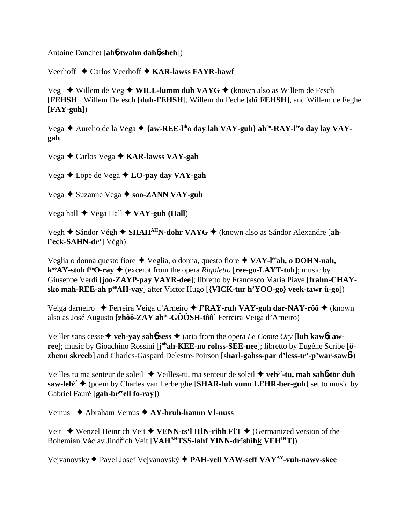Antoine Danchet [**ah**6**-twahn dah**6**-sheh**])

Veerhoff **→** Carlos Veerhoff ◆ **KAR-lawss FAYR-hawf** 

Veg ◆ Willem de Veg ◆ **WILL-lumm duh VAYG** ◆ (known also as Willem de Fesch [**FEHSH**], Willem Defesch [**duh-FEHSH**], Willem du Feche [**dü FEHSH**], and Willem de Feghe [**FAY-guh**])

Vega **→** Aurelio de la Vega → {aw-REE-l<sup>ih</sup>o day lah VAY-guh} ah<sup>oo</sup>-RAY-l<sup>ee</sup>o day lay VAY**gah**

Vega Carlos Vega **KAR-lawss VAY-gah**

Vega Lope de Vega **LO-pay day VAY-gah**

Vega **→** Suzanne Vega → soo-ZANN VAY-guh

Vega hall ◆ Vega Hall ◆ **VAY-guh (Hall)** 

Vegh ◆ Sándor Végh ◆ SHAH<sup>AH</sup>N-dohr VAYG ◆ (known also as Sándor Alexandre [ah**l y eck-SAHN-dr'**] Végh)

Veglia o donna questo fiore Veglia, o donna, questo fiore **VAY-leeah, o DOHN-nah,**  $k^{\omega}AY$ -stoh  $f^{\epsilon}O$ -ray  $\blacklozenge$  (excerpt from the opera *Rigoletto* [**ree-go-LAYT-toh**]; music by Giuseppe Verdi [**joo-ZAYP-pay VAYR-dee**]; libretto by Francesco Maria Piave [**frahn-CHAYsko mah-REE-ah peeAH-vay**] after Victor Hugo [**{VICK-tur h'YOO-go} veek-tawr ü-go**])

Veiga darneiro ◆ Ferreira Veiga d'Arneiro ◆ f'RAY-ruh VAY-guh dar-NAY-rôô ◆ (known also as José Augusto [**zhôô-ZAY ahôô-GÔÔSH-tôô**] Ferreira Veiga d'Arneiro)

Veiller sans cesse  $\blacklozenge$  veh-yay sah**6** sess  $\blacklozenge$  (aria from the opera *Le Comte Ory* [luh kaw6**t** awree]; music by Gioachino Rossini [johah-KEE-no rohss-SEE-nee]; libretto by Eugène Scribe [ö**zhenn skreeb**] and Charles-Gaspard Delestre-Poirson [**sharl-gahss-par d'less-tr'-p'war-saw**6])

Veilles tu ma senteur de soleil Veilles-tu, ma senteur de soleil  **vehy'-tu, mah sah**6**-tör duh**  $\textbf{saw-leh}^y$   $\blacklozenge$  (poem by Charles van Lerberghe [SHAR-luh vunn LEHR-ber-guh] set to music by Gabriel Fauré [gah-br<sup>ee</sup>ell fo-ray])

Veinus Abraham Veinus **AY-bruh-hamm V-nuss**

Veit  $\blacklozenge$  Wenzel Heinrich Veit  $\blacklozenge$  VENN-ts'l HIN-rihh FIT  $\blacklozenge$  (Germanized version of the Bohemian Václav Jindřich Veit [**VAH<sup>AH</sup>TSS-lahf YINN-dr'shih<u>k</u> VEH<sup>IH</sup>T**])

Vejvanovsky Pavel Josef Vejvanovský **PAH-vell YAW-seff VAYAY-vuh-nawv-skee**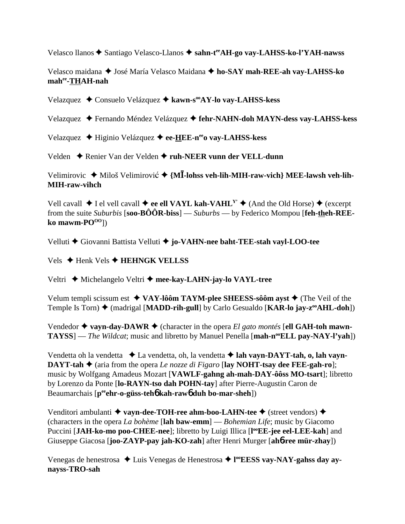Velasco llanos ◆ Santiago Velasco-Llanos ◆ sahn-t<sup>ee</sup>AH-go vav-LAHSS-ko-l'YAH-nawss

Velasco maidana ◆ José María Velasco Maidana ◆ ho-SAY mah-REE-ah vay-LAHSS-ko **mahee-THAH-nah**

Velazquez Consuelo Velázquez **kawn-sooAY-lo vay-LAHSS-kess**

Velazquez Fernando Méndez Velázquez **fehr-NAHN-doh MAYN-dess vay-LAHSS-kess**

Velazquez Higinio Velázquez **ee-HEE-neeo vay-LAHSS-kess**

Velden ◆ Renier Van der Velden ◆ ruh-NEER vunn der VELL-dunn

Velimirovic ◆ Miloš Velimirović ◆ {M**I**-lohss veh-lih-MIH-raw-vich} MEE-lawsh veh-lih-**MIH-raw-vihch**

Vell cavall  $\blacklozenge$  I el vell cavall  $\blacklozenge$  **ee ell VAYL kah-VAHL<sup>Y</sup>**  $\blacklozenge$  (And the Old Horse)  $\blacklozenge$  (excerpt from the suite *Suburbis* [**soo-BÔÔR-biss**] — *Suburbs* — by Federico Mompou [**feh-theh-REE**ko mawm-PO<sup>OO</sup>])

Velluti Giovanni Battista Velluti **jo-VAHN-nee baht-TEE-stah vayl-LOO-tee**

Vels **→ Henk Vels → HEHNGK VELLSS** 

Veltri ◆ Michelangelo Veltri ◆ mee-kay-LAHN-jay-lo VAYL-tree

Velum templi scissum est  $\blacklozenge$  VAY-lôôm TAYM-plee SHEESS-sôôm ayst  $\blacklozenge$  (The Veil of the Temple Is Torn)  $\blacklozenge$  (madrigal [MADD-rih-gull] by Carlo Gesualdo [KAR-lo jay-z<sup>oo</sup>AHL-doh])

Vendedor  $\triangle$  vayn-day-DAWR  $\triangle$  (character in the opera *El gato montés* [ell GAH-toh mawn-**TAYSS**] — *The Wildcat*; music and libretto by Manuel Penella [**mah-n<sup>oo</sup>ELL pay-NAY-l'yah**])

Vendetta oh la vendetta La vendetta, oh, la vendetta **lah vayn-DAYT-tah, o, lah vayn-DAYT-tah**  $\triangle$  (aria from the opera *Le nozze di Figaro* [lay NOHT-tsay dee FEE-gah-ro]; music by Wolfgang Amadeus Mozart [**VAWLF-gahng ah-mah-DAY-ôôss MO-tsart**]; libretto by Lorenzo da Ponte [**lo-RAYN-tso dah POHN-tay**] after Pierre-Augustin Caron de Beaumarchais [**peeehr-o-güss-teh**6 **kah-raw**6 **duh bo-mar-sheh**])

Venditori ambulanti **↓ vayn-dee-TOH-ree ahm-boo-LAHN-tee →** (street vendors) ◆ (characters in the opera *La bohème* [**lah baw-emm**] — *Bohemian Life*; music by Giacomo Puccini [JAH-ko-mo poo-CHEE-nee]; libretto by Luigi Illica [l<sup>oo</sup>EE-jee eel-LEE-kah] and Giuseppe Giacosa [**joo-ZAYP-pay jah-KO-zah**] after Henri Murger [**ah**6**-ree mür-zhay**])

Venegas de henestrosa ◆ Luis Venegas de Henestrosa ◆ l<sup>oo</sup>EESS vay-NAY-gahss day ay**nayss-TRO-sah**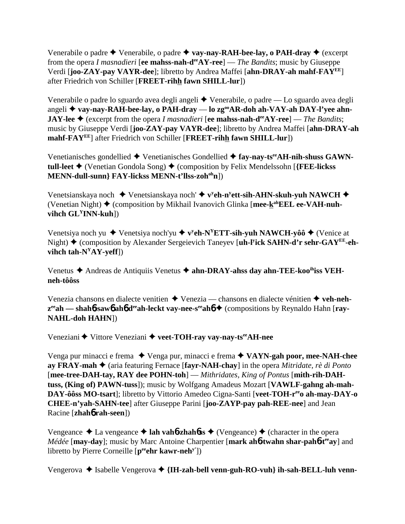Venerabile o padre  $\triangle$  Venerabile, o padre  $\triangle$  vay-nay-RAH-bee-lay, o PAH-dray  $\triangle$  (excerpt from the opera *I masnadieri* [**ee mahss-nah-deeAY-ree**] — *The Bandits*; music by Giuseppe Verdi [**joo-ZAY-pay VAYR-dee**]; libretto by Andrea Maffei [**ahn-DRAY-ah mahf-FAYEE**] after Friedrich von Schiller [**FREET-rihh fawn SHILL-lur**])

Venerabile o padre lo sguardo avea degli angeli Venerabile, o padre — Lo sguardo avea degli angeli **vay-nay-RAH-bee-lay, o PAH-dray** — **lo zgooAR-doh ah-VAY-ah DAY-l'yee ahn-JAY-lee ♦** (excerpt from the opera *I masnadieri* [ee mahss-nah-d<sup>ee</sup>AY-ree] — *The Bandits*; music by Giuseppe Verdi [**joo-ZAY-pay VAYR-dee**]; libretto by Andrea Maffei [**ahn-DRAY-ah mahf-FAYEE**] after Friedrich von Schiller [**FREET-rihh fawn SHILL-lur**])

Venetianisches gondellied ◆ Venetianisches Gondellied ◆ fay-nay-ts<sup>ee</sup>AH-nih-shuss GAWN**tull-leet ♦** (Venetian Gondola Song) ♦ (composition by Felix Mendelssohn [{FEE-lickss **MENN-dull-sunn} FAY-lickss MENN-t'llss-zohohn**])

Venetsianskaya noch ◆ Venetsianskaya noch' ◆ v<sup>y</sup>eh-n<sup>y</sup>ett-sih-AHN-skuh-yuh NAWCH ◆ (Venetian Night) (composition by Mikhail Ivanovich Glinka [**mee-kahEEL ee-VAH-nuhvihch GLYINN-kuh**])

Venetsiya noch yu ◆ Venetsiya noch'yu ◆ v<sup>y</sup>**eh-N<sup>Y</sup>ETT-sih-yuh NAWCH-yôô ◆** (Venice at Night) ◆ (composition by Alexander Sergeievich Taneyev [**uh-l<sup>y</sup>ick SAHN-d'r sehr-GAY<sup>EE</sup>-eh**vihch  $\text{tah-N}^{Y}AY\text{-}y\text{-}eff$ ])

Venetus ◆ Andreas de Antiquiis Venetus ◆ ahn-DRAY-ahss day ahn-TEE-koo<sup>ih</sup>iss VEH**neh-tôôss**

Venezia chansons en dialecte venitien Venezia — chansons en dialecte vénitien **veh-nehz<sup>ee</sup>ah** — shah**6**-saw**6** ah**6** d<sup>ee</sup>ah-leckt vay-nee-s<sup>ee</sup>ah**6** ♦ (compositions by Reynaldo Hahn [ray-**NAHL-doh HAHN**])

Veneziani **◆** Vittore Veneziani ◆ veet-TOH-ray vay-nay-ts<sup>ee</sup>AH-nee

Venga pur minacci e frema ◆ Venga pur, minacci e frema ◆ VAYN-gah poor, mee-NAH-chee **ay FRAY-mah** (aria featuring Fernace [**fayr-NAH-chay**] in the opera *Mitridate, rè di Ponto* [**mee-tree-DAH-tay, RAY dee POHN-toh**] — *Mithridates, King of Pontus* [**mith-rih-DAHtuss, (King of) PAWN-tuss**]); music by Wolfgang Amadeus Mozart [**VAWLF-gahng ah-mah-**DAY-ôôss MO-tsart]; libretto by Vittorio Amedeo Cigna-Santi [veet-TOH-r<sup>ee</sup>o ah-may-DAY-o **CHEE-n'yah-SAHN-tee**] after Giuseppe Parini [**joo-ZAYP-pay pah-REE-nee**] and Jean Racine [**zhah**6 **rah-seen**])

Vengeance  $\triangle$  La vengeance  $\triangle$  **lah vah<sup>6</sup>-zhah<sup>6</sup>ss**  $\triangle$  (Vengeance)  $\triangle$  (character in the opera *Médée* [**may-day**]; music by Marc Antoine Charpentier [**mark ah6-twahn shar-pah6-t<sup>ee</sup>ay**] and libretto by Pierre Corneille [peehr kawr-neh<sup>y'</sup>])

Vengerova **→** Isabelle Vengerova → {IH-zah-bell venn-guh-RO-vuh} ih-sah-BELL-luh venn-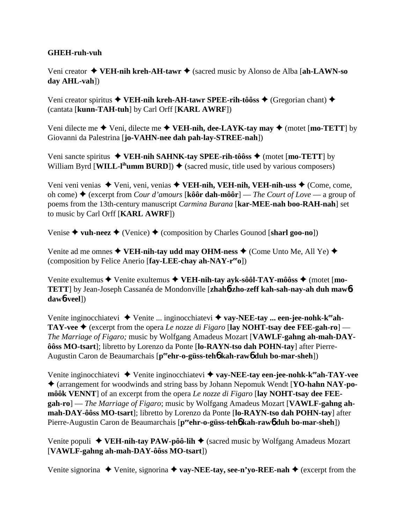# **GHEH-ruh-vuh**

Veni creator **VEH-nih kreh-AH-tawr** (sacred music by Alonso de Alba [**ah-LAWN-so day AHL-vah**])

Veni creator spiritus **◆ VEH-nih kreh-AH-tawr SPEE-rih-tôôss ◆** (Gregorian chant) ◆ (cantata [**kunn-TAH-tuh**] by Carl Orff [**KARL AWRF**])

Veni dilecte me  $\blacklozenge$  Veni, dilecte me  $\blacklozenge$  **VEH-nih, dee-LAYK-tay may**  $\blacklozenge$  (motet [**mo-TETT**] by Giovanni da Palestrina [**jo-VAHN-nee dah pah-lay-STREE-nah**])

Veni sancte spiritus  $\blacklozenge$  VEH-nih SAHNK-tay SPEE-rih-tôôss  $\blacklozenge$  (motet [mo-TETT] by William Byrd [WILL-l<sup>ih</sup>umm BURD])  $\blacklozenge$  (sacred music, title used by various composers)

Veni veni venias ◆ Veni, veni, venias ◆ VEH-nih, VEH-nih, VEH-nih-uss ◆ (Come, come, oh come) (excerpt from *Cour d'amours* [**kôôr dah-môôr**] — *The Court of Love* — a group of poems from the 13th-century manuscript *Carmina Burana* [**kar-MEE-nah boo-RAH-nah**] set to music by Carl Orff [**KARL AWRF**])

Venise  $\triangle$  vuh-neez  $\triangle$  (Venice)  $\triangle$  (composition by Charles Gounod [sharl goo-no])

Venite ad me omnes  $\blacklozenge$  **VEH-nih-tay udd may OHM-ness**  $\blacklozenge$  (Come Unto Me, All Ye)  $\blacklozenge$ (composition by Felice Anerio [**fay-LEE-chay ah-NAY-reeo**])

Venite exultemus ◆ Venite exultemus ◆ VEH-nih-tay ayk-sôôl-TAY-môôss ◆ (motet [mo-**TETT**] by Jean-Joseph Cassanéa de Mondonville [**zhah**6**-zho-zeff kah-sah-nay-ah duh maw**6 **daw**6**-veel**])

Venite inginocchiatevi **→** Venite ... inginocchiatevi ◆ **vay-NEE-tay ... een-jee-nohk-k<sup>ee</sup>ah-TAY-vee**  $\blacklozenge$  (excerpt from the opera *Le nozze di Figaro* [lay NOHT-tsay dee FEE-gah-ro] – *The Marriage of Figaro;* music by Wolfgang Amadeus Mozart [**VAWLF-gahng ah-mah-DAYôôss MO-tsart**]; libretto by Lorenzo da Ponte [**lo-RAYN-tso dah POHN-tay**] after Pierre-Augustin Caron de Beaumarchais [p<sup>ee</sup>ehr-o-güss-teh**o kah-rawo duh bo-mar-sheh**])

Venite inginocchiatevi Venite inginocchiatevi **vay-NEE-tay een-jee-nohk-keeah-TAY-vee** (arrangement for woodwinds and string bass by Johann Nepomuk Wendt [**YO-hahn NAY-pomôôk VENNT**] of an excerpt from the opera *Le nozze di Figaro* [**lay NOHT-tsay dee FEEgah-ro**] — *The Marriage of Figaro*; music by Wolfgang Amadeus Mozart [**VAWLF-gahng ahmah-DAY-ôôss MO-tsart**]; libretto by Lorenzo da Ponte [**lo-RAYN-tso dah POHN-tay**] after Pierre-Augustin Caron de Beaumarchais [p<sup>ee</sup>ehr-o-güss-teh**6** kah-raw6 duh bo-mar-sheh])

Venite populi ◆ VEH-nih-tay PAW-pôô-lih ◆ (sacred music by Wolfgang Amadeus Mozart [**VAWLF-gahng ah-mah-DAY-ôôss MO-tsart**])

Venite signorina  $\triangle$  Venite, signorina  $\triangle$  vay-NEE-tay, see-n'yo-REE-nah  $\triangle$  (excerpt from the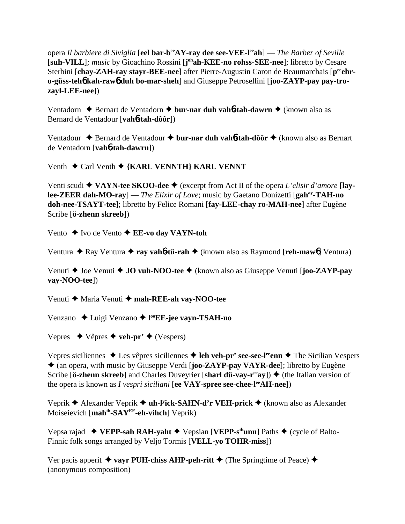opera *Il barbiere di Siviglia* [**eel bar-beeAY-ray dee see-VEE-leeah**] — *The Barber of Seville* [suh-VILL]; music by Gioachino Rossini [johah-KEE-no rohss-SEE-nee]; libretto by Cesare Sterbini [chay-ZAH-ray stayr-BEE-nee] after Pierre-Augustin Caron de Beaumarchais [p<sup>ee</sup>ehr**o-güss-teh**6 **kah-raw**6 **duh bo-mar-sheh**] and Giuseppe Petrosellini [**joo-ZAYP-pay pay-trozayl-LEE-nee**])

Ventadorn **→** Bernart de Ventadorn **→ bur-nar duh vah6-tah-dawrn →** (known also as Bernard de Ventadour [**vah**6**-tah-dôôr**])

Ventadour ◆ Bernard de Ventadour ◆ bur-nar duh vah**6-tah-dôôr** ◆ (known also as Bernart de Ventadorn [**vah**6**-tah-dawrn**])

Venth **←** Carl Venth ← {KARL VENNTH} KARL VENNT

Venti scudi **VAYN-tee SKOO-dee** (excerpt from Act II of the opera *L'elisir d'amore* [**laylee-ZEER dah-MO-ray**] — *The Elixir of Love*; music by Gaetano Donizetti [**gahay-TAH-no doh-nee-TSAYT-tee**]; libretto by Felice Romani [**fay-LEE-chay ro-MAH-nee**] after Eugène Scribe [**ö-zhenn skreeb**])

Vento **→** Ivo de Vento **→ EE-vo day VAYN-toh** 

Ventura ◆ Ray Ventura ◆ **ray vah<sup>6</sup>-tü-rah** ◆ (known also as Raymond [**reh-maw**<sup>6</sup>] Ventura)

Venuti **→** Joe Venuti **→ JO vuh-NOO-tee** → (known also as Giuseppe Venuti [**joo-ZAYP-pay vay-NOO-tee**])

Venuti ◆ Maria Venuti ◆ mah-REE-ah vay-NOO-tee

Venzano Luigi Venzano **l ooEE-jee vayn-TSAH-no**

Vepres  $\leftrightarrow$  Vêpres  $\leftrightarrow$  **veh-pr'**  $\leftrightarrow$  (Vespers)

Vepres siciliennes ◆ Les vêpres siciliennes ◆ leh veh-pr' see-see-l<sup>ee</sup>enn ◆ The Sicilian Vespers (an opera, with music by Giuseppe Verdi [**joo-ZAYP-pay VAYR-dee**]; libretto by Eugène Scribe [**ö-zhenn skreeb**] and Charles Duveyrier [**sharl dü-vay-r<sup>ee</sup>ay**])  $\blacklozenge$  (the Italian version of the opera is known as *I vespri siciliani* [**ee VAY-spree see-chee-leeAH-nee**])

Veprik Alexander Veprik **uh-ly ick-SAHN-d'r VEH-prick** (known also as Alexander Moiseievich [**mahih-SAYEE-eh-vihch**] Veprik)

Vepsa rajad ◆ **VEPP-sah RAH-yaht** ◆ Vepsian [**VEPP-s<sup>ih</sup>unn**] Paths ◆ (cycle of Balto-Finnic folk songs arranged by Veljo Tormis [**VELL-yo TOHR-miss**])

Ver pacis apperit  $\triangleq$  vayr PUH-chiss AHP-peh-ritt  $\triangleq$  (The Springtime of Peace)  $\triangleq$ (anonymous composition)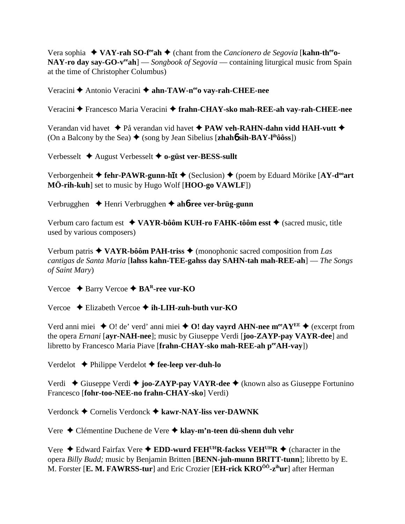Vera sophia  $\triangleleft$  VAY-rah SO-f<sup>re</sup>ah  $\triangleleft$  (chant from the *Cancionero de Segovia* [kahn-th<sup>ee</sup>o-NAY-ro day say-GO-verah  $\sim$  Songbook of Segovia — containing liturgical music from Spain at the time of Christopher Columbus)

Veracini ← Antonio Veracini ← ahn-TAW-n<sup>ee</sup>o vay-rah-CHEE-nee

Veracini ← Francesco Maria Veracini ← frahn-CHAY-sko mah-REE-ah vay-rah-CHEE-nee

Verandan vid havet  $\triangleq$  På verandan vid havet  $\triangleq$  PAW veh-RAHN-dahn vidd HAH-vutt  $\triangleq$ (On a Balcony by the Sea)  $\blacklozenge$  (song by Jean Sibelius [zhahb sih-BAY-l<sup>ih</sup>ôôss])

Verbesselt  $\triangle$  August Verbesselt  $\triangle$  o-güst ver-BESS-sullt

Verborgenheit  $\triangle$  fehr-PAWR-gunn-hit  $\triangle$  (Seclusion)  $\triangle$  (poem by Eduard Mörike [AY-d<sup>oo</sup>art MÖ-rih-kuh] set to music by Hugo Wolf [HOO-go VAWLF])

Verbrugghen  $\rightarrow$  Henri Verbrugghen  $\rightarrow$  ahb-ree ver-brüg-gunn

Verbum caro factum est  $\triangleleft$  VAYR-bôôm KUH-ro FAHK-tôôm esst  $\triangleq$  (sacred music, title used by various composers)

Verbum patris  $\triangle$  VAYR-bôôm PAH-triss  $\triangle$  (monophonic sacred composition from Las cantigas de Santa Maria [lahss kahn-TEE-gahss day SAHN-tah mah-REE-ah] — The Songs of Saint Mary)

Vercoe  $\triangle$  Barry Vercoe  $\triangle$  BA<sup>R</sup>-ree vur-KO

Vercoe  $\div$  Elizabeth Vercoe  $\div$  ih-LIH-zuh-buth vur-KO

Verd anni miei  $\triangle$  O! de' verd' anni miei  $\triangle$  O! day vayrd AHN-nee m<sup>ee</sup>AY<sup>EE</sup>  $\triangle$  (excerpt from the opera *Ernani* [ayr-NAH-nee]; music by Giuseppe Verdi [joo-ZAYP-pay VAYR-dee] and libretto by Francesco Maria Piave [frahn-CHAY-sko mah-REE-ah peeAH-vay])

Verdelot  $\triangle$  Philippe Verdelot  $\triangle$  fee-leep ver-duh-lo

Verdi  $\triangle$  Giuseppe Verdi  $\triangle$  joo-ZAYP-pay VAYR-dee  $\triangle$  (known also as Giuseppe Fortunino Francesco [fohr-too-NEE-no frahn-CHAY-sko] Verdi)

Verdonck  $\triangle$  Cornelis Verdonck  $\triangle$  kawr-NAY-liss ver-DAWNK

Vere ◆ Clémentine Duchene de Vere ◆ klay-m'n-teen dü-shenn duh vehr

Vere  $\triangle$  Edward Fairfax Vere  $\triangle$  EDD-wurd FEH<sup>UH</sup>R-fackss VEH<sup>UH</sup>R  $\triangle$  (character in the opera Billy Budd: music by Benjamin Britten [BENN-juh-munn BRITT-tunn]: libretto by E. M. Forster [E. M. FAWRSS-tur] and Eric Crozier [EH-rick KRO<sup>ôô</sup>-z<sup>ih</sup>ur] after Herman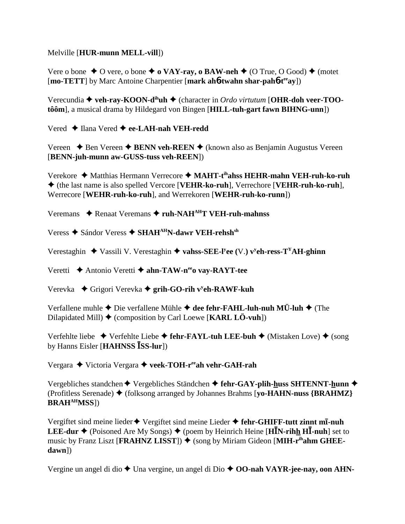## Melville [**HUR-munn MELL-vill**])

Vere o bone  $\triangle$  O vere, o bone  $\triangle$  **o VAY-ray, o BAW-neh**  $\triangle$  (O True, O Good)  $\triangle$  (motet [**mo-TETT**] by Marc Antoine Charpentier [**mark ah**6**-twahn shar-pah**6**-teeay**])

Verecundia ◆ veh-ray-KOON-d<sup>ih</sup>uh ◆ (character in *Ordo virtutum* [OHR-doh veer-TOO**tôôm**], a musical drama by Hildegard von Bingen [**HILL-tuh-gart fawn BIHNG-unn**])

Vered ◆ Ilana Vered ◆ ee-LAH-nah VEH-redd

Vereen  $\triangle$  Ben Vereen  $\triangle$  **BENN veh-REEN**  $\triangle$  (known also as Benjamin Augustus Vereen [**BENN-juh-munn aw-GUSS-tuss veh-REEN**])

Verekore Matthias Hermann Verrecore **MAHT-tihahss HEHR-mahn VEH-ruh-ko-ruh** (the last name is also spelled Vercore [**VEHR-ko-ruh**], Verrechore [**VEHR-ruh-ko-ruh**], Werrecore [**WEHR-ruh-ko-ruh**], and Werrekoren [**WEHR-ruh-ko-runn**])

Veremans ◆ Renaat Veremans ◆ ruh-NAH<sup>AH</sup>T VEH-ruh-mahnss

Veress ◆ Sándor Veress ◆ SHAH<sup>AH</sup>N-dawr VEH-rehsh<sup>sh</sup>

Verestaghin ◆ Vassili V. Verestaghin ◆ vahss-SEE-l<sup>y</sup>ee (V.) v<sup>y</sup>eh-ress-T<sup>Y</sup>AH-ghinn

Veretti Antonio Veretti **ahn-TAW-neeo vay-RAYT-tee**

Verevka ◆ Grigori Verevka ◆ grih-GO-rih v<sup>y</sup>eh-RAWF-kuh

Verfallene muhle **→** Die verfallene Mühle **→ dee fehr-FAHL-luh-nuh MÜ-luh →** (The Dilapidated Mill) (composition by Carl Loewe [**KARL LÖ-vuh**])

Verfehlte liebe ◆ Verfehlte Liebe ◆ fehr-FAYL-tuh LEE-buh ◆ (Mistaken Love) ◆ (song by Hanns Eisler [**HAHNSS SS-lur**])

Vergara Victoria Vergara **veek-TOH-reeah vehr-GAH-rah**

Vergebliches standchen ◆ Vergebliches Ständchen ◆ fehr-GAY-plih-huss SHTENNT-hunn ◆ (Profitless Serenade) (folksong arranged by Johannes Brahms [**yo-HAHN-nuss {BRAHMZ} BRAHAHMSS**])

Vergiftet sind meine lieder ♦ Vergiftet sind meine Lieder ♦ fehr-GHIFF-tutt zinnt mī-nuh **LEE-dur**  $\triangle$  (Poisoned Are My Songs)  $\triangle$  (poem by Heinrich Heine [H**I**N-rihh H**I**-nuh] set to music by Franz Liszt [**FRAHNZ LISST**])  $\blacklozenge$  (song by Miriam Gideon [**MIH-r<sup>ih</sup>ahm GHEEdawn**])

Vergine un angel di dio ◆ Una vergine, un angel di Dio ◆ **OO-nah VAYR-jee-nay, oon AHN-**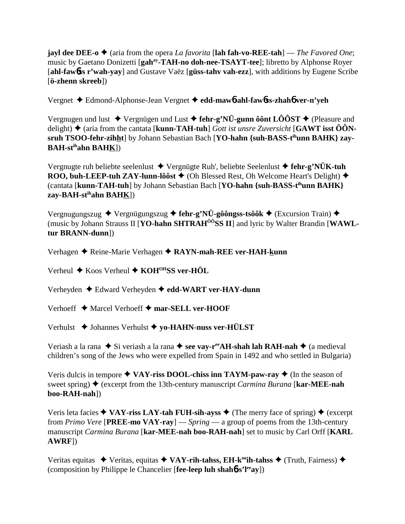**jayl dee DEE-o**  $\blacklozenge$  (aria from the opera *La favorita* [lah fah-vo-REE-tah] — *The Favored One*; music by Gaetano Donizetti [gah<sup>ay</sup>-TAH-no doh-nee-TSAYT-tee]; libretto by Alphonse Rover [ahl-fawbss r'wah-yay] and Gustave Vaëz [güss-tahv vah-ezz], with additions by Eugene Scribe  $\ddot{\text{o}}$ -zhenn skreeb])

Vergnet ◆ Edmond-Alphonse-Jean Vergnet ◆ edd-maw6-ahl-faw6ss-zhah6 ver-n'yeh

Vergnugen und lust  $\triangle$  Vergnügen und Lust  $\triangle$  fehr-g'NÜ-gunn ôônt LÔÔST  $\triangle$  (Pleasure and delight)  $\triangle$  (aria from the cantata [kunn-TAH-tuh] *Gott ist unsre Zuversicht* [GAWT isst  $\hat{O}\hat{O}N$ sruh TSOO-fehr-zihht] by Johann Sebastian Bach [YO-hahn {suh-BASS-t<sup>ih</sup>unn BAHK} zay-**BAH-st<sup>ih</sup>ahn BAHK**])

Vergnugte ruh beliebte seelenlust  $\triangle$  Vergnügte Ruh', beliebte Seelenlust  $\triangle$  fehr-g'NÜK-tuh ROO, buh-LEEP-tuh ZAY-lunn-lôôst  $\triangle$  (Oh Blessed Rest, Oh Welcome Heart's Delight)  $\triangle$ (cantata [kunn-TAH-tuh] by Johann Sebastian Bach [YO-hahn {suh-BASS-t<sup>ih</sup>unn BAHK} zay-BAH-stihahn BAHK])

Vergnugungszug  $\blacklozenge$  Vergnügungszug  $\blacklozenge$  fehr-g'NÜ-gôôngss-tsôôk  $\blacklozenge$  (Excursion Train)  $\blacklozenge$ (music by Johann Strauss II [YO-hahn SHTRAH<sup>ÔÔ</sup>SS II] and lyric by Walter Brandin [WAWLtur BRANN-dunn])

Verhagen ◆ Reine-Marie Verhagen ◆ RAYN-mah-REE ver-HAH-kunn

Verheul  $\triangle$  Koos Verheul  $\triangle$  KOH<sup>OH</sup>SS ver-HÖL

Verheyden ♦ Edward Verheyden ♦ edd-WART ver-HAY-dunn

Verhoeff  $\triangle$  Marcel Verhoeff  $\triangle$  mar-SELL ver-HOOF

Verhulst ◆ Johannes Verhulst ◆ yo-HAHN-nuss ver-HÜLST

Veriash a la rana  $\bullet$  Si veriash a la rana  $\bullet$  see vav-r<sup>ee</sup> AH-shah lah RAH-nah  $\bullet$  (a medieval children's song of the Jews who were expelled from Spain in 1492 and who settled in Bulgaria)

Veris dulcis in tempore  $\triangle$  VAY-riss DOOL-chiss inn TAYM-paw-ray  $\triangle$  (In the season of sweet spring)  $\blacklozenge$  (excerpt from the 13th-century manuscript *Carmina Burana* [**kar-MEE-nah**] boo-RAH-nah])

Veris leta facies  $\triangle$  VAY-riss LAY-tah FUH-sih-ayss  $\triangle$  (The merry face of spring)  $\triangle$  (excerpt from Primo Vere [PREE-mo VAY-ray] — Spring — a group of poems from the 13th-century manuscript Carmina Burana [kar-MEE-nah boo-RAH-nah] set to music by Carl Orff [KARL  $AWRF$ ]

Veritas equitas  $\leftrightarrow$  Veritas, equitas  $\leftrightarrow$  VAY-rih-tahss, EH-k<sup>oo</sup>ih-tahss  $\leftrightarrow$  (Truth, Fairness)  $\leftrightarrow$ (composition by Philippe le Chancelier [fee-leep luh shah6-s'l<sup>ee</sup>ay])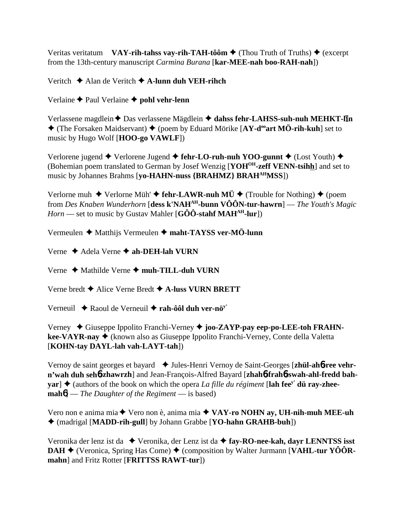Veritas veritatum VAY-rih-tahss vay-rih-TAH-tôôm  $\triangle$  (Thou Truth of Truths)  $\triangle$  (excerpt from the 13th-century manuscript *Carmina Burana* [kar-MEE-nah boo-RAH-nah])

Veritch  $\triangle$  Alan de Veritch  $\triangle$  A-lunn duh VEH-rihch

Verlaine  $\blacklozenge$  Paul Verlaine  $\blacklozenge$  pohl vehr-lenn

Verlassene magdlein ← Das verlassene Mägdlein ← dahss fehr-LAHSS-suh-nuh MEHKT-lin  $\triangle$  (The Forsaken Maidservant)  $\triangle$  (poem by Eduard Mörike [AY-d<sup>oo</sup>art MÖ-rih-kuh] set to music by Hugo Wolf [HOO-go VAWLF])

Verlorene jugend  $\blacklozenge$  Verlorene Jugend  $\blacklozenge$  fehr-LO-ruh-nuh YOO-gunnt  $\blacklozenge$  (Lost Youth)  $\blacklozenge$ (Bohemian poem translated to German by Josef Wenzig [YOH<sup>OH</sup>-zeff VENN-tsihh] and set to music by Johannes Brahms [yo-HAHN-nuss {BRAHMZ} BRAH<sup>AH</sup>MSS])

Verlorne muh  $\blacklozenge$  Verlorne Müh' $\blacklozenge$  fehr-LAWR-nuh MÜ  $\blacklozenge$  (Trouble for Nothing)  $\blacklozenge$  (poem from Des Knaben Wunderhorn [dess k'NAH<sup>AH</sup>-bunn VÔÔN-tur-hawrn] — The Youth's Magic *Horn* — set to music by Gustav Mahler [G $\hat{O}\hat{O}$ -stahf MAH<sup>AH</sup>-lur])

Vermeulen  $\triangle$  Matthijs Vermeulen  $\triangle$  maht-TAYSS ver-MÖ-lunn

Verne  $\triangle$  Adela Verne  $\triangle$  ah-DEH-lah VURN

Verne  $\triangle$  Mathilde Verne  $\triangle$  muh-TILL-duh VURN

Verne bredt  $\blacklozenge$  Alice Verne Bredt  $\blacklozenge$  A-luss VURN BRETT

Verneuil  $\rightarrow$  Raoul de Verneuil  $\rightarrow$  rah-ôôl duh ver-nö<sup>y</sup>

Verney  $\blacklozenge$  Giuseppe Ippolito Franchi-Verney  $\blacklozenge$  joo-ZAYP-pay eep-po-LEE-toh FRAHNkee-VAYR-nay ♦ (known also as Giuseppe Ippolito Franchi-Verney, Conte della Valetta [KOHN-tay DAYL-lah vah-LAYT-tah])

Vernoy de saint georges et bayard ↓ Jules-Henri Vernoy de Saint-Georges [zhül-ahb-ree vehrn'wah duh sehb-zhawrzh] and Jean-François-Alfred Bayard [zhahb-frahb-swah-ahl-fredd bah- $\textbf{var}$   $\blacklozenge$  (authors of the book on which the opera *La fille du régiment* [lah fee<sup>y'</sup> dü ray-zhee- $\text{mah6}$ ] — The Daughter of the Regiment — is based)

Vero non e anima mia ◆ Vero non è, anima mia ◆ VAY-ro NOHN ay, UH-nih-muh MEE-uh ◆ (madrigal [MADD-rih-gull] by Johann Grabbe [YO-hahn GRAHB-buh])

Veronika der lenz ist da  $\blacklozenge$  Veronika, der Lenz ist da  $\blacklozenge$  fay-RO-nee-kah, dayr LENNTSS isst **DAH**  $\blacklozenge$  (Veronica, Spring Has Come)  $\blacklozenge$  (composition by Walter Jurmann [VAHL-tur YOORmahn] and Fritz Rotter [FRITTSS RAWT-tur])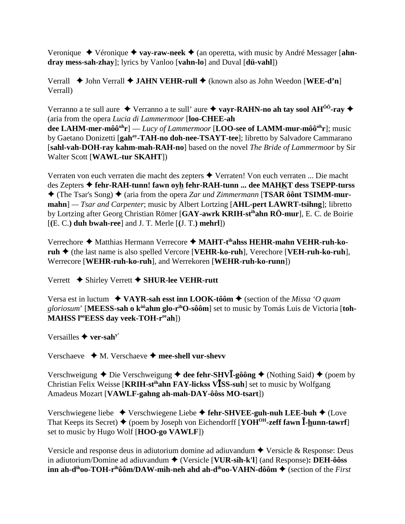Veronique  $\rightarrow$  Véronique  $\rightarrow$  vay-raw-neek  $\rightarrow$  (an operetta, with music by André Messager [ahndray mess-sah-zhay]; lyrics by Vanloo [vahn-lo] and Duval [dü-vahl])

Verrall  $\blacklozenge$  John Verrall  $\blacklozenge$  JAHN VEHR-rull  $\blacklozenge$  (known also as John Weedon [WEE-d'n] Verrall)

Verranno a te sull aure  $\triangle$  Verranno a te sull' aure  $\triangle$  vayr-RAHN-no ah tay sool AH<sup>00</sup>-ray  $\triangle$ (aria from the opera Lucia di Lammermoor [loo-CHEE-ah]

dee LAHM-mer-môô<sup>uh</sup>r] — Lucy of Lammermoor [LOO-see of LAMM-mur-môô<sup>uh</sup>r]; music by Gaetano Donizetti [gah<sup>ay</sup>-TAH-no doh-nee-TSAYT-tee]; libretto by Salvadore Cammarano [sahl-vah-DOH-ray kahm-mah-RAH-no] based on the novel The Bride of Lammermoor by Sir Walter Scott [WAWL-tur SKAHT])

Verraten von euch verraten die macht des zepters ◆ Verraten! Von euch verraten ... Die macht des Zepters ◆ fehr-RAH-tunn! fawn oyh fehr-RAH-tunn ... dee MAHKT dess TSEPP-turss  $\triangle$  (The Tsar's Song)  $\triangle$  (aria from the opera Zar und Zimmermann [TSAR ôônt TSIMM-mur- $\mathbf{mahn}$ ] — Tsar and Carpenter; music by Albert Lortzing [AHL-pert LAWRT-tsihng]; libretto by Lortzing after Georg Christian Römer [GAY-awrk KRIH-st<sup>ih</sup>ahn RÖ-mur], E. C. de Boirie  $[(E, C.)$  duh bwah-ree] and J. T. Merle  $[(J, T.)$  mehrl])

Verrechore ◆ Matthias Hermann Verrecore ◆ MAHT-t<sup>ih</sup>ahss HEHR-mahn VEHR-ruh-ko- $\mathbf{ruh} \triangleq$  (the last name is also spelled Vercore [VEHR-ko-ruh], Verechore [VEH-ruh-ko-ruh], Werrecore [WEHR-ruh-ko-ruh], and Werrekoren [WEHR-ruh-ko-runn])

Verrett  $\blacklozenge$  Shirley Verrett  $\blacklozenge$  SHUR-lee VEHR-rutt

Versa est in luctum  $\rightarrow$  VAYR-sah esst inn LOOK-tôôm  $\rightarrow$  (section of the *Missa 'O quam* gloriosum' [MEESS-sah o k<sup>ôô</sup>ahm glo-r<sup>ih</sup>O-sôôm] set to music by Tomás Luis de Victoria [toh-MAHSS l<sup>oo</sup>EESS day veek-TOH-r<sup>ee</sup>ah])

Versailles  $\blacklozenge$  ver-sah<sup>y'</sup>

Verschaeve  $\rightarrow M$ . Verschaeve  $\rightarrow$  mee-shell vur-shevv

Verschweigung  $\triangle$  Die Verschweigung  $\triangle$  dee fehr-SHV**I**-gôông  $\triangle$  (Nothing Said)  $\triangle$  (poem by Christian Felix Weisse [KRIH-st<sup>ih</sup>ahn FAY-lickss VISS-suh] set to music by Wolfgang Amadeus Mozart [VAWLF-gahng ah-mah-DAY-ôôss MO-tsart])

Verschwiegene liebe  $\triangleq$  Verschwiegene Liebe  $\triangleq$  fehr-SHVEE-guh-nuh LEE-buh  $\triangleq$  (Love That Keeps its Secret)  $\blacklozenge$  (poem by Joseph von Eichendorff [YOH<sup>OH</sup>-zeff fawn  $\bar{I}$ -hunn-tawrf] set to music by Hugo Wolf [HOO-go VAWLF])

Versicle and response deus in adjutorium domine ad adjuvandum  $\triangle$  Versicle & Response: Deus in adiutorium/Domine ad adiuvandum  $\blacklozenge$  (Versicle [VUR-sih-k'l] (and Response): DEH-ôôss inn ah-d<sup>ih</sup>oo-TOH-r<sup>ih</sup>ôôm/DAW-mih-neh ahd ah-d<sup>ih</sup>oo-VAHN-dôôm  $\blacklozenge$  (section of the *First*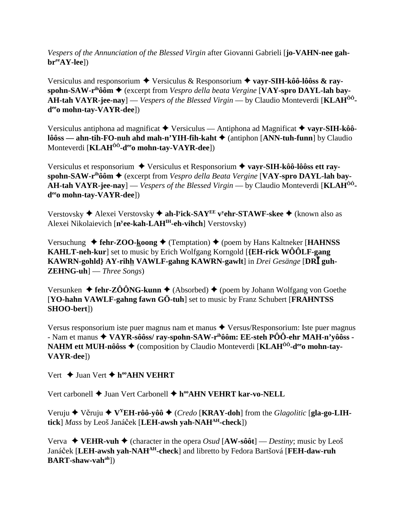*Vespers of the Annunciation of the Blessed Virgin* after Giovanni Gabrieli [**jo-VAHN-nee gahbreeAY-lee**])

Versiculus and responsorium **→** Versiculus & Responsorium → vayr-SIH-kôô-lôôss & ray**spohn-SAW-rihôôm** (excerpt from *Vespro della beata Vergine* [**VAY-spro DAYL-lah bay-AH-tah VAYR-jee-nay**] — *Vespers of the Blessed Virgin* — by Claudio Monteverdi [**KLAHÔÔdeeo mohn-tay-VAYR-dee**])

Versiculus antiphona ad magnificat Versiculus — Antiphona ad Magnificat **vayr-SIH-kôôlôôss** — ahn-tih-FO-nuh ahd mah-n'YIH-fih-kaht ♦ (antiphon [ANN-tuh-funn] by Claudio Monteverdi [**KLAHÔÔ-deeo mohn-tay-VAYR-dee**])

Versiculus et responsorium Versiculus et Responsorium **vayr-SIH-kôô-lôôss ett rayspohn-SAW-rihôôm** (excerpt from *Vespro della Beata Vergine* [**VAY-spro DAYL-lah bay-AH-tah VAYR-jee-nay**] — *Vespers of the Blessed Virgin* — by Claudio Monteverdi [**KLAHÔÔdeeo mohn-tay-VAYR-dee**])

Verstovsky Alexei Verstovsky **ah-ly ick-SAYEE vy ehr-STAWF-skee** (known also as Alexei Nikolaievich [**ny ee-kah-LAHIH-eh-vihch**] Verstovsky)

Versuchung ◆ fehr-ZOO-koong ◆ (Temptation) ◆ (poem by Hans Kaltneker [**HAHNSS KAHLT-neh-kur**] set to music by Erich Wolfgang Korngold [**{EH-rick WÔÔLF-gang KAWRN-gohld} AY-rihh VAWLF-gahng KAWRN-gawlt**] in *Drei Gesänge* [**DR guh-ZEHNG-uh**] — *Three Songs*)

Versunken  $\triangleleft$  fehr-ZÔÔNG-kunn  $\triangleleft$  (Absorbed)  $\triangleleft$  (poem by Johann Wolfgang von Goethe [**YO-hahn VAWLF-gahng fawn GÖ-tuh**] set to music by Franz Schubert [**FRAHNTSS SHOO-bert**])

Versus responsorium iste puer magnus nam et manus  $\triangle$  Versus/Responsorium: Iste puer magnus - Nam et manus **VAYR-sôôss/ ray-spohn-SAW-rihôôm: EE-steh PÔÔ-ehr MAH-n'yôôss - NAHM ett MUH-nôôss ♦** (composition by Claudio Monteverdi [KLAH<sup>ôô</sup>-d<sup>ee</sup>o mohn-tay-**VAYR-dee**])

Vert **→** Juan Vert **→ h<sup>oo</sup>AHN VEHRT** 

Vert carbonell ◆ Juan Vert Carbonell ◆ h<sup>oo</sup>AHN VEHRT kar-vo-NELL

Veruju  $\blacklozenge$  Věruju  $\blacklozenge$  V<sup>Y</sup>EH-rôô-vôô  $\blacklozenge$  (*Credo* [KRAY-doh] from the *Glagolitic* [**gla-go-LIHtick**] *Mass* by Leoš Janáek [**LEH-awsh yah-NAHAH-check**])

Verva  $\blacklozenge$  **VEHR-vuh**  $\blacklozenge$  (character in the opera *Osud* [AW-sôôt] — *Destiny*; music by Leoš Janáek [**LEH-awsh yah-NAHAH-check**] and libretto by Fedora Bartšová [**FEH-daw-ruh BART-shaw-vahah**])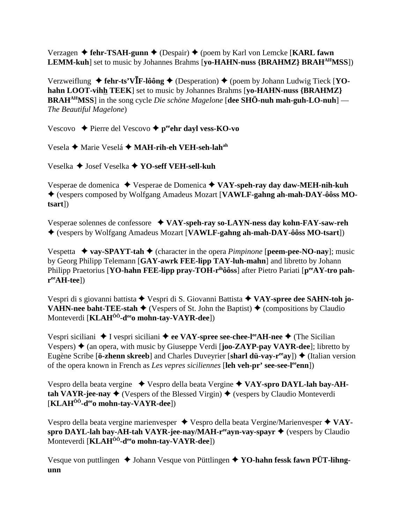Verzagen **→ fehr-TSAH-gunn →** (Despair) ◆ (poem by Karl von Lemcke [**KARL fawn LEMM-kuh**] set to music by Johannes Brahms [**yo-HAHN-nuss {BRAHMZ} BRAHAHMSS**])

Verzweiflung  $\triangleq$  fehr-ts'V**I**F-lôông  $\triangleq$  (Desperation)  $\triangleq$  (poem by Johann Ludwig Tieck [YO**hahn LOOT-vihh TEEK**] set to music by Johannes Brahms [**yo-HAHN-nuss {BRAHMZ} BRAHAHMSS**] in the song cycle *Die schöne Magelone* [**dee SHÖ-nuh mah-guh-LO-nuh**] — *The Beautiful Magelone*)

Vescovo **→** Pierre del Vescovo → p<sup>ee</sup>ehr dayl vess-KO-vo

Vesela ◆ Marie Veselá ◆ MAH-rih-eh VEH-seh-lah<sup>ah</sup>

Veselka Josef Veselka **YO-seff VEH-sell-kuh**

Vesperae de domenica Vesperae de Domenica **VAY-speh-ray day daw-MEH-nih-kuh** (vespers composed by Wolfgang Amadeus Mozart [**VAWLF-gahng ah-mah-DAY-ôôss MOtsart**])

Vesperae solennes de confessore **VAY-speh-ray so-LAYN-ness day kohn-FAY-saw-reh** (vespers by Wolfgang Amadeus Mozart [**VAWLF-gahng ah-mah-DAY-ôôss MO-tsart**])

Vespetta  $\rightarrow$  vay-SPAYT-tah  $\rightarrow$  (character in the opera *Pimpinone* [peem-pee-NO-nay]; music by Georg Philipp Telemann [**GAY-awrk FEE-lipp TAY-luh-mahn**] and libretto by Johann Philipp Praetorius [**YO-hahn FEE-lipp pray-TOH-r<sup>ih</sup>ôôss**] after Pietro Pariati [ $p^{ee}AY$ -tro pah**reeAH-tee**])

Vespri di s giovanni battista ◆ Vespri di S. Giovanni Battista ◆ VAY-spree dee SAHN-toh jo-**VAHN-nee baht-TEE-stah**  $\blacklozenge$  (Vespers of St. John the Baptist)  $\blacklozenge$  (compositions by Claudio Monteverdi [**KLAHÔÔ-deeo mohn-tay-VAYR-dee**])

Vespri siciliani **→** I vespri siciliani **→ ee VAY-spree see-chee-l<sup>ee</sup>AH-nee →** (The Sicilian Vespers)  $\triangle$  (an opera, with music by Giuseppe Verdi [**joo-ZAYP-pay VAYR-dee**]; libretto by Eugène Scribe [**ö-zhenn skreeb**] and Charles Duveyrier [**sharl dü-vay-r<sup>ee</sup>ay**])  $\blacklozenge$  (Italian version of the opera known in French as *Les vepres siciliennes* [**leh veh-pr' see-see-leeenn**])

Vespro della beata vergine Vespro della beata Vergine **VAY-spro DAYL-lah bay-AHtah VAYR-jee-nay**  $\blacklozenge$  (Vespers of the Blessed Virgin)  $\blacklozenge$  (vespers by Claudio Monteverdi [**KLAHÔÔ-deeo mohn-tay-VAYR-dee**])

Vespro della beata vergine marienvesper ◆ Vespro della beata Vergine/Marienvesper ◆ VAYspro DAYL-lah bay-AH-tah VAYR-jee-nay/MAH-r<sup>ee</sup>ayn-vay-spayr ◆ (vespers by Claudio Monteverdi [**KLAHÔÔ-deeo mohn-tay-VAYR-dee**])

Vesque von puttlingen ◆ Johann Vesque von Püttlingen ◆ YO-hahn fessk fawn PÜT-lihng**unn**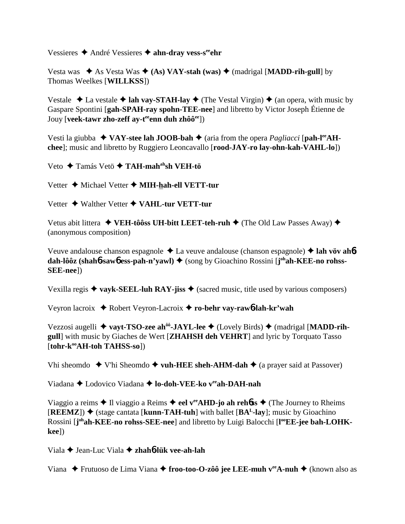Vessieres **→** André Vessieres → ahn-dray vess-s<sup>ee</sup>ehr

Vesta was  $\star$  As Vesta Was  $\star$  (As) VAY-stah (was)  $\star$  (madrigal [MADD-rih-gull] by Thomas Weelkes [**WILLKSS**])

Vestale  $\triangle$  La vestale  $\triangle$  lah vay-STAH-lay  $\triangle$  (The Vestal Virgin)  $\triangle$  (an opera, with music by Gaspare Spontini [**gah-SPAH-ray spohn-TEE-nee**] and libretto by Victor Joseph Étienne de Jouy [**veek-tawr zho-zeff ay-t<sup>ee</sup>enn duh zhôô<sup>ee</sup>])** 

Vesti la giubba  $\blacklozenge$  VAY-stee lah JOOB-bah  $\blacklozenge$  (aria from the opera *Pagliacci* [pah-l<sup>ee</sup>AH**chee**]; music and libretto by Ruggiero Leoncavallo [**rood-JAY-ro lay-ohn-kah-VAHL-lo**])

Veto Tamás Vetö **TAH-mahahsh VEH-tö**

Vetter ◆ Michael Vetter ◆ **MIH-hah-ell VETT-tur** 

Vetter ◆ Walther Vetter **◆ VAHL-tur VETT-tur** 

Vetus abit littera ◆ VEH-tôôss UH-bitt LEET-teh-ruh ◆ (The Old Law Passes Away) ◆ (anonymous composition)

Veuve andalouse chanson espagnole La veuve andalouse (chanson espagnole) **lah vöv ah**6 dah-lôôz (shah6-saw6 ess-pah-n'yawl) ♦ (song by Gioachino Rossini [j<sup>oh</sup>ah-KEE-no rohss-**SEE-nee**])

Vexilla regis  $\triangle$  vayk-SEEL-luh RAY-jiss  $\triangle$  (sacred music, title used by various composers)

Veyron lacroix Robert Veyron-Lacroix **ro-behr vay-raw**6**-lah-kr'wah**

Vezzosi augelli ◆ vayt-TSO-zee ah<sup>ôô</sup>-JAYL-lee ◆ (Lovely Birds) ◆ (madrigal [MADD-rih**gull**] with music by Giaches de Wert [**ZHAHSH deh VEHRT**] and lyric by Torquato Tasso [tohr-k<sup>oo</sup>AH-toh TAHSS-so])

Vhi sheomdo  $\blacklozenge$  V'hi Sheomdo  $\blacklozenge$  vuh-HEE sheh-AHM-dah  $\blacklozenge$  (a prayer said at Passover)

Viadana Lodovico Viadana **lo-doh-VEE-ko veeah-DAH-nah**

Viaggio a reims  $\triangle$  Il viaggio a Reims  $\triangle$  eel v<sup>ee</sup>AHD-jo ah rehoss  $\triangle$  (The Journey to Rheims  $[REEMZ]$ )  $\blacklozenge$  (stage cantata [**kunn-TAH-tuh**] with ballet  $[BA<sup>L</sup>-lay]$ ; music by Gioachino Rossini [j<sup>oh</sup>ah-KEE-no rohss-SEE-nee] and libretto by Luigi Balocchi [l<sup>oo</sup>EE-jee bah-LOHK**kee**])

Viala Jean-Luc Viala **zhah**6**-lük vee-ah-lah**

Viana ◆ Frutuoso de Lima Viana ◆ froo-too-O-zôô jee LEE-muh v<sup>ee</sup>A-nuh ◆ (known also as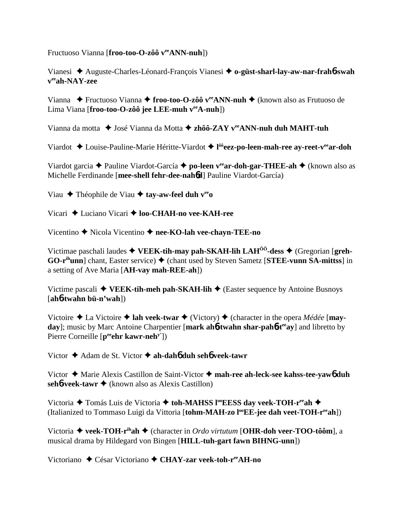Fructuoso Vianna [**froo-too-O-zôô** v<sup>ee</sup>**ANN-nuh**])

Vianesi Auguste-Charles-Léonard-François Vianesi **o-güst-sharl-lay-aw-nar-frah**6**-swah veeah-NAY-zee**

Vianna ◆ Fructuoso Vianna ◆ **froo-too-O-zôô v<sup>ee</sup>ANN-nuh ◆** (known also as Frutuoso de Lima Viana [**froo-too-O-zôô jee LEE-muh veeA-nuh**])

Vianna da motta ◆ José Vianna da Motta ◆ zhôô-ZAY v<sup>ee</sup>ANN-nuh duh MAHT-tuh

Viardot  $\triangle$  Louise-Pauline-Marie Héritte-Viardot  $\triangle$  l<sup>ôô</sup>eez-po-leen-mah-ree ay-reet-v<sup>ee</sup>ar-doh

Viardot garcia Pauline Viardot-García **po-leen veear-doh-gar-THEE-ah** (known also as Michelle Ferdinande [**mee-shell fehr-dee-nah**6**d**] Pauline Viardot-García)

Viau Théophile de Viau **tay-aw-feel duh veeo**

Vicari ◆ Luciano Vicari ◆ **loo-CHAH-no vee-KAH-ree** 

Vicentino Nicola Vicentino **nee-KO-lah vee-chayn-TEE-no**

Victimae paschali laudes  $\blacklozenge$  VEEK-tih-may pah-SKAH-lih LAH<sup>00</sup>-dess  $\blacklozenge$  (Gregorian [greh-**GO-r<sup>ih</sup>unn**] chant, Easter service) ◆ (chant used by Steven Sametz [STEE-vunn SA-mittss] in a setting of Ave Maria [**AH-vay mah-REE-ah**])

Victime pascali  $\blacklozenge$  **VEEK-tih-meh pah-SKAH-lih**  $\blacklozenge$  (Easter sequence by Antoine Busnoys [**ah**6**-twahn bü-n'wah**])

Victoire  $\triangle$  La Victoire  $\triangle$  lah veek-twar  $\triangle$  (Victory)  $\triangle$  (character in the opera *Médée* [**mayday**]; music by Marc Antoine Charpentier [mark ah**6**-twahn shar-pah**6**-t<sup>ee</sup>ay] and libretto by Pierre Corneille [p<sup>ee</sup>ehr kawr-neh<sup>y'</sup>])

Victor Adam de St. Victor **ah-dah**6 **duh seh**6 **veek-tawr**

Victor Marie Alexis Castillon de Saint-Victor **mah-ree ah-leck-see kahss-tee-yaw**6 **duh seh6-veek-tawr ♦** (known also as Alexis Castillon)

Victoria ◆ Tomás Luis de Victoria ◆ toh-MAHSS l<sup>oo</sup>EESS day veek-TOH-r<sup>ee</sup>ah ◆ (Italianized to Tommaso Luigi da Vittoria [tohm-MAH-zo l<sup>oo</sup>EE-jee dah veet-TOH-r<sup>ee</sup>ah])

Victoria **veek-TOH-rihah** (character in *Ordo virtutum* [**OHR-doh veer-TOO-tôôm**], a musical drama by Hildegard von Bingen [**HILL-tuh-gart fawn BIHNG-unn**])

Victoriano ◆ César Victoriano ◆ CHAY-zar veek-toh-r<sup>ee</sup>AH-no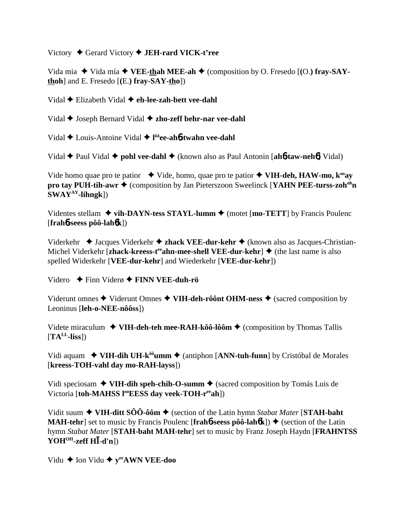Victory Gerard Victory **JEH-rard VICK-t'ree**

Vida mia  $\blacklozenge$  Vida mía  $\blacklozenge$  VEE-thah MEE-ah  $\blacklozenge$  (composition by O. Fresedo [(O.) fray-SAY**thoh**] and E. Fresedo [**(**E.**) fray-SAY-tho**])

Vidal Elizabeth Vidal **eh-lee-zah-bett vee-dahl**

Vidal **→** Joseph Bernard Vidal **→ zho-zeff behr-nar vee-dahl** 

Vidal Louis-Antoine Vidal **l ôôee-ah**6**-twahn vee-dahl**

Vidal **→** Paul Vidal ◆ **pohl vee-dahl** ◆ (known also as Paul Antonin [**ah6-taw-neh6**] Vidal)

Vide homo quae pro te patior  $\rightarrow$  Vide, homo, quae pro te patior  $\rightarrow$  VIH-deh, HAW-mo, k<sup>oo</sup>ay **pro tay PUH-tih-awr ♦** (composition by Jan Pieterszoon Sweelinck [**YAHN PEE-turss-zoh<sup>oh</sup>n SWAYAY-lihngk**])

Videntes stellam  $\triangle$  vih-DAYN-tess STAYL-lumm  $\triangle$  (motet [mo-TETT] by Francis Poulenc [**frah**6**-seess pôô-lah**6**k**])

Viderkehr **→** Jacques Viderkehr **→ zhack VEE-dur-kehr →** (known also as Jacques-Christian-Michel Viderkehr [zhack-kreess-t<sup>ee</sup>ahn-mee-shell VEE-dur-kehr]  $\triangleq$  (the last name is also spelled Widerkehr [**VEE-dur-kehr**] and Wiederkehr [**VEE-dur-kehr**])

Videro Finn Viderø **FINN VEE-duh-rö**

Viderunt omnes  $\blacklozenge$  Viderunt Omnes  $\blacklozenge$  VIH-deh-rôônt OHM-ness  $\blacklozenge$  (sacred composition by Leoninus [**leh-o-NEE-nôôss**])

Videte miraculum ◆ VIH-deh-teh mee-RAH-kôô-lôôm ◆ (composition by Thomas Tallis  $[TA<sup>LL</sup>$ -liss])

Vidi aquam ◆ **VIH-dih UH-k<sup>ôô</sup>umm ◆** (antiphon [ANN-tuh-funn] by Cristóbal de Morales [**kreess-TOH-vahl day mo-RAH-layss**])

Vidi speciosam  $\triangle$  VIH-dih speh-chih-O-summ  $\triangle$  (sacred composition by Tomás Luis de Victoria [toh-MAHSS l<sup>oo</sup>EESS day veek-TOH-r<sup>ee</sup>ah])

Vidit suum ◆ VIH-ditt SÔÔ-ôôm ◆ (section of the Latin hymn *Stabat Mater* [STAH-baht **MAH-tehr**] set to music by Francis Poulenc [frah**6**-seess  $\hat{p}$   $\hat{o}$  $\hat{o}$ -lah $\hat{o}$ **k**])  $\blacklozenge$  (section of the Latin hymn *Stabat Mater* [**STAH-baht MAH-tehr**] set to music by Franz Joseph Haydn [**FRAHNTSS YOHOH-zeff H-d'n**])

Vidu **← Ion Vidu ← y<sup>ee</sup>AWN VEE-doo**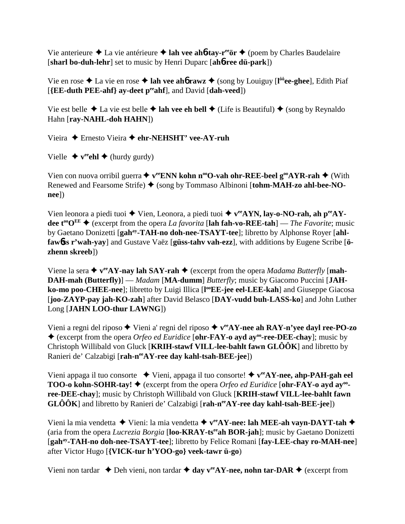Vie anterieure **→** La vie antérieure **→ lah vee ah6-tay-r<sup>ee</sup>ör →** (poem by Charles Baudelaire [**sharl bo-duh-lehr**] set to music by Henri Duparc [**ah**6**-ree dü-park**])

Vie en rose  $\triangle$  La vie en rose  $\triangle$  lah vee ah**6** rawz  $\triangle$  (song by Louiguy [l<sup>ôô</sup>ee-ghee], Edith Piaf [**{EE-duth PEE-ahf} ay-deet peeahf**], and David [**dah-veed**])

Vie est belle  $\triangle$  La vie est belle  $\triangle$  lah vee eh bell  $\triangle$  (Life is Beautiful)  $\triangle$  (song by Reynaldo Hahn [**ray-NAHL-doh HAHN**])

Vieira Ernesto Vieira **ehr-NEHSHT' vee-AY-ruh**

Vielle  $\blacklozenge$  **v<sup>ee</sup>chl**  $\blacklozenge$  (hurdy gurdy)

Vien con nuova orribil guerra **→ v<sup>ee</sup>ENN kohn n<sup>oo</sup>O-vah ohr-REE-beel g<sup>oo</sup>AYR-rah → (With** Renewed and Fearsome Strife) (song by Tommaso Albinoni [**tohm-MAH-zo ahl-bee-NOnee**])

Vien leonora a piedi tuoi ◆ Vien, Leonora, a piedi tuoi ◆ v<sup>ee</sup>AYN, lay-o-NO-rah, ah p<sup>ee</sup>AY**dee t<sup>oo</sup>O<sup>EE</sup>**  $\blacklozenge$  (excerpt from the opera *La favorita* [**lah fah-vo-REE-tah**] — *The Favorite*; music by Gaetano Donizetti [**gahay-TAH-no doh-nee-TSAYT-tee**]; libretto by Alphonse Royer [**ahlfaw**6**ss r'wah-yay**] and Gustave Vaëz [**güss-tahv vah-ezz**], with additions by Eugene Scribe [**özhenn skreeb**])

Viene la sera  $\triangleleft$  v<sup>ee</sup>AY-nay lah SAY-rah  $\triangleleft$  (excerpt from the opera *Madama Butterfly* [mah-**DAH-mah (Butterfly)**] — *Madam* [**MA-dumm**] *Butterfly*; music by Giacomo Puccini [**JAH**ko-mo poo-CHEE-nee]; libretto by Luigi Illica [l<sup>oo</sup>EE-jee eel-LEE-kah] and Giuseppe Giacosa [**joo-ZAYP-pay jah-KO-zah**] after David Belasco [**DAY-vudd buh-LASS-ko**] and John Luther Long [**JAHN LOO-thur LAWNG**])

Vieni a regni del riposo  $\blacklozenge$  Vieni a' regni del riposo  $\blacklozenge$  v<sup>ee</sup>AY-nee ah RAY-n'yee dayl ree-PO-zo (excerpt from the opera *Orfeo ed Euridice* [**ohr-FAY-o ayd ayoo-ree-DEE-chay**]; music by Christoph Willibald von Gluck [**KRIH-stawf VILL-lee-bahlt fawn GLÔÔK**] and libretto by Ranieri de' Calzabigi [rah-n<sup>ee</sup>AY-ree day kahl-tsah-BEE-jee])

Vieni appaga il tuo consorte  $\rightarrow$  Vieni, appaga il tuo consorte!  $\rightarrow$  v<sup>ee</sup>AY-nee, ahp-PAH-gah eel **TOO-o kohn-SOHR-tay! ♦** (excerpt from the opera *Orfeo ed Euridice* [**ohr-FAY-o ayd ay<sup>oo</sup>ree-DEE-chay**]; music by Christoph Willibald von Gluck [**KRIH-stawf VILL-lee-bahlt fawn GLÔÔK**] and libretto by Ranieri de' Calzabigi [rah-n<sup>ee</sup>AY-ree day kahl-tsah-BEE-jee])

Vieni la mia vendetta Vieni: la mia vendetta **veeAY-nee: lah MEE-ah vayn-DAYT-tah** (aria from the opera *Lucrezia Borgia* [**loo-KRAY-tseeah BOR-jah**]; music by Gaetano Donizetti [**gahay-TAH-no doh-nee-TSAYT-tee**]; libretto by Felice Romani [**fay-LEE-chay ro-MAH-nee**] after Victor Hugo [**{VICK-tur h'YOO-go} veek-tawr ü-go**)

Vieni non tardar  $\triangle$  Deh vieni, non tardar  $\triangle$  day v<sup>ee</sup>AY-nee, nohn tar-DAR  $\triangle$  (excerpt from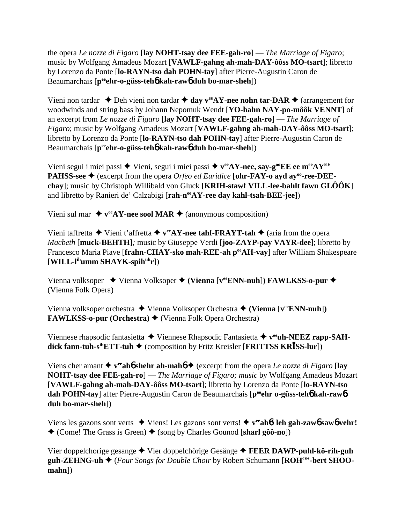the opera *Le nozze di Figaro* [**lay NOHT-tsay dee FEE-gah-ro**] — *The Marriage of Figaro*; music by Wolfgang Amadeus Mozart [**VAWLF-gahng ah-mah-DAY-ôôss MO-tsart**]; libretto by Lorenzo da Ponte [**lo-RAYN-tso dah POHN-tay**] after Pierre-Augustin Caron de Beaumarchais [**peeehr-o-güss-teh**6 **kah-raw**6 **duh bo-mar-sheh**])

Vieni non tardar  $\triangle$  Deh vieni non tardar  $\triangle$  day v<sup>ee</sup>AY-nee nohn tar-DAR  $\triangle$  (arrangement for woodwinds and string bass by Johann Nepomuk Wendt [**YO-hahn NAY-po-môôk VENNT**] of an excerpt from *Le nozze di Figaro* [**lay NOHT-tsay dee FEE-gah-ro**] — *The Marriage of Figaro*; music by Wolfgang Amadeus Mozart [**VAWLF-gahng ah-mah-DAY-ôôss MO-tsart**]; libretto by Lorenzo da Ponte [**lo-RAYN-tso dah POHN-tay**] after Pierre-Augustin Caron de Beaumarchais [**peeehr-o-güss-teh**6 **kah-raw**6 **duh bo-mar-sheh**])

Vieni segui i miei passi  $\blacklozenge$  Vieni, segui i miei passi  $\blacklozenge$  v<sup>ee</sup>AY-nee, say-g<sup>oo</sup>EE ee m<sup>ee</sup>AY<sup>EE</sup> **PAHSS-see ♦** (excerpt from the opera *Orfeo ed Euridice* [**ohr-FAY-o ayd ay<sup>oo</sup>-ree-DEEchay**]; music by Christoph Willibald von Gluck [**KRIH-stawf VILL-lee-bahlt fawn GLÔÔK**] and libretto by Ranieri de' Calzabigi [rah-n<sup>ee</sup>AY-ree day kahl-tsah-BEE-jee])

Vieni sul mar  $\leftrightarrow$  v<sup>ee</sup>AY-nee sool MAR  $\leftrightarrow$  (anonymous composition)

Vieni taffretta  $\blacklozenge$  Vieni t'affretta  $\blacklozenge$  v<sup>ee</sup>AY-nee tahf-FRAYT-tah  $\blacklozenge$  (aria from the opera *Macbeth* [**muck-BEHTH**]*;* music by Giuseppe Verdi [**joo-ZAYP-pay VAYR-dee**]; libretto by Francesco Maria Piave [**frahn-CHAY-sko mah-REE-ah peeAH-vay**] after William Shakespeare [**WILL-lihumm SHAYK-spihuhr**])

Vienna volksoper ◆ Vienna Volksoper ◆ (Vienna [veeRN-nuh]) FAWLKSS-o-pur ◆ (Vienna Folk Opera)

Vienna volksoper orchestra Vienna Volksoper Orchestra **(Vienna** [**veeENN-nuh**]**) FAWLKSS-o-pur (Orchestra) ♦ (Vienna Folk Opera Orchestra)** 

Viennese rhapsodic fantasietta ◆ Viennese Rhapsodic Fantasietta ◆ v<sup>ee</sup>uh-NEEZ rapp-SAH**dick fann-tuh-s<sup>ih</sup>ETT-tuh**  $\blacklozenge$  (composition by Fritz Kreisler [**FRITTSS KRISS-lur**])

Viens cher amant  $\triangle$  v<sup>ee</sup> ah**6** shehr ah-mah**6**  $\triangle$  (excerpt from the opera *Le nozze di Figaro* [lay **NOHT-tsay dee FEE-gah-ro**] — *The Marriage of Figaro; music* by Wolfgang Amadeus Mozart [**VAWLF-gahng ah-mah-DAY-ôôss MO-tsart**]; libretto by Lorenzo da Ponte [**lo-RAYN-tso dah POHN-tay**] after Pierre-Augustin Caron de Beaumarchais [peen o-güss-teho kah-rawo **duh bo-mar-sheh**])

Viens les gazons sont verts  $\blacklozenge$  Viens! Les gazons sont verts!  $\blacklozenge$  **v<sup>ee</sup>ah6! leh gah-zaw6** saw6 vehr!  $\triangleleft$  (Come! The Grass is Green)  $\triangleleft$  (song by Charles Gounod [sharl gôô-no])

Vier doppelchorige gesange Vier doppelchörige Gesänge **FEER DAWP-puhl-kö-rih-guh guh-ZEHNG-uh** (*Four Songs for Double Choir* by Robert Schumann [**ROHOH-bert SHOOmahn**])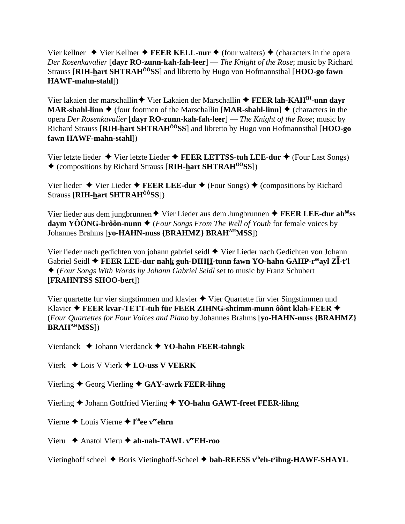Vier kellner  $\blacklozenge$  Vier Kellner  $\blacklozenge$  **FEER KELL-nur**  $\blacklozenge$  (four waiters)  $\blacklozenge$  (characters in the opera *Der Rosenkavalier* [**dayr RO-zunn-kah-fah-leer**] — *The Knight of the Rose*; music by Richard Strauss [**RIH-hart SHTRAHÔÔSS**] and libretto by Hugo von Hofmannsthal [**HOO-go fawn HAWF-mahn-stahl**])

Vier lakaien der marschallin ◆ Vier Lakaien der Marschallin ◆ FEER lah-KAH<sup>IH</sup>-unn dayr **MAR-shahl-linn**  $\blacklozenge$  (four footmen of the Marschallin [**MAR-shahl-linn**]  $\blacklozenge$  (characters in the opera *Der Rosenkavalier* [**dayr RO-zunn-kah-fah-leer**] — *The Knight of the Rose*; music by Richard Strauss [**RIH-hart SHTRAHÔÔSS**] and libretto by Hugo von Hofmannsthal [**HOO-go fawn HAWF-mahn-stahl**])

Vier letzte lieder Vier letzte Lieder **FEER LETTSS-tuh LEE-dur** (Four Last Songs) (compositions by Richard Strauss [**RIH-hart SHTRAHÔÔSS**])

Vier lieder  $\blacklozenge$  Vier Lieder  $\blacklozenge$  **FEER LEE-dur**  $\blacklozenge$  (Four Songs)  $\blacklozenge$  (compositions by Richard Strauss [**RIH-hart SHTRAHÔÔSS**])

Vier lieder aus dem jungbrunnen **→** Vier Lieder aus dem Jungbrunnen → **FEER LEE-dur ah<sup>ôô</sup>ss daym YÔÔNG-brôôn-nunn**  $\blacklozenge$  (*Four Songs From The Well of Youth* for female voices by Johannes Brahms [**yo-HAHN-nuss {BRAHMZ} BRAHAHMSS**])

Vier lieder nach gedichten von johann gabriel seidl Vier Lieder nach Gedichten von Johann Gabriel Seidl  **FEER LEE-dur nahk guh-DIHH-tunn fawn YO-hahn GAHP-reeayl Z-t'l** (*Four Songs With Words by Johann Gabriel Seidl* set to music by Franz Schubert [**FRAHNTSS SHOO-bert**])

Vier quartette fur vier singstimmen und klavier  $\blacklozenge$  Vier Quartette für vier Singstimmen und Klavier **FEER kvar-TETT-tuh für FEER ZIHNG-shtimm-munn ôônt klah-FEER** (*Four Quartettes for Four Voices and Piano* by Johannes Brahms [**yo-HAHN-nuss {BRAHMZ} BRAHAHMSS**])

Vierdanck Johann Vierdanck **YO-hahn FEER-tahngk**

Vierk Lois V Vierk **LO-uss V VEERK**

Vierling ♦ Georg Vierling ♦ GAY-awrk FEER-lihng

Vierling ◆ Johann Gottfried Vierling ◆ YO-hahn GAWT-freet FEER-lihng

Vierne ◆ Louis Vierne ◆ l<sup>ôô</sup>ee v<sup>ee</sup>ehrn

Vieru Anatol Vieru **ah-nah-TAWL veeEH-roo**

Vietinghoff scheel  $\blacklozenge$  Boris Vietinghoff-Scheel  $\blacklozenge$  **bah-REESS v<sup>ih</sup>eh-t<sup>y</sup>ihng-HAWF-SHAYL**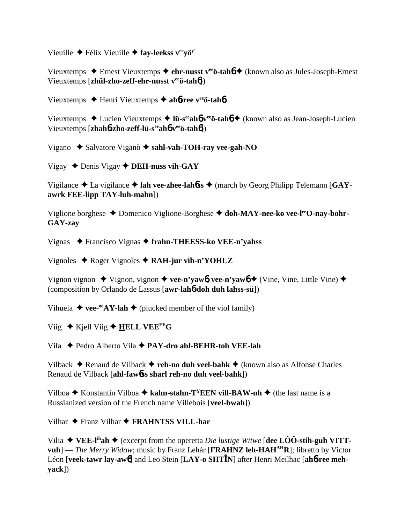Vieuille Félix Vieuille **fay-leekss veeyöy'**

Vieuxtemps Ernest Vieuxtemps **ehr-nusst veeö-tah**6 (known also as Jules-Joseph-Ernest Vieuxtemps [**zhül-zho-zeff-ehr-nusst veeö-tah**6])

Vieuxtemps Henri Vieuxtemps **ah**6**-ree veeö-tah**6

Vieuxtemps Lucien Vieuxtemps **lü-seeah**6 **veeö-tah**6 (known also as Jean-Joseph-Lucien Vieuxtemps [**zhah**6**-zho-zeff-lü-seeah**6 **veeö-tah**6])

Vigano ◆ Salvatore Viganò ◆ sahl-vah-TOH-ray vee-gah-NO

Vigay  $\triangle$  Denis Vigay  $\triangle$  **DEH-nuss vih-GAY** 

Vigilance ◆ La vigilance ◆ lah vee-zhee-lahbss ◆ (march by Georg Philipp Telemann [GAY**awrk FEE-lipp TAY-luh-mahn**])

Viglione borghese Domenico Viglione-Borghese **doh-MAY-nee-ko vee-leeO-nay-bohr-GAY-zay**

Vignas Francisco Vignas **frahn-THEESS-ko VEE-n'yahss**

Vignoles ◆ Roger Vignoles ◆ RAH-jur vih-n'YOHLZ

Vignon vignon ◆ Vignon, vignon ◆ vee-n'yaw**6, vee-n'yaw6** ◆ (Vine, Vine, Little Vine) ◆ (composition by Orlando de Lassus [**awr-lah**6**-doh duh lahss-sü**])

Vihuela  $\blacklozenge$  vee-<sup>oo</sup>AY-lah  $\blacklozenge$  (plucked member of the viol family)

Viig  $\blacklozenge$  Kjell Viig  $\blacklozenge$  **HELL VEE<sup>EE</sup>G** 

Vila Pedro Alberto Vila **PAY-dro ahl-BEHR-toh VEE-lah**

Vilback Renaud de Vilback **reh-no duh veel-bahk** (known also as Alfonse Charles Renaud de Vilback [**ahl-faw**6**ss sharl reh-no duh veel-bahk**])

Vilboa  $\triangle$  Konstantin Vilboa  $\triangle$  kahn-stahn-T<sup>Y</sup>EEN vill-BAW-uh  $\triangle$  (the last name is a Russianized version of the French name Villebois [**veel-bwah**])

Vilhar  $\triangle$  Franz Vilhar  $\triangle$  **FRAHNTSS VILL-har** 

Vilia  $\blacklozenge$  VEE-l<sup>ih</sup>ah  $\blacklozenge$  (excerpt from the operetta *Die lustige Witwe* [dee LÔÔ-stih-guh VITT**vuh**] — *The Merry Widow*; music by Franz Lehár [**FRAHNZ leh-HAH**<sup>AH</sup>**R**]; libretto by Victor Léon [**veek-tawr lay-aw**6] and Leo Stein [**LAY-o SHTN**] after Henri Meilhac [**ah**6**-ree mehyack**])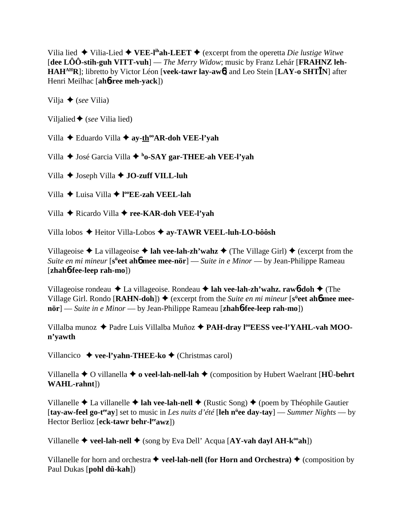Vilia lied  $\blacklozenge$  Vilia-Lied  $\blacklozenge$  **VEE-l<sup>ih</sup>ah-LEET**  $\blacklozenge$  (excerpt from the operetta *Die lustige Witwe* [**dee LÔÔ-stih-guh VITT-vuh**] — *The Merry Widow*; music by Franz Lehár [**FRAHNZ leh-HAHAHR**]; libretto by Victor Léon [**veek-tawr lay-aw**6] and Leo Stein [**LAY-o SHTN**] after Henri Meilhac [**ah**6**-ree meh-yack**])

Vilja (*see* Vilia)

Viljalied (*see* Vilia lied)

Villa **→** Eduardo Villa ◆ ay-th<sup>oo</sup>AR-doh VEE-l'yah

Villa ◆ José Garcia Villa ◆ <sup>h</sup>o-SAY gar-THEE-ah VEE-l'yah

Villa **→** Joseph Villa **→ JO-zuff VILL-luh** 

Villa Luisa Villa **l ooEE-zah VEEL-lah**

Villa Ricardo Villa **ree-KAR-doh VEE-l'yah**

Villa lobos Heitor Villa-Lobos  **ay-TAWR VEEL-luh-LO-bôôsh**

Villageoise  $\triangle$  La villageoise  $\triangle$  **lah vee-lah-zh'wahz**  $\triangle$  (The Village Girl)  $\triangle$  (excerpt from the *Suite en mi mineur* [s<sup>ü</sup>eet ah6 mee mee-nör] — *Suite in e Minor* — by Jean-Philippe Rameau [**zhah**6**-fee-leep rah-mo**])

Villageoise rondeau La villageoise. Rondeau **lah vee-lah-zh'wahz. raw**6**-doh** (The Village Girl. Rondo [RAHN-doh]) ♦ (excerpt from the *Suite en mi mineur* [s<sup>ü</sup>eet ah**6** mee mee**nör**] — *Suite in e Minor* — by Jean-Philippe Rameau [**zhah**6**-fee-leep rah-mo**])

Villalba munoz ◆ Padre Luis Villalba Muñoz ◆ PAH-dray l<sup>oo</sup>EESS vee-l'YAHL-vah MOO**n'yawth**

Villancico  **vee-l'yahn-THEE-ko** (Christmas carol)

Villanella  $\blacklozenge$  O villanella  $\blacklozenge$  **o veel-lah-nell-lah**  $\blacklozenge$  (composition by Hubert Waelrant [**HÜ-behrt WAHL-rahnt**])

Villanelle  $\triangle$  La villanelle  $\triangle$  **lah vee-lah-nell**  $\triangle$  (Rustic Song)  $\triangle$  (poem by Théophile Gautier [**tay-aw-feel go-teeay**] set to music in *Les nuits d'été* [**leh nü ee day-tay**] — *Summer Nights* — by Hector Berlioz [**eck-tawr behr-leeawz**])

Villanelle  $\triangle$  **veel-lah-nell**  $\triangle$  (song by Eva Dell' Acqua [AY-vah dayl AH-k<sup>oo</sup>ah])

Villanelle for horn and orchestra  $\blacklozenge$  **veel-lah-nell (for Horn and Orchestra)**  $\blacklozenge$  (composition by Paul Dukas [**pohl dü-kah**])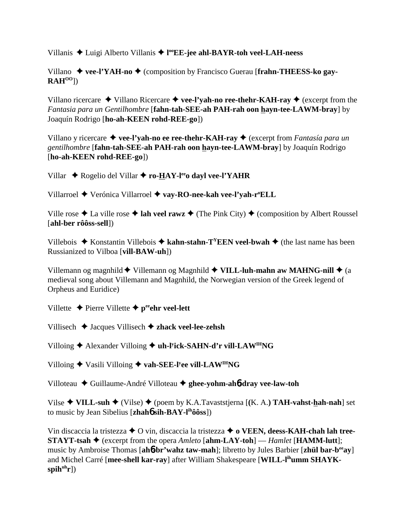Villanis Luigi Alberto Villanis **l ooEE-jee ahl-BAYR-toh veel-LAH-neess**

Villano ◆ vee-l'YAH-no ◆ (composition by Francisco Guerau [frahn-THEESS-ko gay-**RAHOO**])

Villano ricercare  $\triangle$  Villano Ricercare  $\triangle$  vee-l'yah-no ree-thehr-KAH-ray  $\triangle$  (excerpt from the *Fantasia para un Gentilhombre* [**fahn-tah-SEE-ah PAH-rah oon hayn-tee-LAWM-bray**] by Joaquín Rodrigo [**ho-ah-KEEN rohd-REE-go**])

Villano y ricercare **vee-l'yah-no ee ree-thehr-KAH-ray** (excerpt from *Fantasía para un gentilhombre* [**fahn-tah-SEE-ah PAH-rah oon hayn-tee-LAWM-bray**] by Joaquín Rodrigo [**ho-ah-KEEN rohd-REE-go**])

Villar ◆ Rogelio del Villar ◆ ro-HAY-l<sup>ee</sup>o dayl vee-l'YAHR

Villarroel ◆ Verónica Villarroel ◆ vay-RO-nee-kah vee-l'yah-r<sup>o</sup>ELL

Ville rose  $\triangle$  La ville rose  $\triangle$  lah veel rawz  $\triangle$  (The Pink City)  $\triangle$  (composition by Albert Roussel [**ahl-ber rôôss-sell**])

Villebois  $\triangle$  Konstantin Villebois  $\triangle$  kahn-stahn-T<sup>Y</sup>EEN veel-bwah  $\triangle$  (the last name has been Russianized to Vilboa [**vill-BAW-uh**])

Villemann og magnhild  $\blacklozenge$  Villemann og Magnhild  $\blacklozenge$  **VILL-luh-mahn aw MAHNG-nill**  $\blacklozenge$  (a medieval song about Villemann and Magnhild, the Norwegian version of the Greek legend of Orpheus and Euridice)

Villette  $\triangle$  Pierre Villette  $\triangle$  p<sup>ee</sup>ehr veel-lett

Villisech Jacques Villisech **zhack veel-lee-zehsh**

Villoing ◆ Alexander Villoing ◆ uh-l<sup>y</sup>ick-SAHN-d'r vill-LAW<sup>IH</sup>NG

Villoing ◆ Vasili Villoing ◆ vah-SEE-l<sup>y</sup>ee vill-LAW<sup>IH</sup>NG

Villoteau Guillaume-André Villoteau **ghee-yohm-ah**6**-dray vee-law-toh**

Vilse **VILL-suh** (Vilse) (poem by K.A.Tavaststjerna [**(**K. A.**) TAH-vahst-hah-nah**] set to music by Jean Sibelius [**zhah**6 **sih-BAY-lihôôss**])

Vin discaccia la tristezza **→** O vin, discaccia la tristezza ◆ **o VEEN, deess-KAH-chah lah tree-STAYT-tsah**  $\blacklozenge$  (excerpt from the opera *Amleto* [**ahm-LAY-toh**] — *Hamlet* [**HAMM-lutt**]; music by Ambroise Thomas [**ah**6**-br'wahz taw-mah**]; libretto by Jules Barbier [**zhül bar-beeay**] and Michel Carré [**mee-shell kar-ray**] after William Shakespeare [**WILL-lihumm SHAYKspih<sup>uh</sup>r**])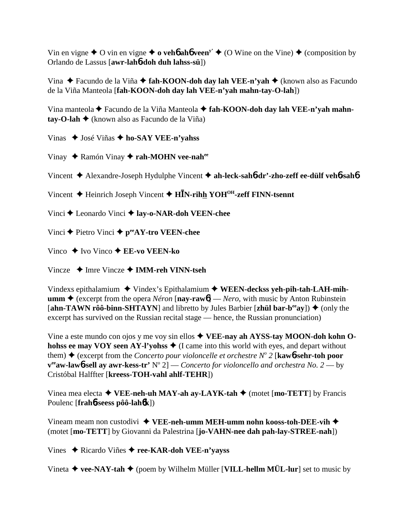Vin en vigne  $\triangle$  O vin en vigne  $\triangle$  o veho a hove  $\mathbf{v}^{\mathbf{y}} \triangleq$  (O Wine on the Vine)  $\triangleq$  (composition by Orlando de Lassus [awr-lah**6-doh duh lahss-sü**])

Vina  $\triangle$  Facundo de la Viña  $\triangle$  fah-KOON-doh day lah VEE-n'yah  $\triangle$  (known also as Facundo de la Viña Manteola [fah-KOON-doh day lah VEE-n'yah mahn-tay-O-lah])

Vina manteola ← Facundo de la Viña Manteola ← fah-KOON-doh day lah VEE-n'yah mahn $tav-O-lah$  (known also as Facundo de la Viña)

Vinas ◆ José Viñas ◆ ho-SAY VEE-n'yahss

Vinay ◆ Ramón Vinay ◆ rah-MOHN vee-nah<sup>ee</sup>

Vincent  $\triangle$  Alexandre-Joseph Hydulphe Vincent  $\triangle$  ah-leck-sahb-dr'-zho-zeff ee-dülf vehb-sahb

Vincent  $\triangle$  Heinrich Joseph Vincent  $\triangle$  HIN-rihh YOH<sup>OH</sup>-zeff FINN-tsennt

Vinci ♦ Leonardo Vinci ♦ lay-o-NAR-doh VEEN-chee

Vinci ← Pietro Vinci ←  $p^{ee}AY$ -tro VEEN-chee

Vinco  $\blacklozenge$  Ivo Vinco  $\blacklozenge$  EE-vo VEEN-ko

Vincze  $\triangle$  Imre Vincze  $\triangle$  IMM-reh VINN-tseh

Vindexs epithalamium  $\triangle$  Vindex's Epithalamium  $\triangle$  WEEN-deckss yeh-pih-tah-LAH-mih**umm**  $\triangle$  (excerpt from the opera *Néron* [nay-rawb] — *Nero*, with music by Anton Rubinstein [ahn-TAWN rôô-binn-SHTAYN] and libretto by Jules Barbier [zhül bar-b<sup>ee</sup>ay])  $\blacklozenge$  (only the excerpt has survived on the Russian recital stage — hence, the Russian pronunciation)

Vine a este mundo con ojos y me voy sin ellos  $\triangle$  VEE-nay ah AYSS-tay MOON-doh kohn Ohohss ee may VOY seen AY-l'yohss  $\triangle$  (I came into this world with eyes, and depart without them)  $\blacklozenge$  (excerpt from the *Concerto pour violoncelle et orchestre N° 2* [**kaw6-sehr-toh poor**  ${\bf v}^{\rm ee}$ aw-lawb-sell av awr-kess-tr' N° 2] — Concerto for violoncello and orchestra No. 2 — by Cristóbal Halffter [kreess-TOH-vahl ahlf-TEHR])

Vinea mea electa  $\triangleleft$  VEE-neh-uh MAY-ah ay-LAYK-tah  $\triangleleft$  (motet [mo-TETT] by Francis Poulenc [frah6-seess pôô-lah6k])

Vineam meam non custodivi  $\triangleq$  VEE-neh-umm MEH-umm nohn kooss-toh-DEE-vih  $\triangleq$ (motet [mo-TETT] by Giovanni da Palestrina [jo-VAHN-nee dah pah-lay-STREE-nah])

Vines  $\triangle$  Ricardo Viñes  $\triangle$  ree-KAR-doh VEE-n'yayss

Vineta  $\blacklozenge$  vee-NAY-tah  $\blacklozenge$  (poem by Wilhelm Müller [VILL-hellm MÜL-lur] set to music by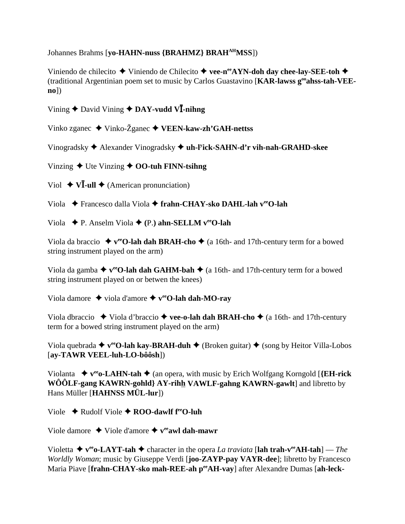Johannes Brahms [vo-HAHN-nuss {BRAHMZ} BRAH<sup>AH</sup>MSS])

Viniendo de chilecito  $\blacklozenge$  Viniendo de Chilecito  $\blacklozenge$  vee-n<sup>ee</sup>AYN-doh day chee-lay-SEE-toh  $\blacklozenge$ (traditional Argentinian poem set to music by Carlos Guastavino [KAR-lawss g<sup>oo</sup>ahss-tah-VEE- $\mathbf{no}$ ])

Vining  $\triangle$  David Vining  $\triangle$  DAY-vudd V $\overline{I}$ -nihng

Vinko zganec ◆ Vinko-Žganec ◆ VEEN-kaw-zh'GAH-nettss

Vinogradsky  $\triangle$  Alexander Vinogradsky  $\triangle$  uh-l<sup>y</sup>ick-SAHN-d'r vih-nah-GRAHD-skee

Vinzing  $\blacklozenge$  Ute Vinzing  $\blacklozenge$  OO-tuh FINN-tsihng

Viol  $\blacklozenge$  V**I**-ull  $\blacklozenge$  (American pronunciation)

Viola → Francesco dalla Viola → frahn-CHAY-sko DAHL-lah v<sup>ec</sup>O-lah

Viola  $\blacklozenge$  P. Anselm Viola  $\blacklozenge$  (P.) ahn-SELLM v<sup>ee</sup>O-lah

Viola da braccio  $\rightarrow$  v<sup>ee</sup>O-lah dah BRAH-cho  $\rightarrow$  (a 16th- and 17th-century term for a bowed string instrument played on the arm)

Viola da gamba  $\blacklozenge$  v<sup>ee</sup>O-lah dah GAHM-bah  $\blacklozenge$  (a 16th- and 17th-century term for a bowed string instrument played on or betwen the knees)

Viola damore  $\rightarrow$  viola d'amore  $\rightarrow$  v<sup>ee</sup>O-lah dah-MO-ray

Viola dbraccio  $\blacklozenge$  Viola d'braccio  $\blacklozenge$  vee-o-lah dah BRAH-cho  $\blacklozenge$  (a 16th- and 17th-century term for a bowed string instrument played on the arm)

Viola quebrada  $\blacklozenge$  v<sup>ee</sup>O-lah kay-BRAH-duh  $\blacklozenge$  (Broken guitar)  $\blacklozenge$  (song by Heitor Villa-Lobos  $[ay-TAWR VEEL-luh-LO-bôôsh])$ 

Violanta  $\blacklozenge$  v<sup>ee</sup> o-LAHN-tah  $\blacklozenge$  (an opera, with music by Erich Wolfgang Korngold [{EH-rick WÔÔLF-gang KAWRN-gohld} AY-rihh VAWLF-gahng KAWRN-gawlt] and libretto by Hans Müller [HAHNSS MÜL-lur])

Viole  $\triangle$  Rudolf Viole  $\triangle$  ROO-dawlf f<sup>re</sup>O-luh

Viole damore  $\rightarrow$  Viole d'amore  $\rightarrow$  v<sup>ee</sup> awl dah-mawr

Violetta  $\blacklozenge$  v<sup>ee</sup> o-LAYT-tah  $\blacklozenge$  character in the opera *La traviata* [lah trah-v<sup>ee</sup>AH-tah] — *The* Worldly Woman; music by Giuseppe Verdi [joo-ZAYP-pay VAYR-dee]; libretto by Francesco Maria Piave [frahn-CHAY-sko mah-REE-ah perAH-vay] after Alexandre Dumas [ah-leck-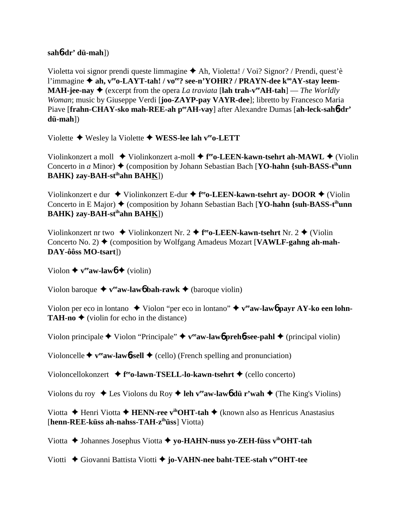### **sah**6**-dr' dü-mah**])

Violetta voi signor prendi queste limmagine Ah, Violetta! / Voi? Signor? / Prendi, quest'è l'immagine ◆ ah, v<sup>ee</sup>o-LAYT-tah! / vo<sup>ee</sup>? see-n'YOHR? / PRAYN-dee k<sup>oo</sup>AY-stay leem-**MAH-jee-nay**  $\blacklozenge$  (excerpt from the opera *La traviata* [lah trah-v<sup>ee</sup>AH-tah] — *The Worldly Woman*; music by Giuseppe Verdi [**joo-ZAYP-pay VAYR-dee**]; libretto by Francesco Maria Piave [frahn-CHAY-sko mah-REE-ah peeAH-vay] after Alexandre Dumas [ah-leck-sah6-dr' **dü-mah**])

Violette Wesley la Violette **WESS-lee lah veeo-LETT**

Violinkonzert a moll ◆ Violinkonzert a-moll ◆ f<sup>ee</sup>o-LEEN-kawn-tsehrt ah-MAWL ◆ (Violin Concerto in *a* Minor)  $\triangle$  (composition by Johann Sebastian Bach [**YO-hahn** {suh-BASS-t<sup>ih</sup>unn **BAHK} zay-BAH-stihahn BAHK**])

Violinkonzert e dur ◆ Violinkonzert E-dur ◆ f<sup>ee</sup>o-LEEN-kawn-tsehrt ay- DOOR ◆ (Violin Concerto in E Major) ♦ (composition by Johann Sebastian Bach [**YO-hahn** {suh-BASS-t<sup>ih</sup>unn **BAHK} zay-BAH-stihahn BAHK**])

Violinkonzert nr two  $\blacklozenge$  Violinkonzert Nr. 2  $\blacklozenge$  f<sup>ee</sup>o-LEEN-kawn-tsehrt Nr. 2  $\blacklozenge$  (Violin Concerto No. 2)  $\blacklozenge$  (composition by Wolfgang Amadeus Mozart [**VAWLF-gahng ah-mah-DAY-ôôss MO-tsart**])

Violon  $\blacklozenge$  **v<sup>ee</sup>aw-law** $\blacklozenge$  (violin)

Violon baroque  $\triangleleft$  v<sup>ee</sup>aw-law<sub>6</sub> bah-rawk  $\triangleleft$  (baroque violin)

Violon per eco in lontano  $\blacklozenge$  Violon "per eco in lontano"  $\blacklozenge$  v<sup>ee</sup>aw-law<sub>6</sub> payr AY-ko een lohn-**TAH-no**  $\triangle$  (violin for echo in the distance)

Violon principale  $\blacklozenge$  Violon "Principale"  $\blacklozenge$  **v<sup>ee</sup>aw-law<sub>6</sub>** preh**6**-see-pahl  $\blacklozenge$  (principal violin)

Violoncelle  $\blacklozenge$  **v<sup>ee</sup>aw-law**6**-sell**  $\blacklozenge$  (cello) (French spelling and pronunciation)

Violoncellokonzert **→ f<sup>ee</sup>o-lawn-TSELL-lo-kawn-tsehrt →** (cello concerto)

Violons du roy  $\triangle$  Les Violons du Roy  $\triangle$  leh v<sup>ee</sup>aw-lawb dü r'wah  $\triangle$  (The King's Violins)

Viotta **→** Henri Viotta → **HENN-ree v<sup>ih</sup>OHT-tah** → (known also as Henricus Anastasius [**henn-REE-küss ah-nahss-TAH-zihüss**] Viotta)

Viotta **→** Johannes Josephus Viotta → yo-HAHN-nuss yo-ZEH-füss v<sup>ih</sup>OHT-tah

Viotti Giovanni Battista Viotti **jo-VAHN-nee baht-TEE-stah veeOHT-tee**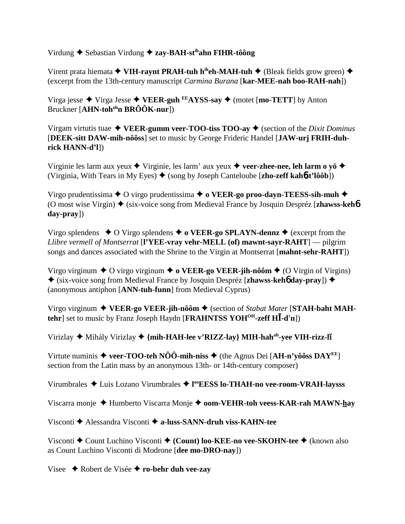# Virdung **→** Sebastian Virdung → zay-BAH-st<sup>ih</sup>ahn FIHR-tôông

Virent prata hiemata **◆ VIH-raynt PRAH-tuh h<sup>ih</sup>eh-MAH-tuh ◆** (Bleak fields grow green) ◆ (excerpt from the 13th-century manuscript *Carmina Burana* [**kar-MEE-nah boo-RAH-nah**])

Virga jesse Virga Jesse **VEER-guh EEAYSS-say** (motet [**mo-TETT**] by Anton Bruckner [**AHN-tohohn BRÔÔK-nur**])

Virgam virtutis tuae  $\triangle$  **VEER-gumm veer-TOO-tiss TOO-ay**  $\triangle$  (section of the *Dixit Dominus* [**DEEK-sitt DAW-mih-nôôss**] set to music by George Frideric Handel [**JAW-urj FRIH-duhrick HANN-d'l**])

Virginie les larm aux yeux  $\blacklozenge$  Virginie, les larm' aux yeux  $\blacklozenge$  veer-zhee-nee, leh larm o yö $\blacklozenge$ (Virginia, With Tears in My Eyes) (song by Joseph Canteloube [**zho-zeff kah**6**-t'lôôb**])

Virgo prudentissima  $\triangle$  O virgo prudentissima  $\triangle$  o VEER-go proo-dayn-TEESS-sih-muh  $\triangle$ (O most wise Virgin) ♦ (six-voice song from Medieval France by Josquin Despréz [zhawss-keh**6**] **day-pray**])

Virgo splendens  $\triangle$  O Virgo splendens  $\triangle$  o **VEER-go SPLAYN-dennz**  $\triangle$  (excerpt from the *Llibre vermell of Montserrat* [**l'YEE-vray vehr-MELL (of) mawnt-sayr-RAHT**] — pilgrim songs and dances associated with the Shrine to the Virgin at Montserrat [**mahnt-sehr-RAHT**])

Virgo virginum  $\triangle$  O virgo virginum  $\triangle$  **o VEER-go VEER-jih-nôôm**  $\triangle$  (O Virgin of Virgins) (six-voice song from Medieval France by Josquin Despréz [**zhawss-keh**6 **day-pray**]) (anonymous antiphon [**ANN-tuh-funn**] from Medieval Cyprus)

Virgo virginum ◆ VEER-go VEER-jih-nôôm ◆ (section of *Stabat Mater* [STAH-baht MAH**tehr** set to music by Franz Joseph Haydn [**FRAHNTSS YOH<sup>OH</sup>-zeff HI-d'n**])

Virizlay  $\blacklozenge$  Mihály Virizlay  $\blacklozenge$  {mih-HAH-lee v'RIZZ-lay} MIH-hah<sup>ah</sup>-yee VIH-rizz-l**i** 

Virtute numinis  $\triangle$  veer-TOO-teh NÔÔ-mih-niss  $\triangle$  (the Agnus Dei [AH-n'yôôss DAY<sup>EE</sup>] section from the Latin mass by an anonymous 13th- or 14th-century composer)

Virumbrales ◆ Luis Lozano Virumbrales ◆ l<sup>oo</sup>EESS lo-THAH-no vee-room-VRAH-laysss

Viscarra monje Humberto Viscarra Monje **oom-VEHR-toh veess-KAR-rah MAWN-hay**

Visconti Alessandra Visconti **a-luss-SANN-druh viss-KAHN-tee**

Visconti ◆ Count Luchino Visconti ◆ (Count) loo-KEE-no vee-SKOHN-tee ◆ (known also as Count Luchino Visconti di Modrone [**dee mo-DRO-nay**])

Visee Robert de Visée **ro-behr duh vee-zay**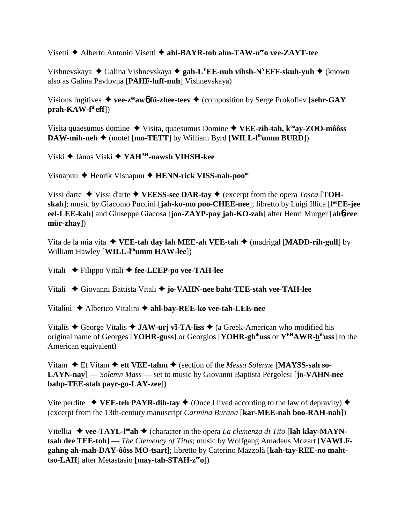Visetti **→** Alberto Antonio Visetti ◆ ahl-BAYR-toh ahn-TAW-n<sup>ee</sup>o vee-ZAYT-tee

Vishnevskaya ◆ Galina Vishnevskaya ◆ gah-L<sup>Y</sup>EE-nuh vihsh-N<sup>Y</sup>EFF-skuh-yuh ◆ (known also as Galina Pavlovna [**PAHF-luff-nuh**] Vishnevskaya)

Visions fugitives  $\blacklozenge$  vee-z<sup>ee</sup>aw**6** fü-zhee-teev  $\blacklozenge$  (composition by Serge Prokofiev [sehr-GAY **prah-KAW-fiheff**])

Visita quaesumus domine ◆ Visita, quaesumus Domine ◆ VEE-zih-tah, k<sup>oo</sup>ay-ZOO-môôss **DAW-mih-neh**  $\blacklozenge$  (motet [**mo-TETT**] by William Byrd [**WILL-l<sup>ih</sup>umm BURD**])

Viski János Viski **YAHAH-nawsh VIHSH-kee**

Visnapuu Henrik Visnapuu **HENN-rick VISS-nah-poooo**

Vissi darte  $\blacklozenge$  Vissi d'arte  $\blacklozenge$  **VEESS-see DAR-tay**  $\blacklozenge$  (excerpt from the opera *Tosca* [**TOHskah**]; music by Giacomo Puccini [**jah-ko-mo poo-CHEE-nee**]; libretto by Luigi Illica [**l ooEE-jee eel-LEE-kah**] and Giuseppe Giacosa [**joo-ZAYP-pay jah-KO-zah**] after Henri Murger [**ah**6**-ree mür-zhay**])

Vita de la mia vita  $\blacklozenge$  **VEE-tah day lah MEE-ah VEE-tah**  $\blacklozenge$  (madrigal [**MADD-rih-gull**] by William Hawley [**WILL-lihumm HAW-lee**])

Vitali Filippo Vitali **fee-LEEP-po vee-TAH-lee**

Vitali Giovanni Battista Vitali **jo-VAHN-nee baht-TEE-stah vee-TAH-lee**

Vitalini Alberico Vitalini **ahl-bay-REE-ko vee-tah-LEE-nee**

Vitalis  $\triangle$  George Vitalis  $\triangle$  **JAW-urj vī-TA-liss**  $\triangle$  (a Greek-American who modified his original name of Georges [**YOHR-guss**] or Georgios [**YOHR-ghihuss** or **YEHAWR-hihuss**] to the American equivalent)

Vitam ◆ Et Vitam ◆ ett VEE-tahm ◆ (section of the *Messa Solenne* [MAYSS-sah so-**LAYN-nay**] — *Solemn Mass* — set to music by Giovanni Baptista Pergolesi [**jo-VAHN-nee bahp-TEE-stah payr-go-LAY-zee**])

Vite perdite  $\blacklozenge$  **VEE-teh PAYR-dih-tay**  $\blacklozenge$  (Once I lived according to the law of depravity)  $\blacklozenge$ (excerpt from the 13th-century manuscript *Carmina Burana* [**kar-MEE-nah boo-RAH-nah**])

Vitellia ◆ vee-TAYL-l<sup>ee</sup>ah ◆ (character in the opera *La clemenza di Tito* [lah klay-MAYN**tsah dee TEE-toh**] — *The Clemency of Titus*; music by Wolfgang Amadeus Mozart [**VAWLFgahng ah-mah-DAY-ôôss MO-tsart**]; libretto by Caterino Mazzolà [**kah-tay-REE-no mahttso-LAH**] after Metastasio [may-tah-STAH-z<sup>ee</sup>o])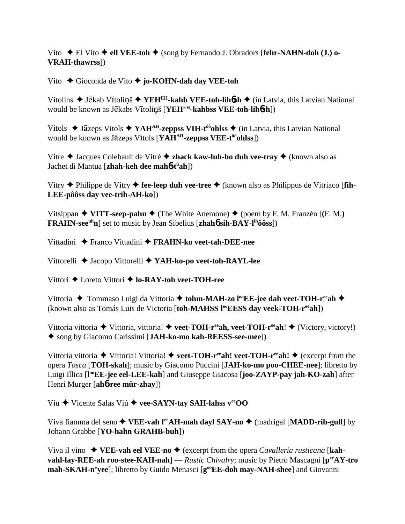Vito **→** El Vito **→ ell VEE-toh →** (song by Fernando J. Obradors [**fehr-NAHN-doh (J.)** o-**VRAH-thawrss**])

Vito Gioconda de Vito **jo-KOHN-dah day VEE-toh**

Vitolins ◆ Jēkab Vītoliņš ◆ YEH<sup>EH</sup>-kahb VEE-toh-lih**ósh** ◆ (in Latvia, this Latvian National would be known as Jēkabs Vītoliņš [YEH<sup>EH</sup>-kahbss VEE-toh-lih6sh])

Vitols  $\triangle$  Jāzeps Vitols  $\triangle$  YAH<sup>AH</sup>-zeppss VIH-t<sup>ôô</sup>ohlss  $\triangle$  (in Latvia, this Latvian National would be known as Jāzeps Vītols [**YAH<sup>AH</sup>-zeppss VEE-t<sup>ôo</sup>ohlss**])

Vitre Jacques Colebault de Vitré **zhack kaw-luh-bo duh vee-tray** (known also as Jachet di Mantua [**zhah-keh dee mah**6**-tü ah**])

Vitry Philippe de Vitry **fee-leep duh vee-tree** (known also as Philippus de Vitriaco [**fih-LEE-pôôss day vee-trih-AH-ko**])

Vitsippan  $\blacklozenge$  **VITT-seep-pahn**  $\blacklozenge$  (The White Anemone)  $\blacklozenge$  (poem by F. M. Franzén [(F. M.) **FRAHN-see<sup>uh</sup>n**] set to music by Jean Sibelius [**zhah6** sih-BAY-l<sup>ih</sup>ôôss])

Vittadini Franco Vittadini **FRAHN-ko veet-tah-DEE-nee**

Vittorelli Jacopo Vittorelli **YAH-ko-po veet-toh-RAYL-lee**

Vittori Loreto Vittori **lo-RAY-toh veet-TOH-ree**

Vittoria ◆ Tommaso Luigi da Vittoria ◆ tohm-MAH-zo l<sup>oo</sup>EE-jee dah veet-TOH-r<sup>ee</sup>ah ◆ (known also as Tomás Luis de Victoria [toh-MAHSS l<sup>oo</sup>EESS day veek-TOH-r<sup>ee</sup>ah])

Vittoria vittoria ◆ Vittoria, vittoria! ◆ veet-TOH-r<sup>ee</sup>ah, veet-TOH-r<sup>ee</sup>ah! ◆ (Victory, victory!) song by Giacomo Carissimi [**JAH-ko-mo kah-REESS-see-mee**])

Vittoria vittoria  $\blacklozenge$  Vittoria! Vittoria!  $\blacklozenge$  **veet-TOH-r<sup>ee</sup>ah! veet-TOH-r<sup>ee</sup>ah!**  $\blacklozenge$  (excerpt from the opera *Tosca* [**TOH-skah**]; music by Giacomo Puccini [**JAH-ko-mo poo-CHEE-nee**]; libretto by Luigi Illica [**l ooEE-jee eel-LEE-kah**] and Giuseppe Giacosa [**joo-ZAYP-pay jah-KO-zah**] after Henri Murger [**ah**6**-ree mür-zhay**])

Viu Vicente Salas Viú **vee-SAYN-tay SAH-lahss veeOO**

Viva fiamma del seno ◆ VEE-vah f<sup>ee</sup>AH-mah dayl SAY-no ◆ (madrigal [MADD-rih-gull] by Johann Grabbe [**YO-hahn GRAHB-buh**])

Viva il vino  $\blacklozenge$  **VEE-vah eel VEE-no**  $\blacklozenge$  (excerpt from the opera *Cavalleria rusticana* [**kahvahl-lay-REE-ah roo-stee-KAH-nah**] — *Rustic Chivalry*; music by Pietro Mascagni [**peeAY-tro** mah-SKAH-n'yee]; libretto by Guido Menasci [g<sup>oo</sup>EE-doh may-NAH-shee] and Giovanni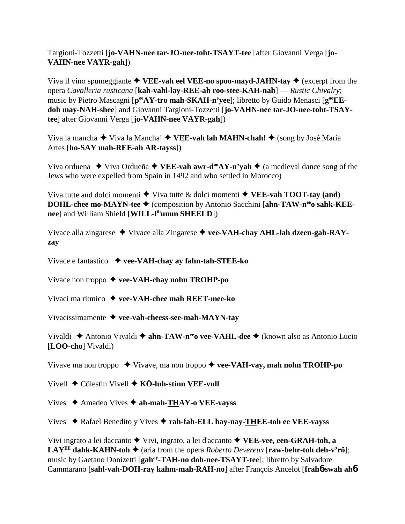Targioni-Tozzetti [**jo-VAHN-nee tar-JO-nee-toht-TSAYT-tee**] after Giovanni Verga [**jo-VAHN-nee VAYR-gah**])

Viva il vino spumeggiante  $\blacklozenge$  **VEE-vah eel VEE-no spoo-mayd-JAHN-tay**  $\blacklozenge$  (excerpt from the opera *Cavalleria rusticana* [**kah-vahl-lay-REE-ah roo-stee-KAH-nah**] — *Rustic Chivalry*; music by Pietro Mascagni [ $p^{ee}AY$ -tro mah-SKAH-n'yee]; libretto by Guido Menasci [ $g^{oo}EE$ **doh may-NAH-shee**] and Giovanni Targioni-Tozzetti [**jo-VAHN-nee tar-JO-nee-toht-TSAYtee**] after Giovanni Verga [**jo-VAHN-nee VAYR-gah**])

Viva la mancha ◆ Viva la Mancha! ◆ VEE-vah lah MAHN-chah! ◆ (song by José Maria Artes [**ho-SAY mah-REE-ah AR-tayss**])

Viva orduena  $\blacklozenge$  Viva Ordueña  $\blacklozenge$  **VEE-vah awr-d<sup>oo</sup>AY-n'yah**  $\blacklozenge$  (a medieval dance song of the Jews who were expelled from Spain in 1492 and who settled in Morocco)

Viva tutte and dolci momenti  $\blacklozenge$  Viva tutte & dolci momenti  $\blacklozenge$  VEE-vah TOOT-tay (and) **DOHL-chee mo-MAYN-tee ♦** (composition by Antonio Sacchini [ahn-TAW-n<sup>ee</sup>o sahk-KEE**nee**] and William Shield [**WILL-lihumm SHEELD**])

Vivace alla zingarese Vivace alla Zingarese **vee-VAH-chay AHL-lah dzeen-gah-RAYzay**

Vivace e fantastico **vee-VAH-chay ay fahn-tah-STEE-ko**

Vivace non troppo **vee-VAH-chay nohn TROHP-po**

Vivaci ma ritmico **vee-VAH-chee mah REET-mee-ko**

Vivacissimamente **vee-vah-cheess-see-mah-MAYN-tay**

Vivaldi Antonio Vivaldi **ahn-TAW-neeo vee-VAHL-dee** (known also as Antonio Lucio [**LOO-cho**] Vivaldi)

Vivave ma non troppo **→** Vivave, ma non troppo ◆ vee-VAH-vay, mah nohn TROHP-po

Vivell Cölestin Vivell **KÖ-luh-stinn VEE-vull**

Vives Amadeo Vives **ah-mah-THAY-o VEE-vayss**

Vives Rafael Benedito y Vives **rah-fah-ELL bay-nay-THEE-toh ee VEE-vayss**

Vivi ingrato a lei daccanto  $\blacklozenge$  Vivi, ingrato, a lei d'accanto  $\blacklozenge$  **VEE-vee, een-GRAH-toh, a LAY<sup>EE</sup>** dahk-KAHN-toh  $\blacklozenge$  (aria from the opera *Roberto Devereux* [raw-behr-toh deh-v'rö]; music by Gaetano Donizetti [**gahay-TAH-no doh-nee-TSAYT-tee**]; libretto by Salvadore Cammarano [**sahl-vah-DOH-ray kahm-mah-RAH-no**] after François Ancelot [**frah**6**-swah ah**6**-**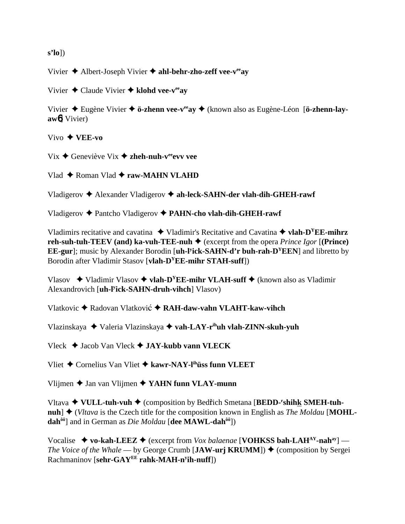**s'lo**])

Vivier Albert-Joseph Vivier **ahl-behr-zho-zeff vee-veeay**

Vivier Claude Vivier **klohd vee-veeay**

Vivier Eugène Vivier **ö-zhenn vee-veeay** (known also as Eugène-Léon [**ö-zhenn-layaw**6] Vivier)

Vivo **VEE-vo**

 $Vix \triangleleft$  Geneviève Vix  $\triangleleft$  zheh-nuh-v<sup>ee</sup> evv vee

Vlad ◆ Roman Vlad **◆ raw-MAHN VLAHD** 

Vladigerov Alexander Vladigerov **ah-leck-SAHN-der vlah-dih-GHEH-rawf**

Vladigerov Pantcho Vladigerov **PAHN-cho vlah-dih-GHEH-rawf**

Vladimirs recitative and cavatina  $\blacklozenge$  Vladimir's Recitative and Cavatina  $\blacklozenge$  **vlah-D<sup>Y</sup>EE-mihrz reh-suh-tuh-TEEV (and) ka-vuh-TEE-nuh**  $\blacklozenge$  (excerpt from the opera *Prince Igor* [(**Prince**) **EE-gur**]; music by Alexander Borodin [**uh-ly ick-SAHN-d'r buh-rah-DYEEN**] and libretto by Borodin after Vladimir Stasov [**vlah-DYEE-mihr STAH-suff**])

Vlasov  $\blacklozenge$  Vladimir Vlasov  $\blacklozenge$  **vlah-D<sup>Y</sup>EE-mihr VLAH-suff**  $\blacklozenge$  (known also as Vladimir Alexandrovich [**uh-ly ick-SAHN-druh-vihch**] Vlasov)

Vlatkovic Radovan Vlatkovi **RAH-daw-vahn VLAHT-kaw-vihch**

Vlazinskaya Valeria Vlazinskaya **vah-LAY-rihuh vlah-ZINN-skuh-yuh**

Vleck Jacob Van Vleck **JAY-kubb vann VLECK**

Vliet Cornelius Van Vliet  **kawr-NAY-lihüss funn VLEET**

Vlijmen Jan van Vlijmen **YAHN funn VLAY-munn**

Vltava ◆ VULL-tuh-vuh ◆ (composition by Bedřich Smetana [BEDD-<sup>r</sup>shihk SMEH-tuhnuh]  $\blacklozenge$  (*Vltava* is the Czech title for the composition known in English as *The Moldau* [MOHL**dahôô**] and in German as *Die Moldau* [**dee MAWL-dahôô**])

Vocalise  $\rightarrow$  vo-kah-LEEZ  $\rightarrow$  (excerpt from *Vox balaenae* [**VOHKSS bah-LAH<sup>AY</sup>-nah**<sup>ay</sup>] — *The Voice of the Whale* — by George Crumb [JAW-urj KRUMM])  $\triangle$  (composition by Sergei) Rachmaninov [**sehr-GAYEE rahk-MAH-ny ih-nuff**])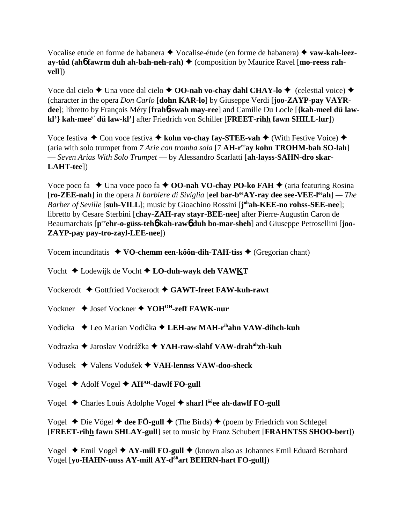Vocalise etude en forme de habanera Vocalise-étude (en forme de habanera) **vaw-kah-leezay-tüd (ah6 fawrm duh ah-bah-neh-rah) ♦ (composition by Maurice Ravel [mo-reess rahvell**])

Voce dal cielo **→** Una voce dal cielo **→ OO-nah vo-chay dahl CHAY-lo →** (celestial voice) ◆ (character in the opera *Don Carlo* [**dohn KAR-lo**] by Giuseppe Verdi [**joo-ZAYP-pay VAYRdee**]; libretto by François Méry [**frah**6**-swah may-ree**] and Camille Du Locle [**{kah-meel dü lawkl'} kah-meey' dü law-kl'**] after Friedrich von Schiller [**FREET-rihh fawn SHILL-lur**])

Voce festiva **←** Con voce festiva **← kohn vo-chay fay-STEE-vah** ← (With Festive Voice) ← (aria with solo trumpet from *7 Arie con tromba sola* [7 **AH-reeay kohn TROHM-bah SO-lah**] — *Seven Arias With Solo Trumpet* — by Alessandro Scarlatti [**ah-layss-SAHN-dro skar-LAHT-tee**])

Voce poco fa  $\triangle$  Una voce poco fa  $\triangle$  **OO-nah VO-chay PO-ko FAH**  $\triangle$  (aria featuring Rosina [**ro-ZEE-nah**] in the opera *Il barbiere di Siviglia* [**eel bar-beeAY-ray dee see-VEE-leeah**] *— The Barber of Seville* [**suh-VILL**]; music by Gioachino Rossini [**j ohah-KEE-no rohss-SEE-nee**]; libretto by Cesare Sterbini [**chay-ZAH-ray stayr-BEE-nee**] after Pierre-Augustin Caron de Beaumarchais  $[p^{ee}$ **chr-o-güss-teh6** kah-raw**6** duh bo-mar-sheh and Giuseppe Petrosellini [joo-**ZAYP-pay pay-tro-zayl-LEE-nee**])

Vocem incunditatis  $\triangleleft$  VO-chemm een-kôôn-dih-TAH-tiss  $\triangleq$  (Gregorian chant)

Vocht Lodewijk de Vocht **LO-duh-wayk deh VAWKT**

Vockerodt Gottfried Vockerodt **GAWT-freet FAW-kuh-rawt**

Vockner ◆ Josef Vockner ◆ YOH<sup>OH</sup>-zeff FAWK-nur

Vodicka **→** Leo Marian Vodička → LEH-aw MAH-r<sup>ih</sup>ahn VAW-dihch-kuh

Vodrazka Jaroslav Vodrážka **YAH-raw-slahf VAW-drahahzh-kuh**

Vodusek Valens Vodušek **VAH-lennss VAW-doo-sheck**

Vogel **→** Adolf Vogel **→ AH<sup>AH</sup>-dawlf FO-gull** 

Vogel ◆ Charles Louis Adolphe Vogel ◆ sharl l<sup>ôô</sup>ee ah-dawlf **FO-gull** 

Vogel  $\triangle$  Die Vögel  $\triangle$  dee FÖ-gull  $\triangle$  (The Birds)  $\triangle$  (poem by Friedrich von Schlegel [**FREET-rihh fawn SHLAY-gull**] set to music by Franz Schubert [**FRAHNTSS SHOO-bert**])

Vogel Emil Vogel **AY-mill FO-gull** (known also as Johannes Emil Eduard Bernhard Vogel [**yo-HAHN-nuss AY-mill AY-dôôart BEHRN-hart FO-gull**])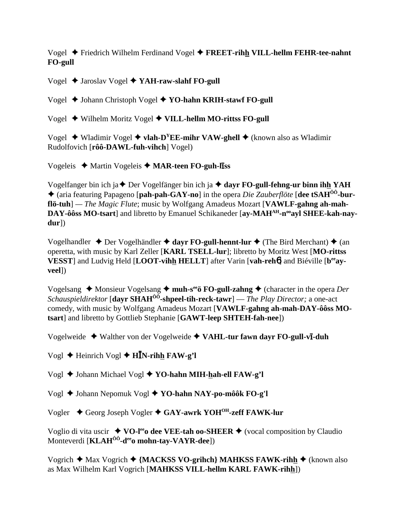Vogel Friedrich Wilhelm Ferdinand Vogel **FREET-rihh VILL-hellm FEHR-tee-nahnt FO-gull**

Vogel Jaroslav Vogel **YAH-raw-slahf FO-gull**

Vogel ♦ Johann Christoph Vogel ♦ YO-hahn KRIH-stawf FO-gull

Vogel ♦ Wilhelm Moritz Vogel ♦ VILL-hellm MO-rittss FO-gull

Vogel ◆ Wladimir Vogel ◆ vlah-D<sup>Y</sup>EE-mihr VAW-ghell ◆ (known also as Wladimir Rudolfovich [**rôô-DAWL-fuh-vihch**] Vogel)

Vogeleis ♦ Martin Vogeleis ♦ MAR-teen FO-guh-liss

Vogelfanger bin ich ja **→** Der Vogelfänger bin ich ja **→ dayr FO-gull-fehng-ur binn ihh YAH**  (aria featuring Papageno [**pah-pah-GAY-no**] in the opera *Die Zauberflöte* [**dee tSAHÔÔ-burflö-tuh**] *— The Magic Flute*; music by Wolfgang Amadeus Mozart [**VAWLF-gahng ah-mah-**DAY-ôôss MO-tsart] and libretto by Emanuel Schikaneder [ay-MAH<sup>AH</sup>-n<sup>oo</sup>ayl SHEE-kah-nay**dur**])

Vogelhandler **→** Der Vogelhändler **→ dayr FO-gull-hennt-lur →** (The Bird Merchant) → (an operetta, with music by Karl Zeller [**KARL TSELL-lur**]; libretto by Moritz West [**MO-rittss VESST**] and Ludvig Held [**LOOT-vihh HELLT**] after Varin [**vah-reh**6] and Biéville [**beeayveel**])

Vogelsang ◆ Monsieur Vogelsang ◆ muh-s<sup>ee</sup>ö **FO-gull-zahng ◆** (character in the opera *Der Schauspieldirektor* [**dayr SHAHÔÔ-shpeel-tih-reck-tawr**] — *The Play Director;* a one-act comedy, with music by Wolfgang Amadeus Mozart [**VAWLF-gahng ah-mah-DAY-ôôss MOtsart**] and libretto by Gottlieb Stephanie [**GAWT-leep SHTEH-fah-nee**])

Vogelweide  $\triangleleft$  Walther von der Vogelweide  $\triangleleft$  VAHL-tur fawn dayr FO-gull-vi-duh

Vogl **→** Heinrich Vogl **→ H<sup>I</sup>N-rihh FAW-g'l** 

Vogl **→** Johann Michael Vogl **→ YO-hahn MIH-hah-ell FAW-g'l** 

Vogl Johann Nepomuk Vogl  **YO-hahn NAY-po-môôk FO-g'l**

Vogler ◆ Georg Joseph Vogler ◆ GAY-awrk YOH<sup>OH</sup>-zeff FAWK-lur

Voglio di vita uscir  $\blacklozenge$  VO-l<sup>ee</sup>o dee VEE-tah oo-SHEER  $\blacklozenge$  (vocal composition by Claudio Monteverdi [**KLAH<sup>ôô</sup>-d<sup>ee</sup>o mohn-tay-VAYR-dee**])

Vogrich **→** Max Vogrich **→ {MACKSS VO-grihch} MAHKSS FAWK-rihh →** (known also as Max Wilhelm Karl Vogrich [**MAHKSS VILL-hellm KARL FAWK-rihh**])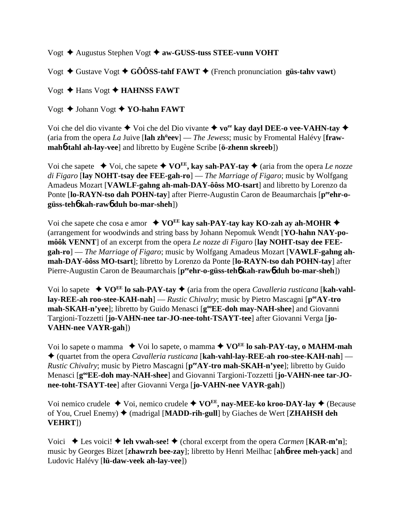Vogt Augustus Stephen Vogt **aw-GUSS-tuss STEE-vunn VOHT**

Vogt  $\triangle$  Gustave Vogt  $\triangle$  GÔÔSS-tahf FAWT  $\triangle$  (French pronunciation güs-tahv vawt)

Vogt ◆ Hans Vogt ◆ **HAHNSS FAWT** 

Vogt Johann Vogt **YO-hahn FAWT**

Voi che del dio vivante  $\blacklozenge$  Voi che del Dio vivante  $\blacklozenge$  vo<sup>ee</sup> kay dayl DEE-o vee-VAHN-tay  $\blacklozenge$ (aria from the opera *La* Juive [lah zh<sup>ü</sup>eev] — *The Jewess*; music by Fromental Halévy [fraw**mah**6**-tahl ah-lay-vee**] and libretto by Eugène Scribe [**ö-zhenn skreeb**])

Voi che sapete  $\blacklozenge$  Voi, che sapete  $\blacklozenge$  VO<sup>EE</sup>, kay sah-PAY-tay  $\blacklozenge$  (aria from the opera *Le nozze di Figaro* [**lay NOHT-tsay dee FEE-gah-ro**] — *The Marriage of Figaro*; music by Wolfgang Amadeus Mozart [**VAWLF-gahng ah-mah-DAY-ôôss MO-tsart**] and libretto by Lorenzo da Ponte [lo-RAYN-tso dah POHN-tay] after Pierre-Augustin Caron de Beaumarchais [p<sup>ee</sup>ehr-o**güss-teh**6 **kah-raw**6 **duh bo-mar-sheh**])

Voi che sapete che cosa e amor  $\leftrightarrow$  VO<sup>EE</sup> kay sah-PAY-tay kay KO-zah ay ah-MOHR  $\leftrightarrow$ (arrangement for woodwinds and string bass by Johann Nepomuk Wendt [**YO-hahn NAY-pomôôk VENNT**] of an excerpt from the opera *Le nozze di Figaro* [**lay NOHT-tsay dee FEEgah-ro**] — *The Marriage of Figaro*; music by Wolfgang Amadeus Mozart [**VAWLF-gahng ahmah-DAY-ôôss MO-tsart**]; libretto by Lorenzo da Ponte [**lo-RAYN-tso dah POHN-tay**] after Pierre-Augustin Caron de Beaumarchais [p<sup>ee</sup>ehr-o-güss-teh**6** kah-raw6 duh bo-mar-sheh])

Voi lo sapete  $\rightarrow$  VO<sup>EE</sup> lo sah-PAY-tay  $\rightarrow$  (aria from the opera *Cavalleria rusticana* [kah-vahl**lay-REE-ah roo-stee-KAH-nah**] — *Rustic Chivalry*; music by Pietro Mascagni [**peeAY-tro mah-SKAH-n'yee**]; libretto by Guido Menasci [**g**<sup>oo</sup>**EE-doh may-NAH-shee**] and Giovanni Targioni-Tozzetti [**jo-VAHN-nee tar-JO-nee-toht-TSAYT-tee**] after Giovanni Verga [**jo-VAHN-nee VAYR-gah**])

Voi lo sapete o mamma  $\blacklozenge$  Voi lo sapete, o mamma  $\blacklozenge$  VO<sup>EE</sup> lo sah-PAY-tay, o MAHM-mah (quartet from the opera *Cavalleria rusticana* [**kah-vahl-lay-REE-ah roo-stee-KAH-nah**] — *Rustic Chivalry*; music by Pietro Mascagni [ $p^{ee}AY$ -tro mah-SKAH-n'yee]; libretto by Guido Menasci [g<sup>oo</sup>EE-doh may-NAH-shee] and Giovanni Targioni-Tozzetti [jo-VAHN-nee tar-JO**nee-toht-TSAYT-tee**] after Giovanni Verga [**jo-VAHN-nee VAYR-gah**])

Voi nemico crudele  $\triangle$  Voi, nemico crudele  $\triangle$  VO<sup>EE</sup>, nay-MEE-ko kroo-DAY-lay  $\triangle$  (Because of You, Cruel Enemy) (madrigal [**MADD-rih-gull**] by Giaches de Wert [**ZHAHSH deh VEHRT**])

Voici  $\blacklozenge$  Les voici!  $\blacklozenge$  **leh vwah-see!**  $\blacklozenge$  (choral excerpt from the opera *Carmen* [**KAR-m'n**]; music by Georges Bizet [**zhawrzh bee-zay**]; libretto by Henri Meilhac [**ah**6**-ree meh-yack**] and Ludovic Halévy [**lü-daw-veek ah-lay-vee**])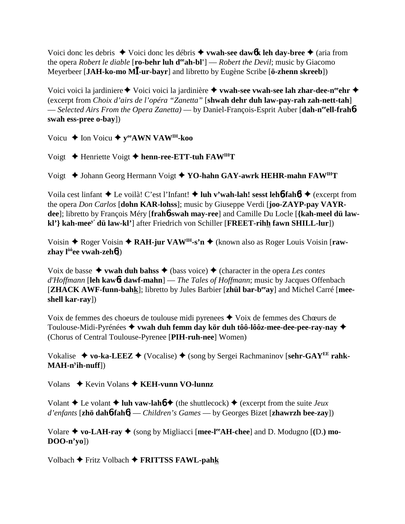Voici donc les debris ◆ Voici donc les débris ◆ **vwah-see daw6k leh day-bree** ◆ (aria from the opera *Robert le diable* [**ro-behr luh d<sup>ee</sup>ah-bl'**] — *Robert the Devil*; music by Giacomo Meyerbeer [**JAH-ko-mo M-ur-bayr**] and libretto by Eugène Scribe [**ö-zhenn skreeb**])

Voici voici la jardiniere ◆ Voici voici la jardinière ◆ vwah-see vwah-see lah zhar-dee-n<sup>ee</sup>ehr ◆ (excerpt from *Choix d'airs de l'opéra "Zanetta"* [**shwah dehr duh law-pay-rah zah-nett-tah**] — *Selected Airs From the Opera Zanetta)* — by Daniel-François-Esprit Auber [**dah-neeell-frah**6 **swah ess-pree o-bay**])

Voicu **→** Ion Voicu **→** y<sup>ee</sup>AWN VAW<sup>IH</sup>-koo

Voigt Henriette Voigt **henn-ree-ETT-tuh FAWIHT**

Voigt ◆ Johann Georg Hermann Voigt ◆ YO-hahn GAY-awrk HEHR-mahn FAW<sup>IH</sup>T

Voila cest linfant **→** Le voilà! C'est l'Infant! **→ luh v'wah-lah! sesst lehb-fahb! →** (excerpt from the opera *Don Carlos* [**dohn KAR-lohss**]; music by Giuseppe Verdi [**joo-ZAYP-pay VAYRdee**]; libretto by François Méry [**frah**6**-swah may-ree**] and Camille Du Locle [**{kah-meel dü lawkl'} kah-meey' dü law-kl'**] after Friedrich von Schiller [**FREET-rihh fawn SHILL-lur**])

Voisin ◆ Roger Voisin ◆ RAH-jur VAW<sup>IH</sup>-s'n ◆ (known also as Roger Louis Voisin [raw**zhay lôôee vwah-zeh**6])

Voix de basse  $\triangle$  **vwah duh bahss**  $\triangle$  (bass voice)  $\triangle$  (character in the opera *Les contes d'Hoffmann* [**leh kaw**6**t dawf-mahn**] — *The Tales of Hoffmann*; music by Jacques Offenbach [**ZHACK AWF-funn-bahk**]; libretto by Jules Barbier [**zhül bar-beeay**] and Michel Carré [**meeshell kar-ray**])

Voix de femmes des choeurs de toulouse midi pyrenees  $\triangle$  Voix de femmes des Chœurs de Toulouse-Midi-Pyrénées **vwah duh femm day kör duh tôô-lôôz-mee-dee-pee-ray-nay** (Chorus of Central Toulouse-Pyrenee [**PIH-ruh-nee**] Women)

Vokalise ◆ vo-ka-LEEZ ◆ (Vocalise) ◆ (song by Sergei Rachmaninov [sehr-GAY<sup>EE</sup> rahk-**MAH-ny ih-nuff**])

Volans ◆ Kevin Volans ◆ **KEH-vunn VO-lunnz** 

Volant  $\triangle$  Le volant  $\triangle$  luh vaw-lah $6 \triangle$  (the shuttlecock)  $\triangle$  (excerpt from the suite *Jeux d'enfants* [**zhö dah**6**-fah**6] — *Children's Games* — by Georges Bizet [**zhawrzh bee-zay**])

Volare  $\blacklozenge$  **vo-LAH-ray**  $\blacklozenge$  (song by Migliacci [mee-l<sup>ee</sup>AH-chee] and D. Modugno [(D.) mo-**DOO-n'yo**])

Volbach Fritz Volbach **FRITTSS FAWL-pahk**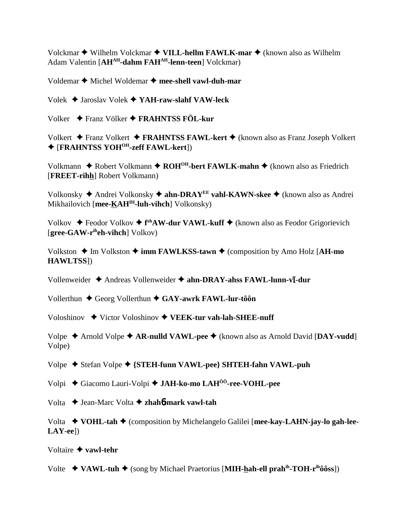Volckmar ◆ Wilhelm Volckmar ◆ **VILL-hellm FAWLK-mar** ◆ (known also as Wilhelm Adam Valentin [AH<sup>AH</sup>-dahm FAH<sup>AH</sup>-lenn-teen] Volckmar)

Voldemar  $\triangle$  Michel Woldemar  $\triangle$  mee-shell vawl-duh-mar

Volek Jaroslav Volek **YAH-raw-slahf VAW-leck**

Volker Franz Völker **FRAHNTSS FÖL-kur**

Volkert **←** Franz Volkert **← FRAHNTSS FAWL-kert ←** (known also as Franz Joseph Volkert [**FRAHNTSS YOHOH-zeff FAWL-kert**])

Volkmann **→** Robert Volkmann → ROH<sup>OH</sup>-bert FAWLK-mahn → (known also as Friedrich [**FREET-rihh**] Robert Volkmann)

Volkonsky Andrei Volkonsky **ahn-DRAYEE vahl-KAWN-skee** (known also as Andrei Mikhailovich [**mee-KAHIH-luh-vihch**] Volkonsky)

Volkov ◆ Feodor Volkov ◆ f<sup>eh</sup>AW-dur VAWL-kuff ◆ (known also as Feodor Grigorievich [**gree-GAW-riheh-vihch**] Volkov)

Volkston  $\triangle$  Im Volkston  $\triangle$  **imm FAWLKSS-tawn**  $\triangle$  (composition by Amo Holz [**AH-mo HAWLTSS**])

Vollenweider  $\triangle$  Andreas Vollenweider  $\triangle$  ahn-DRAY-ahss FAWL-lunn-v**ī**-dur

Vollerthun **←** Georg Vollerthun ← GAY-awrk FAWL-lur-tôôn

Voloshinov **→** Victor Voloshinov ◆ VEEK-tur vah-lah-SHEE-nuff

Volpe Arnold Volpe **AR-nulld VAWL-pee** (known also as Arnold David [**DAY-vudd**] Volpe)

Volpe ◆ Stefan Volpe ◆ {**STEH-funn VAWL-pee**} **SHTEH-fahn VAWL-puh** 

Volpi Giacomo Lauri-Volpi **JAH-ko-mo LAHÔÔ-ree-VOHL-pee**

Volta Jean-Marc Volta **zhah**6**-mark vawl-tah**

Volta **VOHL-tah** (composition by Michelangelo Galilei [**mee-kay-LAHN-jay-lo gah-lee-LAY-ee**])

Voltaire **vawl-tehr**

Volte  $\leftrightarrow$  VAWL-tuh  $\leftrightarrow$  (song by Michael Praetorius [MIH-hah-ell prah<sup>ih</sup>-TOH-r<sup>ih</sup>ôôss])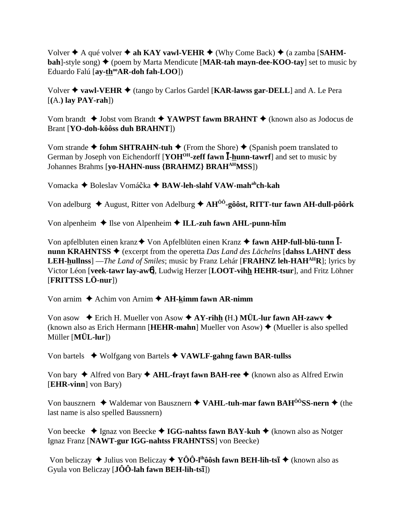Volver  $\triangle$  A qué volver  $\triangle$  ah KAY vawl-VEHR  $\triangle$  (Why Come Back)  $\triangle$  (a zamba [SAHM**bah**]-style song)  $\triangle$  (poem by Marta Mendicute [MAR-tah mayn-dee-KOO-tay] set to music by Eduardo Falú [ay-th<sup>oo</sup>AR-doh fah-LOO])

Volver **vawl-VEHR** (tango by Carlos Gardel [**KAR-lawss gar-DELL**] and A. Le Pera [**(**A.**) lay PAY-rah**])

Vom brandt ◆ Jobst vom Brandt ◆ YAWPST fawm BRAHNT ◆ (known also as Jodocus de Brant [**YO-doh-kôôss duh BRAHNT**])

Vom strande  $\triangle$  fohm SHTRAHN-tuh  $\triangle$  (From the Shore)  $\triangle$  (Spanish poem translated to German by Joseph von Eichendorff [**YOH<sup>OH</sup>-zeff fawn I-hunn-tawrf**] and set to music by Johannes Brahms [**yo-HAHN-nuss {BRAHMZ} BRAHAHMSS**])

Vomacka ◆ Boleslav Vomáčka ◆ BAW-leh-slahf VAW-mah<sup>ah</sup>ch-kah

Von adelburg ◆ August, Ritter von Adelburg ◆ AH<sup>ôô</sup>-gôôst, RITT-tur fawn AH-dull-pôôrk

Von alpenheim  $\triangle$  Ilse von Alpenheim  $\triangle$  ILL-zuh fawn AHL-punn-h**im** 

Von apfelbluten einen kranz◆ Von Apfelblüten einen Kranz ◆ fawn AHP-full-blü-tunn  $\overline{I}$ **nunn KRAHNTSS ♦** (excerpt from the operetta *Das Land des Lächelns* [**dahss LAHNT dess LEH-hullnss**] —*The Land of Smiles*; music by Franz Lehár [**FRAHNZ leh-HAHAHR**]; lyrics by Victor Léon [**veek-tawr lay-aw**6], Ludwig Herzer [**LOOT-vihh HEHR-tsur**], and Fritz Löhner [**FRITTSS LÖ-nur**])

Von arnim  $\triangle$  Achim von Arnim  $\triangle$  AH-kimm fawn AR-nimm

Von asow  $\blacklozenge$  Erich H. Mueller von Asow  $\blacklozenge$  AY-rihh (H.) MÜL-lur fawn AH-zawv  $\blacklozenge$ (known also as Erich Hermann [**HEHR-mahn**] Mueller von Asow)  $\triangle$  (Mueller is also spelled Müller [**MÜL-lur**])

Von bartels Wolfgang von Bartels **VAWLF-gahng fawn BAR-tullss**

Von bary ◆ Alfred von Bary ◆ **AHL-frayt fawn BAH-ree** ◆ (known also as Alfred Erwin [**EHR-vinn**] von Bary)

Von bausznern ◆ Waldemar von Bausznern ◆ VAHL-tuh-mar fawn BAH<sup>ôô</sup>SS-nern ◆ (the last name is also spelled Baussnern)

Von beecke ◆ Ignaz von Beecke ◆ IGG-nahtss fawn BAY-kuh ◆ (known also as Notger Ignaz Franz [**NAWT-gur IGG-nahtss FRAHNTSS**] von Beecke)

Von beliczay ◆ Julius von Beliczay ◆ YÔÔ-l<sup>ih</sup>ôôsh fawn BEH-lih-tsī ◆ (known also as Gyula von Beliczay [**JÔÔ-lah fawn BEH-lih-ts**-])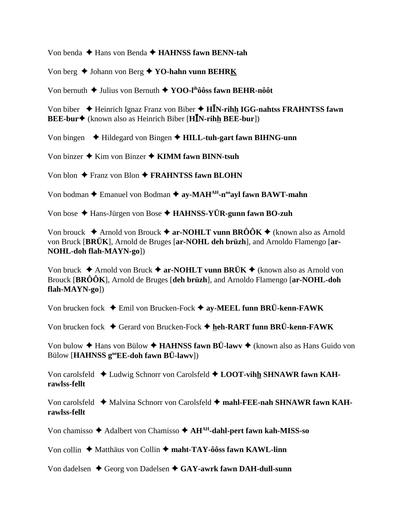Von benda ◆ Hans von Benda **→ HAHNSS fawn BENN-tah** 

Von berg ◆ Johann von Berg ◆ YO-hahn vunn BEHRK

Von bernuth  $\blacklozenge$  Julius von Bernuth  $\blacklozenge$  **YOO-l<sup>ih</sup>ôôss fawn BEHR-nôôt** 

Von biber ◆ Heinrich Ignaz Franz von Biber ◆ H**I**N-rihh IGG-nahtss FRAHNTSS fawn **BEE-bur** (known also as Heinrich Biber [**HN-rihh BEE-bur**])

Von bingen Hildegard von Bingen **HILL-tuh-gart fawn BIHNG-unn**

Von binzer  $\triangle$  Kim von Binzer  $\triangle$  KIMM fawn BINN-tsuh

Von blon **→** Franz von Blon **→ FRAHNTSS fawn BLOHN** 

Von bodman  $\triangle$  Emanuel von Bodman  $\triangle$  ay-MAH<sup>AH</sup>-n<sup>oo</sup>ayl fawn BAWT-mahn

Von bose Hans-Jürgen von Bose **HAHNSS-YÜR-gunn fawn BO-zuh**

Von brouck  $\triangle$  Arnold von Brouck  $\triangle$  ar-NOHLT vunn BRÔÔK  $\triangle$  (known also as Arnold von Bruck [**BRÜK**], Arnold de Bruges [**ar-NOHL deh brüzh**], and Arnoldo Flamengo [**ar-NOHL-doh flah-MAYN-go**])

Von bruck ◆ Arnold von Bruck ◆ ar-NOHLT vunn BRÜK ◆ (known also as Arnold von Brouck [**BRÔÔK**], Arnold de Bruges [**deh brüzh**], and Arnoldo Flamengo [**ar-NOHL-doh flah-MAYN-go**])

Von brucken fock Emil von Brucken-Fock **ay-MEEL funn BRÜ-kenn-FAWK**

Von brucken fock **→** Gerard von Brucken-Fock **→ heh-RART funn BRÜ-kenn-FAWK** 

Von bulow  $\triangle$  Hans von Bülow  $\triangle$  **HAHNSS fawn BÜ-lawv**  $\triangle$  (known also as Hans Guido von Bülow [**HAHNSS gooEE-doh fawn BÜ-lawv**])

Von carolsfeld ◆ Ludwig Schnorr von Carolsfeld ◆ LOOT-vihh SHNAWR fawn KAH**rawlss-fellt**

Von carolsfeld ◆ Malvina Schnorr von Carolsfeld ◆ mahl-FEE-nah SHNAWR fawn KAH**rawlss-fellt**

Von chamisso ◆ Adalbert von Chamisso ◆ AH<sup>AH</sup>-dahl-pert fawn kah-MISS-so

Von collin ◆ Matthäus von Collin ◆ maht-TAY-ôôss fawn KAWL-linn

Von dadelsen ◆ Georg von Dadelsen ◆ GAY-awrk fawn DAH-dull-sunn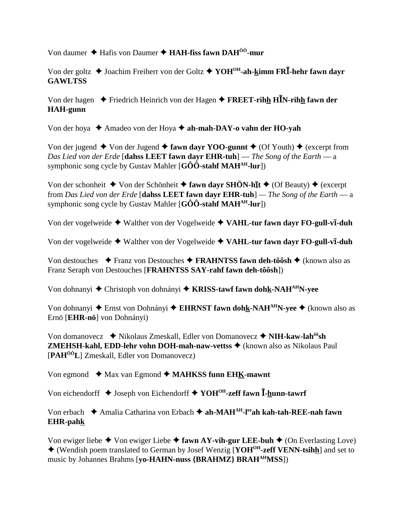Von daumer **→** Hafis von Daumer ◆ HAH-fiss fawn DAH<sup>00</sup>-mur

Von der goltz ◆ Joachim Freiherr von der Goltz ◆ YOH<sup>OH</sup>-ah-kimm FR**I**-hehr fawn dayr **GAWLTSS**

Von der hagen **→** Friedrich Heinrich von der Hagen → **FREET-rihh H<sup>I</sup>N-rihh fawn der HAH-gunn**

Von der hoya **→** Amadeo von der Hoya → ah-mah-DAY-o vahn der HO-vah

Von der jugend  $\blacklozenge$  Von der Jugend  $\blacklozenge$  **fawn dayr YOO-gunnt**  $\blacklozenge$  (Of Youth)  $\blacklozenge$  (excerpt from *Das Lied von der Erde* [**dahss LEET fawn dayr EHR-tuh**] — *The Song of the Earth* — a symphonic song cycle by Gustav Mahler [**GÔÔ-stahf MAHAH-lur**])

Von der schonheit ◆ Von der Schönheit ◆ fawn dayr SHÖN-hīt ◆ (Of Beauty) ◆ (excerpt from *Das Lied von der Erde* [**dahss LEET fawn dayr EHR-tuh**] *— The Song of the Earth* — a symphonic song cycle by Gustav Mahler [**GÔÔ-stahf MAH<sup>AH</sup>-lur**])

Von der vogelweide  $\blacklozenge$  Walther von der Vogelweide  $\blacklozenge$  VAHL-tur fawn dayr FO-gull-vi-duh

Von der vogelweide  $\blacklozenge$  Walther von der Vogelweide  $\blacklozenge$  VAHL-tur fawn dayr FO-gull-vi-duh

Von destouches **→** Franz von Destouches → FRAHNTSS fawn deh-tôôsh → (known also as Franz Seraph von Destouches [**FRAHNTSS SAY-rahf fawn deh-tôôsh**])

Von dohnanyi ◆ Christoph von dohnányi ◆ KRISS-tawf fawn dohk-NAH<sup>AH</sup>N-yee

Von dohnanyi ◆ Ernst von Dohnányi ◆ EHRNST fawn dohk-NAH<sup>AH</sup>N-yee ◆ (known also as Ernö [**EHR-nö**] von Dohnányi)

Von domanovecz ◆ Nikolaus Zmeskall, Edler von Domanovecz ◆ NIH-kaw-lah<sup>ôô</sup>sh **ZMEHSH-kahl, EDD-lehr vohn DOH-mah-naw-vettss ♦** (known also as Nikolaus Paul [**PAHÔÔL**] Zmeskall, Edler von Domanovecz)

Von egmond  $\triangleleft$  Max van Egmond  $\triangleleft$  **MAHKSS funn EHK-mawnt** 

Von eichendorff **→** Joseph von Eichendorff **→ YOH<sup>OH</sup>-zeff fawn <sup>***I***</sup>-hunn-tawrf** 

Von erbach ◆ Amalia Catharina von Erbach ◆ ah-MAH<sup>AH</sup>-l<sup>ee</sup>ah kah-tah-REE-nah fawn **EHR-pahk**

Von ewiger liebe  $\triangle$  Von ewiger Liebe  $\triangle$  fawn AY-vih-gur LEE-buh  $\triangle$  (On Everlasting Love) (Wendish poem translated to German by Josef Wenzig [**YOHOH-zeff VENN-tsihh**] and set to music by Johannes Brahms [**yo-HAHN-nuss {BRAHMZ} BRAHAHMSS**])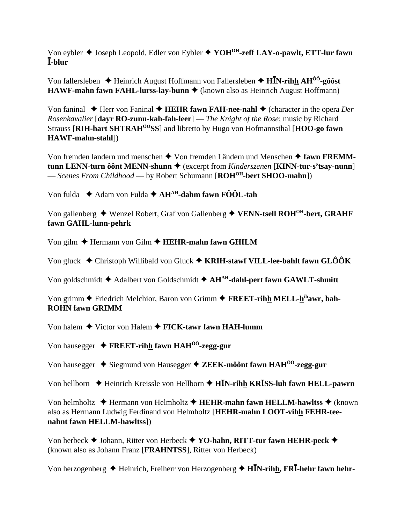Von eybler  $\blacklozenge$  Joseph Leopold, Edler von Eybler  $\blacklozenge$  YOH<sup>OH</sup>-zeff LAY-o-pawlt, ETT-lur fawn I-blur

Von fallersleben  $\triangleq$  Heinrich August Hoffmann von Fallersleben  $\triangleq$  HIN-rihh AH<sup>00</sup>-g00st HAWF-mahn fawn FAHL-lurss-lay-bunn ♦ (known also as Heinrich August Hoffmann)

Von faninal  $\blacklozenge$  Herr von Faninal  $\blacklozenge$  HEHR fawn FAH-nee-nahl  $\blacklozenge$  (character in the opera Der Rosenkavalier [dayr RO-zunn-kah-fah-leer] — The Knight of the Rose; music by Richard Strauss [RIH-hart SHTRAH<sup>00</sup>SS] and libretto by Hugo von Hofmannsthal [HOO-go fawn HAWF-mahn-stahl])

Von fremden landern und menschen ◆ Von fremden Ländern und Menschen ◆ fawn FREMMtunn LENN-turn ô ônt MENN-shunn  $\triangleq$  (excerpt from *Kinderszenen* [KINN-tur-s'tsay-nunn] - Scenes From Childhood - by Robert Schumann [ROH<sup>OH</sup>-bert SHOO-mahn])

Von fulda  $\triangle$  Adam von Fulda  $\triangle$  AH<sup>AH</sup>-dahm fawn FÔÔL-tah

Von gallenberg  $\blacklozenge$  Wenzel Robert, Graf von Gallenberg  $\blacklozenge$  VENN-tsell ROH<sup>OH</sup>-bert, GRAHF fawn GAHL-lunn-pehrk

Von gilm  $\triangle$  Hermann von Gilm  $\triangle$  HEHR-mahn fawn GHILM

Von gluck  $\triangle$  Christoph Willibald von Gluck  $\triangle$  KRIH-stawf VILL-lee-bahlt fawn GLÔÔK

Von goldschmidt  $\blacklozenge$  Adalbert von Goldschmidt  $\blacklozenge$  AH<sup>AH</sup>-dahl-pert fawn GAWLT-shmitt

Von grimm  $\blacklozenge$  Friedrich Melchior, Baron von Grimm  $\blacklozenge$  FREET-rihh MELL-h<sup>ih</sup>awr, bah-**ROHN fawn GRIMM** 

Von halem  $\blacklozenge$  Victor von Halem  $\blacklozenge$  FICK-tawr fawn HAH-lumm

Von hausegger  $\triangle$  FREET-rihh fawn HAH<sup> $00$ </sup>-zegg-gur

Von hausegger ◆ Siegmund von Hausegger ◆ ZEEK-môônt fawn HAH<sup>ôô</sup>-zegg-gur

Von hellborn  $\triangle$  Heinrich Kreissle von Hellborn  $\triangle$  HIN-rihh KRISS-luh fawn HELL-pawrn

Von helmholtz  $\triangle$  Hermann von Helmholtz  $\triangle$  HEHR-mahn fawn HELLM-hawltss  $\triangle$  (known also as Hermann Ludwig Ferdinand von Helmholtz [HEHR-mahn LOOT-vihh FEHR-teenahnt fawn HELLM-hawltss])

Von herbeck  $\blacklozenge$  Johann, Ritter von Herbeck  $\blacklozenge$  YO-hahn, RITT-tur fawn HEHR-peck  $\blacklozenge$ (known also as Johann Franz [FRAHNTSS], Ritter von Herbeck)

Von herzogenberg  $\triangle$  Heinrich, Freiherr von Herzogenberg  $\triangle$  HIN-rihh, FRI-hehr fawn hehr-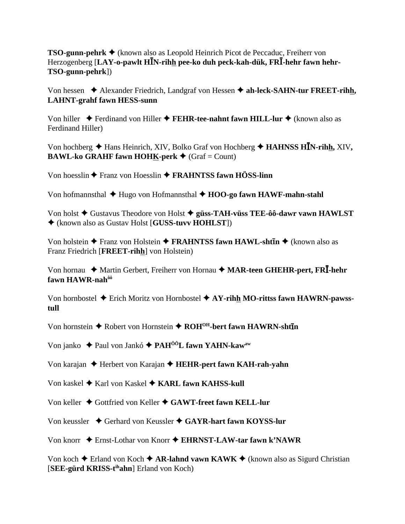**TSO-gunn-pehrk ←** (known also as Leopold Heinrich Picot de Peccaduc, Freiherr von Herzogenberg [**LAY-o-pawlt HN-rihh pee-ko duh peck-kah-dük, FR-hehr fawn hehr-TSO-gunn-pehrk**])

Von hessen ◆ Alexander Friedrich, Landgraf von Hessen ◆ ah-leck-SAHN-tur FREET-rihh, **LAHNT-grahf fawn HESS-sunn**

Von hiller ◆ Ferdinand von Hiller ◆ **FEHR-tee-nahnt fawn HILL-lur ◆** (known also as Ferdinand Hiller)

Von hochberg ◆ Hans Heinrich, XIV, Bolko Graf von Hochberg ◆ HAHNSS HIN-rihh, XIV, **BAWL-ko GRAHF fawn HOHK-perk**  $\blacklozenge$  (Graf = Count)

Von hoesslin **◆** Franz von Hoesslin ◆ **FRAHNTSS fawn HÖSS-linn** 

Von hofmannsthal **→** Hugo von Hofmannsthal ◆ **HOO-go fawn HAWF-mahn-stahl** 

Von holst **→** Gustavus Theodore von Holst → güss-TAH-vüss TEE-ôô-dawr vawn HAWLST (known also as Gustav Holst [**GUSS-tuvv HOHLST**])

Von holstein ◆ Franz von Holstein ◆ FRAHNTSS fawn HAWL-sht**īn** ◆ (known also as Franz Friedrich [**FREET-rihh**] von Holstein)

Von hornau ◆ Martin Gerbert, Freiherr von Hornau ◆ MAR-teen GHEHR-pert, FR**I**-hehr **fawn HAWR-nahôô**

Von hornbostel Erich Moritz von Hornbostel **AY-rihh MO-rittss fawn HAWRN-pawsstull**

Von hornstein  $\triangle$  Robert von Hornstein  $\triangle$  ROH<sup>OH</sup>-bert fawn HAWRN-shtin

Von janko **→** Paul von Jankó **→ PAH<sup>ôô</sup>L fawn YAHN-kaw**<sup>aw</sup>

Von karajan **→** Herbert von Karajan → **HEHR-pert fawn KAH-rah-yahn** 

Von kaskel ◆ Karl von Kaskel ◆ KARL fawn KAHSS-kull

Von keller ♦ Gottfried von Keller ♦ GAWT-freet fawn KELL-lur

Von keussler ◆ Gerhard von Keussler ◆ GAYR-hart fawn KOYSS-lur

Von knorr Ernst-Lothar von Knorr **EHRNST-LAW-tar fawn k'NAWR**

Von koch  $\triangle$  Erland von Koch  $\triangle$  **AR-lahnd vawn KAWK**  $\triangle$  (known also as Sigurd Christian [**SEE-gürd KRISS-tihahn**] Erland von Koch)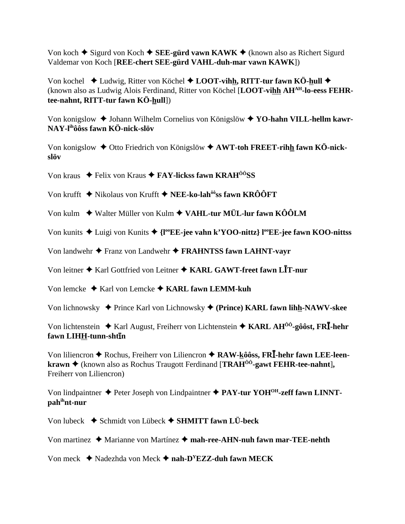Von koch  $\triangle$  Sigurd von Koch  $\triangle$  SEE-gürd vawn KAWK  $\triangle$  (known also as Richert Sigurd Valdemar von Koch [REE-chert SEE-gürd VAHL-duh-mar vawn KAWK])

Von kochel  $\triangleleft$  Ludwig, Ritter von Köchel  $\triangleleft$  LOOT-vihh, RITT-tur fawn KÖ-hull  $\triangleleft$ (known also as Ludwig Alois Ferdinand, Ritter von Köchel [LOOT-vihh AH<sup>AH</sup>-lo-eess FEHRtee-nahnt, RITT-tur fawn KÖ-hull])

Von konigslow  $\triangle$  Johann Wilhelm Cornelius von Königslöw  $\triangle$  YO-hahn VILL-hellm kawr-NAY-l<sup>ih</sup>ôôss fawn KÖ-nick-slöv

Von konigslow  $\triangleq$  Otto Friedrich von Königslöw  $\triangleq$  AWT-toh FREET-rihh fawn KÖ-nickslöv

Von kraus  $\triangle$  Felix von Kraus  $\triangle$  FAY-lickss fawn KRAH<sup> $00$ </sup>SS

Von krufft  $\triangleq$  Nikolaus von Krufft  $\triangleq$  NEE-ko-lah<sup> $\hat{\theta}$ os fawn KROOFT</sup>

Von kulm → Walter Müller von Kulm → VAHL-tur MÜL-lur fawn KÔÔLM

Von kunits  $\triangle$  Luigi von Kunits  $\triangle$  {l<sup>oo</sup>EE-jee vahn k'YOO-nittz} l<sup>oo</sup>EE-jee fawn KOO-nittss

Von landwehr ◆ Franz von Landwehr ◆ FRAHNTSS fawn LAHNT-vayr

Von leitner ♦ Karl Gottfried von Leitner ♦ KARL GAWT-freet fawn LIT-nur

Von lemcke  $\blacklozenge$  Karl von Lemcke  $\blacklozenge$  KARL fawn LEMM-kuh

Von lichnowsky  $\triangleq$  Prince Karl von Lichnowsky  $\triangleq$  (Prince) KARL fawn lihh-NAWV-skee

Von lichtenstein  $\triangle$  Karl August, Freiherr von Lichtenstein  $\triangle$  KARL AH<sup> $\hat{0}$ 0-g $\hat{0}$ ôst, FR**I**-hehr</sup> fawn LIHH-tunn-shtin

Von liliencron  $\triangle$  Rochus, Freiherr von Liliencron  $\triangle$  RAW-kôôss, FRI-hehr fawn LEE-leen**krawn**  $\blacklozenge$  (known also as Rochus Traugott Ferdinand [**TRAH**<sup>00</sup>-gawt **FEHR-tee-nahnt**]. Freiherr von Liliencron)

Von lindpaintner  $\triangleq$  Peter Joseph von Lindpaintner  $\triangleq$  PAY-tur YOH<sup>OH</sup>-zeff fawn LINNTpahihnt-nur

Von lubeck  $\blacklozenge$  Schmidt von Lübeck  $\blacklozenge$  SHMITT fawn LÜ-beck

Von martinez  $\triangleleft$  Marianne von Martínez  $\triangleleft$  mah-ree-AHN-nuh fawn mar-TEE-nehth

Von meck  $\triangle$  Nadezhda von Meck  $\triangle$  nah-D<sup>Y</sup>EZZ-duh fawn MECK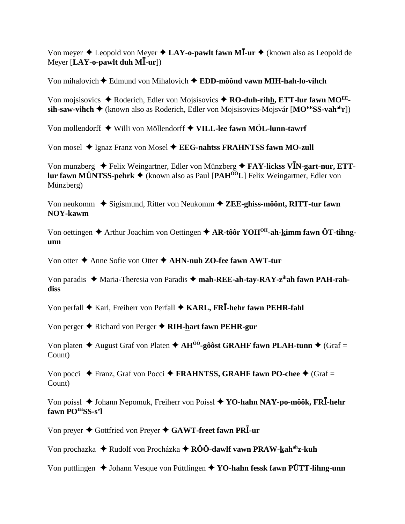Von meyer  $\triangle$  Leopold von Meyer  $\triangle$  LAY-o-pawlt fawn M**I**-ur  $\triangle$  (known also as Leopold de Meyer [**LAY-o-pawlt duh M-ur**])

Von mihalovich Edmund von Mihalovich **EDD-môônd vawn MIH-hah-lo-vihch**

Von mojsisovics ◆ Roderich, Edler von Mojsisovics ◆ RO-duh-rihh, ETT-lur fawn MO<sup>EE</sup>sih-saw-vihch ◆ (known also as Roderich, Edler von Mojsisovics-Mojsvár [MO<sup>EE</sup>SS-vah<sup>ah</sup>r])

Von mollendorff Willi von Möllendorff **VILL-lee fawn MÖL-lunn-tawrf**

Von mosel  $\blacklozenge$  Ignaz Franz von Mosel  $\blacklozenge$  **EEG-nahtss FRAHNTSS fawn MO-zull** 

Von munzberg ◆ Felix Weingartner, Edler von Münzberg ◆ **FAY-lickss V<sup>I</sup>N-gart-nur, ETTlur fawn MÜNTSS-pehrk** (known also as Paul [**PAHÔÔL**] Felix Weingartner, Edler von Münzberg)

Von neukomm ◆ Sigismund, Ritter von Neukomm ◆ ZEE-ghiss-môônt, RITT-tur fawn **NOY-kawm**

Von oettingen ◆ Arthur Joachim von Oettingen ◆ AR-tôôr YOH<sup>OH</sup>-ah-kimm fawn ÖT-tihng**unn**

Von otter **→** Anne Sofie von Otter **→ AHN-nuh ZO-fee fawn AWT-tur** 

Von paradis ◆ Maria-Theresia von Paradis ◆ mah-REE-ah-tay-RAY-z<sup>ih</sup>ah fawn PAH-rah**diss**

Von perfall **→** Karl, Freiherr von Perfall ◆ KARL, FR**I**-hehr fawn PEHR-fahl

Von perger **→** Richard von Perger **→ RIH-hart fawn PEHR-gur** 

Von platen  $\triangle$  August Graf von Platen  $\triangle$  AH<sup>ôô</sup>-gôôst GRAHF fawn PLAH-tunn  $\triangle$  (Graf = Count)

Von pocci  $\blacklozenge$  Franz, Graf von Pocci  $\blacklozenge$  **FRAHNTSS, GRAHF fawn PO-chee**  $\blacklozenge$  (Graf = Count)

Von poissl ◆ Johann Nepomuk, Freiherr von Poissl ◆ YO-hahn NAY-po-môôk, FR**<sup>†</sup>-hehr** fawn PO<sup>IH</sup>SS-s'l

Von preyer **◆** Gottfried von Preyer ◆ GAWT-freet fawn PR**I**-ur

Von prochazka ◆ Rudolf von Procházka ◆ RÔÔ-dawlf vawn PRAW-kah<sup>ah</sup>z-kuh

Von puttlingen ◆ Johann Vesque von Püttlingen ◆ YO-hahn fessk fawn PÜTT-lihng-unn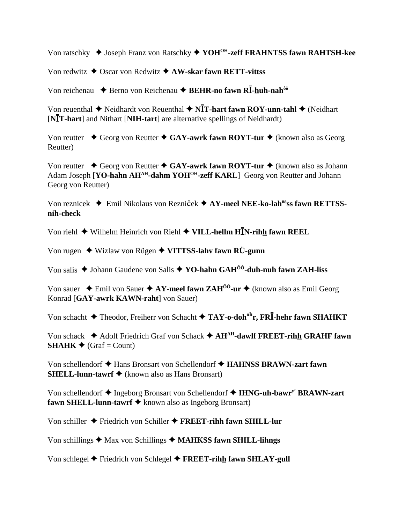Von ratschky ◆ Joseph Franz von Ratschky ◆ YOH<sup>OH</sup>-zeff FRAHNTSS fawn RAHTSH-kee

Von redwitz ◆ Oscar von Redwitz **◆ AW-skar fawn RETT-vittss** 

Von reichenau ◆ Berno von Reichenau ◆ BEHR-no fawn R**I-huh-nah**<sup>ôô</sup>

Von reuenthal ◆ Neidhardt von Reuenthal ◆ N**ĪT-hart fawn ROY-unn-tahl** ◆ (Neidhart [**NT-hart**] and Nithart [**NIH-tart**] are alternative spellings of Neidhardt)

Von reutter ◆ Georg von Reutter ◆ GAY-awrk fawn ROYT-tur ◆ (known also as Georg Reutter)

Von reutter ◆ Georg von Reutter ◆ GAY-awrk fawn ROYT-tur ◆ (known also as Johann Adam Joseph [**YO-hahn AH<sup>AH</sup>-dahm YOH<sup>OH</sup>-zeff KARL**] Georg von Reutter and Johann Georg von Reutter)

Von reznicek ◆ Emil Nikolaus von Rezniček ◆ AY-meel NEE-ko-lah<sup>ôô</sup>ss fawn RETTSS**nih-check**

Von riehl **→** Wilhelm Heinrich von Riehl **→ VILL-hellm H<sup>I</sup>N-rihh fawn REEL** 

Von rugen Wizlaw von Rügen **VITTSS-lahv fawn RÜ-gunn**

Von salis ◆ Johann Gaudene von Salis ◆ YO-hahn GAH<sup>ôô</sup>-duh-nuh fawn ZAH-liss

Von sauer  $\triangle$  Emil von Sauer  $\triangle$  AY-meel fawn ZAH<sup> $\hat{0}$ o<sup>-</sup>ur  $\triangle$  (known also as Emil Georg</sup> Konrad [**GAY-awrk KAWN-raht**] von Sauer)

Von schacht **→** Theodor, Freiherr von Schacht → TAY-o-doh<sup>oh</sup>r, FR**I**-hehr fawn SHAHKT

Von schack **→** Adolf Friedrich Graf von Schack → AH<sup>AH</sup>-dawlf FREET-rihh GRAHF fawn **SHAHK**  $\blacklozenge$  (Graf = Count)

Von schellendorf **→** Hans Bronsart von Schellendorf **→ HAHNSS BRAWN-zart fawn SHELL-lunn-tawrf ◆** (known also as Hans Bronsart)

Von schellendorf  $\triangle$  Ingeborg Bronsart von Schellendorf  $\triangle$  IHNG-uh-bawr<sup>y'</sup> BRAWN-zart **fawn SHELL-lunn-tawrf ◆** known also as Ingeborg Bronsart)

Von schiller Friedrich von Schiller **FREET-rihh fawn SHILL-lur**

Von schillings **→** Max von Schillings → MAHKSS fawn SHILL-lihngs

Von schlegel **←** Friedrich von Schlegel ← FREET-rihh fawn SHLAY-gull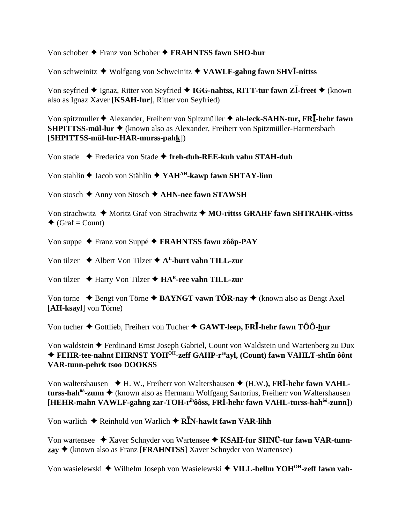Von schober  $\triangle$  Franz von Schober  $\triangle$  FRAHNTSS fawn SHO-bur

Von schweinitz  $\triangle$  Wolfgang von Schweinitz  $\triangle$  VAWLF-gahng fawn SHVI-nittss

Von seyfried ◆ Ignaz, Ritter von Seyfried ◆ IGG-nahtss, RITT-tur fawn ZI-freet ◆ (known also as Ignaz Xaver [KSAH-fur], Ritter von Seyfried)

Von spitzmuller + Alexander, Freiherr von Spitzmüller + ah-leck-SAHN-tur, FRI-hehr fawn SHPITTSS-mül-lur ◆ (known also as Alexander, Freiherr von Spitzmüller-Harmersbach  $[SHPITTSS-mül-lur-HAR-murss-pahk])$ 

Von stade  $\rightarrow$  Frederica von Stade  $\rightarrow$  freh-duh-REE-kuh vahn STAH-duh

Von stahlin  $\blacklozenge$  Jacob von Stählin  $\blacklozenge$  YAH<sup>AH</sup>-kawp fawn SHTAY-linn

Von stosch  $\blacklozenge$  Anny von Stosch  $\blacklozenge$  AHN-nee fawn STAWSH

Von strachwitz  $\blacklozenge$  Moritz Graf von Strachwitz  $\blacklozenge$  MO-rittss GRAHF fawn SHTRAHK-vittss  $\triangle$  (Graf = Count)

Von suppe  $\triangle$  Franz von Suppé  $\triangle$  FRAHNTSS fawn zôôp-PAY

Von tilzer  $\triangle$  Albert Von Tilzer  $\triangle$  A<sup>L</sup>-burt vahn TILL-zur

Von tilzer  $\triangle$  Harry Von Tilzer  $\triangle$  HA<sup>R</sup>-ree vahn TILL-zur

Von torne  $\triangle$  Bengt von Törne  $\triangle$  BAYNGT vawn TÖR-nay  $\triangle$  (known also as Bengt Axel [AH-ksayl] von Törne)

Von tucher  $\blacklozenge$  Gottlieb, Freiherr von Tucher  $\blacklozenge$  GAWT-leep, FRI-hehr fawn TÔÔ-hur

Von waldstein  $\blacklozenge$  Ferdinand Ernst Joseph Gabriel, Count von Waldstein und Wartenberg zu Dux ◆ FEHR-tee-nahnt EHRNST YOH<sup>OH</sup>-zeff GAHP-r<sup>ee</sup>ayl, (Count) fawn VAHLT-shttn ôont **VAR-tunn-pehrk tsoo DOOKSS** 

Von waltershausen  $\star$  H. W., Freiherr von Waltershausen  $\star$  (H.W.), FRI-hehr fawn VAHLturss-hah<sup> $\delta \hat{\sigma}$ </sup>-zunn  $\blacklozenge$  (known also as Hermann Wolfgang Sartorius, Freiherr von Waltershausen [HEHR-mahn VAWLF-gahng zar-TOH-r<sup>ih</sup>ôôss, FRI-hehr fawn VAHL-turss-hah<sup>ôô</sup>-zunn])

Von warlich  $\triangle$  Reinhold von Warlich  $\triangle$  R**IN-hawlt fawn VAR-lihh** 

Von wartensee  $\star$  Xaver Schnyder von Wartensee  $\star$  KSAH-fur SHNÜ-tur fawn VAR-tunn- $\text{zay}$   $\blacklozenge$  (known also as Franz [FRAHNTSS] Xaver Schnyder von Wartensee)

Von wasielewski  $\blacklozenge$  Wilhelm Joseph von Wasielewski  $\blacklozenge$  VILL-hellm YOH<sup>OH</sup>-zeff fawn vah-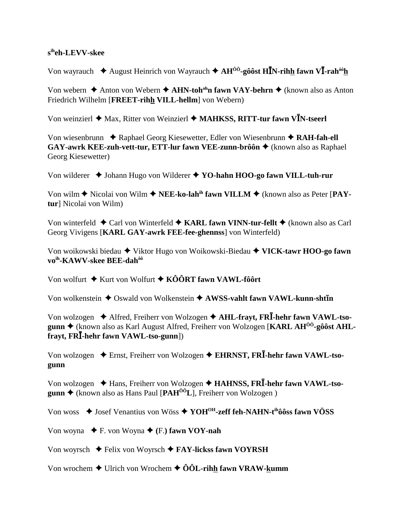#### s<sup>ih</sup>eh-LEVV-skee

Von wayrauch  $\triangleq$  August Heinrich von Wayrauch  $\triangleq AH^{00}$ -gôôst HIN-rihh fawn VI-rah<sup>ôô</sup>h

Von webern  $\triangle$  Anton von Webern  $\triangle$  AHN-toh<sup>oh</sup>n fawn VAY-behrn  $\triangle$  (known also as Anton Friedrich Wilhelm [FREET-rihh VILL-hellm] von Webern)

Von weinzierl ♦ Max, Ritter von Weinzierl ♦ MAHKSS, RITT-tur fawn VIN-tseerl

Von wiesenbrunn  $\triangle$  Raphael Georg Kiesewetter, Edler von Wiesenbrunn  $\triangle$  RAH-fah-ell GAY-awrk KEE-zuh-vett-tur, ETT-lur fawn VEE-zunn-brôôn ♦ (known also as Raphael Georg Kiesewetter)

Von wilderer  $\triangle$  Johann Hugo von Wilderer  $\triangle$  YO-hahn HOO-go fawn VILL-tuh-rur

Von wilm  $\blacklozenge$  Nicolai von Wilm  $\blacklozenge$  NEE-ko-lah<sup>ih</sup> fawn VILLM  $\blacklozenge$  (known also as Peter [PAYtur] Nicolai von Wilm)

Von winterfeld  $\triangle$  Carl von Winterfeld  $\triangle$  KARL fawn VINN-tur-fellt  $\triangle$  (known also as Carl Georg Vivigens [KARL GAY-awrk FEE-fee-ghennss] von Winterfeld)

Von woikowski biedau ◆ Viktor Hugo von Woikowski-Biedau ◆ VICK-tawr HOO-go fawn vo<sup>ih</sup>-KAWV-skee BEE-dah<sup>ôô</sup>

Von wolfurt  $\triangleq$  Kurt von Wolfurt  $\triangleq$  KÔÔRT fawn VAWL-fôôrt

Von wolkenstein  $\triangle$  Oswald von Wolkenstein  $\triangle$  AWSS-vahlt fawn VAWL-kunn-sht $\bar{\mathbf{u}}$ 

Von wolzogen  $\triangle$  Alfred, Freiherr von Wolzogen  $\triangle$  AHL-fravt, FRI-hehr fawn VAWL-tsogunn ♦ (known also as Karl August Alfred, Freiherr von Wolzogen [KARL AH<sup> $00$ </sup>-gôôst AHLfrayt, FRI-hehr fawn VAWL-tso-gunn])

Von wolzogen  $\triangle$  Ernst, Freiherr von Wolzogen  $\triangle$  EHRNST, FRI-hehr fawn VAWL-tsogunn

Von wolzogen  $\triangleleft$  Hans, Freiherr von Wolzogen  $\triangleleft$  HAHNSS, FRI-hehr fawn VAWL-tso**gunn**  $\triangle$  (known also as Hans Paul [PAH<sup> $\hat{O}^0L$ ], Freiherr von Wolzogen)</sup>

Von woss  $\triangleq$  Josef Venantius von Wöss  $\triangleq$  YOH<sup>OH</sup>-zeff feh-NAHN-t<sup>ih</sup>ôôss fawn VÖSS

Von woyna  $\blacklozenge$  F. von Woyna  $\blacklozenge$  (F.) fawn VOY-nah

Von woyrsch  $\blacklozenge$  Felix von Woyrsch  $\blacklozenge$  FAY-licks fawn VOYRSH

Von wrochem  $\triangle$  Ulrich von Wrochem  $\triangle$  ÔÔL-rihh fawn VRAW-kumm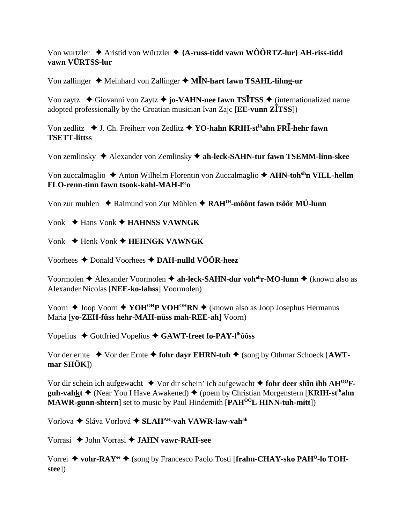Von wurtzler  $\blacklozenge$  Aristid von Würtzler  $\blacklozenge$  {A-russ-tidd vawn WÔÔRTZ-lur} AH-riss-tidd **vawn VÜRTSS-lur**

Von zallinger ◆ Meinhard von Zallinger ◆ M**I**N-hart fawn TSAHL-lihng-ur

Von zaytz **→** Giovanni von Zaytz **→ jo-VAHN-nee fawn TSITSS** → (internationalized name adopted professionally by the Croatian musician Ivan Zajc [**EE-vunn ZTSS**])

Von zedlitz ◆ J. Ch. Freiherr von Zedlitz ◆ YO-hahn KRIH-st<sup>ih</sup>ahn FR**I**-hehr fawn **TSETT-littss**

Von zemlinsky Alexander von Zemlinsky **ah-leck-SAHN-tur fawn TSEMM-linn-skee**

Von zuccalmaglio ◆ Anton Wilhelm Florentin von Zuccalmaglio ◆ AHN-toh<sup>oh</sup>n VILL-hellm **FLO-renn-tinn fawn tsook-kahl-MAH-leeo**

Von zur muhlen ◆ Raimund von Zur Mühlen ◆ RAH<sup>IH</sup>-môônt fawn tsôôr MÜ-lunn

Vonk **→ Hans Vonk → HAHNSS VAWNGK** 

Vonk Henk Vonk **HEHNGK VAWNGK**

Voorhees Donald Voorhees **DAH-nulld VÔÔR-heez**

Voormolen **→** Alexander Voormolen **→ ah-leck-SAHN-dur voh<sup>oh</sup>r-MO-lunn →** (known also as Alexander Nicolas [**NEE-ko-lahss**] Voormolen)

Voorn  $\triangle$  Joop Voorn  $\triangle$  YOH<sup>OH</sup>P VOH<sup>OH</sup>RN  $\triangle$  (known also as Joop Josephus Hermanus Maria [**yo-ZEH-füss hehr-MAH-nüss mah-REE-ah**] Voorn)

Vopelius ◆ Gottfried Vopelius ◆ GAWT-freet fo-PAY-l<sup>ih</sup>ôôss

Vor der ernte ◆ Vor der Ernte ◆ fohr dayr EHRN-tuh ◆ (song by Othmar Schoeck [AWT**mar SHÖK**])

Vor dir schein ich aufgewacht  $\blacklozenge$  Vor dir schein' ich aufgewacht  $\blacklozenge$  **fohr deer shIn ihh AH<sup>ÔÔ</sup>Fguh-vahkt ♦** (Near You I Have Awakened) ♦ (poem by Christian Morgenstern [**KRIH-st<sup>ih</sup>ahn**] **MAWR-gunn-shtern**] set to music by Paul Hindemith [**PAHÔÔL HINN-tuh-mitt**])

Vorlova ◆ Sláva Vorlová ◆ SLAH<sup>AH</sup>-vah VAWR-law-vah<sup>ah</sup>

Vorrasi John Vorrasi **JAHN vawr-RAH-see**

Vorrei ◆ vohr-RAY<sup>ee</sup> ◆ (song by Francesco Paolo Tosti [frahn-CHAY-sko PAH<sup>O</sup>-lo TOH**stee**])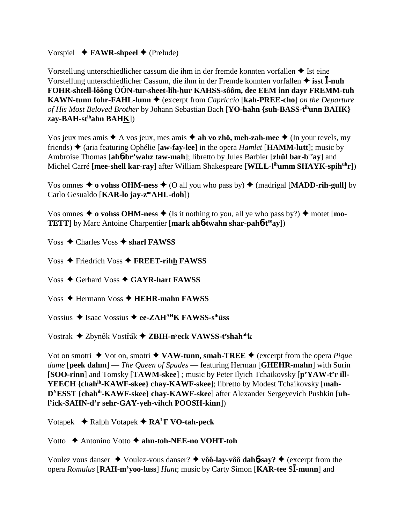## Vorspiel  $\blacklozenge$  **FAWR-shpeel**  $\blacklozenge$  (Prelude)

Vorstellung unterschiedlicher cassum die ihm in der fremde konnten vorfallen  $\triangle$  Ist eine Vorstellung unterschiedlicher Cassum, die ihm in der Fremde konnten vorfallen  $\triangleq$  isst  $\overline{I}$ -nuh FOHR-shtell-lôông ÔÔN-tur-sheet-lih-hur KAHSS-sôôm, dee EEM inn dayr FREMM-tuh **KAWN-tunn fohr-FAHL-lunn**  $\blacklozenge$  (excerpt from *Capriccio* [kah-PREE-cho] *on the Departure* of His Most Beloved Brother by Johann Sebastian Bach [YO-hahn {suh-BASS-t<sup>ih</sup>unn BAHK} zay-BAH-st<sup>ih</sup>ahn BAHK])

Vos jeux mes amis  $\triangle$  A vos jeux, mes amis  $\triangle$  ah vo zhö, meh-zah-mee  $\triangle$  (In your revels, my friends)  $\triangleq$  (aria featuring Ophélie [aw-fay-lee] in the opera *Hamlet* [**HAMM-lutt**]; music by Ambroise Thomas [ah6-br'wahz taw-mah]; libretto by Jules Barbier [zhül bar-b<sup>ee</sup>ay] and Michel Carré [mee-shell kar-ray] after William Shakespeare [WILL-l<sup>ih</sup>umm SHAYK-spih<sup>uh</sup>r])

Vos omnes  $\blacklozenge$  o vohss OHM-ness  $\blacklozenge$  (O all you who pass by)  $\blacklozenge$  (madrigal [MADD-rih-gull] by Carlo Gesualdo [KAR-lo jay-z<sup>oo</sup>AHL-doh])

Vos omnes  $\triangle$  o vohss OHM-ness  $\triangle$  (Is it nothing to you, all ye who pass by?)  $\triangle$  motet [mo-**TETT** by Marc Antoine Charpentier [mark ah**6-twahn shar-pah6-t<sup>ee</sup>ay**])

Voss  $\triangle$  Charles Voss  $\triangle$  sharl FAWSS

Voss  $\triangle$  Friedrich Voss  $\triangle$  FREET-rihh FAWSS

Voss  $\triangle$  Gerhard Voss  $\triangle$  GAYR-hart FAWSS

Voss  $\triangle$  Hermann Voss  $\triangle$  HEHR-mahn FAWSS

Vossius  $\triangleq$  Isaac Vossius  $\triangleq$  ee-ZAH<sup>AH</sup>K FAWSS-s<sup>ih</sup>uss

Vostrak ◆ Zbyněk Vostřák ◆ ZBIH-n<sup>y</sup>eck VAWSS-t<sup>r</sup>shah<sup>ah</sup>k

Vot on smotri  $\blacklozenge$  Vot on, smotri  $\blacklozenge$  VAW-tunn, smah-TREE  $\blacklozenge$  (excerpt from the opera *Pique dame* [peek dahm] — *The Queen of Spades* — featuring Herman [GHEHR-mahn] with Surin [SOO-rinn] and Tomsky [TAWM-skee]; music by Peter Ilyich Tchaikovsky [p'YAW-t'r ill-YEECH {chah<sup>ih</sup>-KAWF-skee} chay-KAWF-skee]; libretto by Modest Tchaikovsky [mah-D<sup>Y</sup>ESST {chah<sup>ih</sup>-KAWF-skee} chay-KAWF-skee] after Alexander Sergeyevich Pushkin [uh-[Vick-SAHN-d'r sehr-GAY-yeh-vihch POOSH-kinn])

Votapek  $\triangleleft$  Ralph Votapek  $\triangleleft$  RA<sup>L</sup>F VO-tah-peck

Votto  $\rightarrow$  Antonino Votto  $\rightarrow$  ahn-toh-NEE-no VOHT-toh

Voulez vous danser  $\triangle$  Voulez-vous danser?  $\triangle$  vôô-lay-vôô dahb-say?  $\triangle$  (excerpt from the opera Romulus [RAH-m'yoo-luss] Hunt; music by Carty Simon [KAR-tee SI-munn] and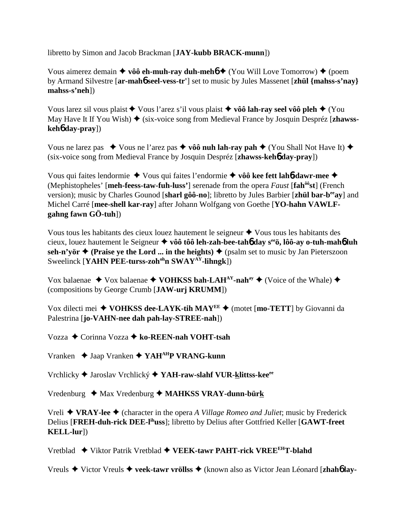libretto by Simon and Jacob Brackman [**JAY-kubb BRACK-munn**])

Vous aimerez demain  $\triangle$  vôô eh-muh-ray duh-meh**6**  $\triangle$  (You Will Love Tomorrow)  $\triangle$  (poem by Armand Silvestre [**ar-mah**6 **seel-vess-tr'**] set to music by Jules Massenet [**zhül {mahss-s'nay} mahss-s'neh**])

Vous larez sil vous plaist  $\triangle$  Vous l'arez s'il vous plaist  $\triangle$  vôô lah-ray seel vôô pleh  $\triangle$  (You May Have It If You Wish)  $\triangle$  (six-voice song from Medieval France by Josquin Despréz [zhawss**keh**6 **day-pray**])

Vous ne larez pas  $\bullet$  Vous ne l'arez pas  $\bullet$  vôô nuh lah-ray pah  $\bullet$  (You Shall Not Have It)  $\bullet$ (six-voice song from Medieval France by Josquin Despréz [**zhawss-keh**6 **day-pray**])

Vous qui faites lendormie Vous qui faites l'endormie **vôô kee fett lah**6**-dawr-mee** (Mephistopheles' [**meh-feess-taw-fuh-luss'**] serenade from the opera *Faust* [**fahôôst**] (French version); music by Charles Gounod [**sharl gôô-no**]; libretto by Jules Barbier [**zhül bar-beeay**] and Michel Carré [**mee-shell kar-ray**] after Johann Wolfgang von Goethe [**YO-hahn VAWLFgahng fawn GÖ-tuh**])

Vous tous les habitants des cieux louez hautement le seigneur  $\triangle$  Vous tous les habitants des cieux, louez hautement le Seigneur **vôô tôô leh-zah-bee-tah**6 **day seeö, lôô-ay o-tuh-mah**6 **luh** seh-n'yör  $\triangle$  (Praise ye the Lord ... in the heights)  $\triangle$  (psalm set to music by Jan Pieterszoon Sweelinck [**YAHN PEE-turss-zoh<sup>oh</sup>n SWAY<sup>AY</sup>-lihngk**])

Vox balaenae  $\blacklozenge$  Vox balaenae  $\blacklozenge$  **VOHKSS bah-LAH<sup>AY</sup>-nah**<sup>ay</sup>  $\blacklozenge$  (Voice of the Whale)  $\blacklozenge$ (compositions by George Crumb [**JAW-urj KRUMM**])

Vox dilecti mei  $\blacklozenge$  **VOHKSS dee-LAYK-tih MAYEE**  $\blacklozenge$  (motet [**mo-TETT**] by Giovanni da Palestrina [**jo-VAHN-nee dah pah-lay-STREE-nah**])

Vozza Corinna Vozza **ko-REEN-nah VOHT-tsah**

Vranken Jaap Vranken **YAHAHP VRANG-kunn**

Vrchlicky Jaroslav Vrchlický **YAH-raw-slahf VUR-klittss-keeee**

Vredenburg ◆ Max Vredenburg ◆ MAHKSS VRAY-dunn-bürk

Vreli **VRAY-lee** (character in the opera *A Village Romeo and Juliet*; music by Frederick Delius [**FREH-duh-rick DEE-lihuss**]; libretto by Delius after Gottfried Keller [**GAWT-freet KELL-lur**])

Vretblad ◆ Viktor Patrik Vretblad ◆ VEEK-tawr PAHT-rick VREE<sup>EH</sup>T-blahd

Vreuls Victor Vreuls **veek-tawr vröllss** (known also as Victor Jean Léonard [**zhah**6 **lay-**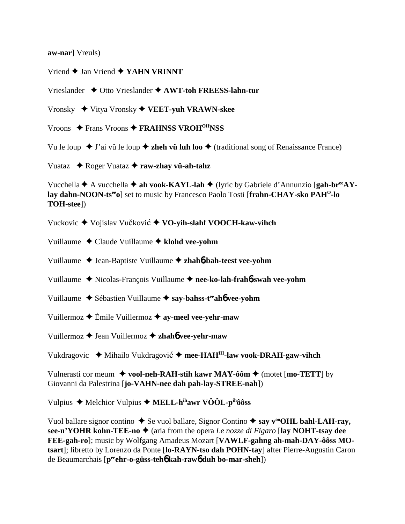**aw-nar**] Vreuls)

Vriend **←** Jan Vriend **← YAHN VRINNT** 

Vrieslander Otto Vrieslander **AWT-toh FREESS-lahn-tur**

Vronsky Vitya Vronsky **VEET-yuh VRAWN-skee**

Vroons ◆ Frans Vroons ◆ FRAHNSS VROH<sup>OH</sup>NSS

Vu le loup  $\blacklozenge$  J'ai vû le loup  $\blacklozenge$  **zheh vü luh loo**  $\blacklozenge$  (traditional song of Renaissance France)

Vuataz Roger Vuataz **raw-zhay vü-ah-tahz**

Vucchella **↑** A vucchella **↑ ah vook-KAYL-lah ◆** (lyric by Gabriele d'Annunzio [**gah-br**<sup>ee</sup>**AYlay dahn-NOON-tseeo**] set to music by Francesco Paolo Tosti [**frahn-CHAY-sko PAHO-lo TOH-stee**])

Vuckovic ♦ Vojislav Vučković ♦ VO-vih-slahf VOOCH-kaw-vihch

Vuillaume Claude Vuillaume **klohd vee-yohm**

Vuillaume ◆ Jean-Baptiste Vuillaume ◆ zhah**6**-bah-teest vee-yohm

Vuillaume Nicolas-François Vuillaume **nee-ko-lah-frah**6**-swah vee-yohm**

Vuillaume Sébastien Vuillaume **say-bahss-teeah**6 **vee-yohm**

Vuillermoz Émile Vuillermoz **ay-meel vee-yehr-maw**

Vuillermoz Jean Vuillermoz **zhah**6 **vee-yehr-maw**

Vukdragovic ◆ Mihailo Vukdragović ◆ mee-HAH<sup>IH</sup>-law vook-DRAH-gaw-vihch

Vulnerasti cor meum  $\blacklozenge$  vool-neh-RAH-stih kawr MAY-ôôm  $\blacklozenge$  (motet [mo-TETT] by Giovanni da Palestrina [**jo-VAHN-nee dah pah-lay-STREE-nah**])

Vulpius ◆ Melchior Vulpius ◆ MELL-hihawr VÔÔL-pihôôss

Vuol ballare signor contino  $\triangle$  Se vuol ballare, Signor Contino  $\triangle$  say v<sup>oo</sup>OHL bahl-LAH-ray, **see-n'YOHR kohn-TEE-no ♦** (aria from the opera *Le nozze di Figaro* [lay NOHT-tsay dee **FEE-gah-ro**]; music by Wolfgang Amadeus Mozart [**VAWLF-gahng ah-mah-DAY-ôôss MOtsart**]; libretto by Lorenzo da Ponte [**lo-RAYN-tso dah POHN-tay**] after Pierre-Augustin Caron de Beaumarchais [**peeehr-o-güss-teh**6 **kah-raw**6 **duh bo-mar-sheh**])